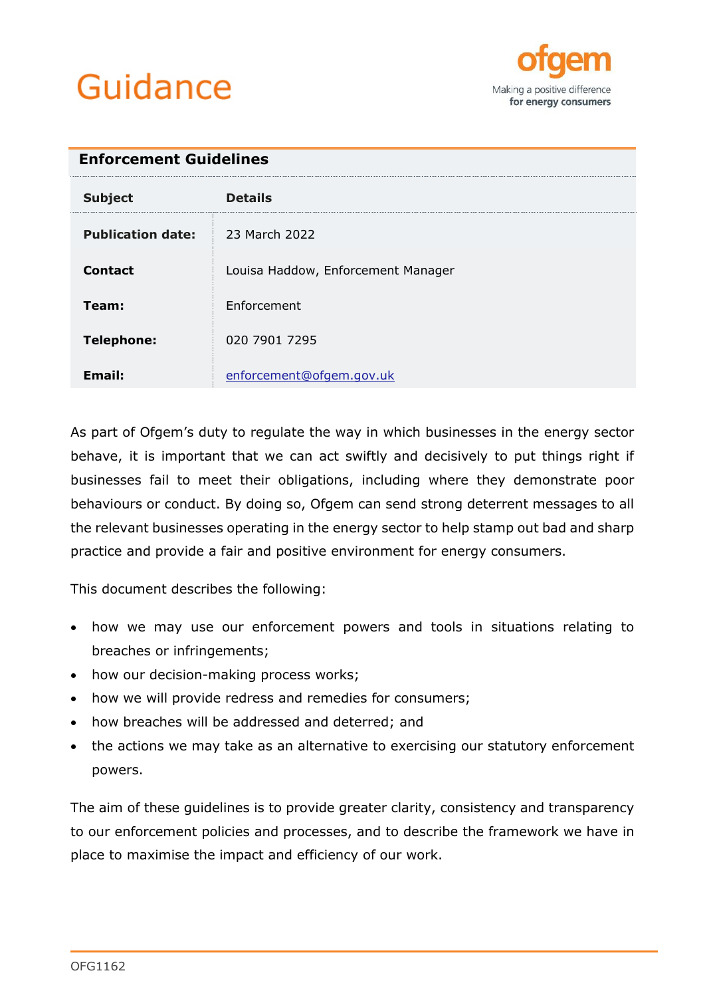# Guidance



<span id="page-0-0"></span>

| <b>Enforcement Guidelines</b> |                                    |  |
|-------------------------------|------------------------------------|--|
| <b>Subject</b>                | <b>Details</b>                     |  |
| <b>Publication date:</b>      | 23 March 2022                      |  |
| <b>Contact</b>                | Louisa Haddow, Enforcement Manager |  |
| Team:                         | Enforcement                        |  |
| <b>Telephone:</b>             | 020 7901 7295                      |  |
| <b>Email:</b>                 | enforcement@ofgem.gov.uk           |  |

As part of Ofgem's duty to regulate the way in which businesses in the energy sector behave, it is important that we can act swiftly and decisively to put things right if businesses fail to meet their obligations, including where they demonstrate poor behaviours or conduct. By doing so, Ofgem can send strong deterrent messages to all the relevant businesses operating in the energy sector to help stamp out bad and sharp practice and provide a fair and positive environment for energy consumers.

This document describes the following:

- how we may use our enforcement powers and tools in situations relating to breaches or infringements;
- how our decision-making process works;
- how we will provide redress and remedies for consumers;
- how breaches will be addressed and deterred; and
- the actions we may take as an alternative to exercising our statutory enforcement powers.

The aim of these guidelines is to provide greater clarity, consistency and transparency to our enforcement policies and processes, and to describe the framework we have in place to maximise the impact and efficiency of our work.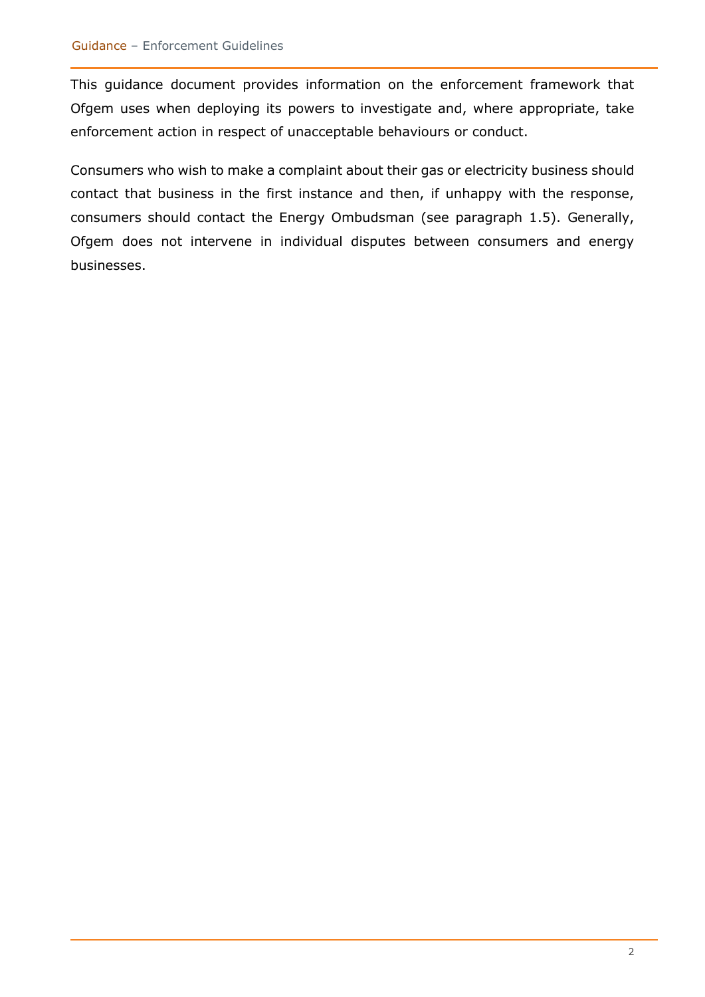This guidance document provides information on the enforcement framework that Ofgem uses when deploying its powers to investigate and, where appropriate, take enforcement action in respect of unacceptable behaviours or conduct.

Consumers who wish to make a complaint about their gas or electricity business should contact that business in the first instance and then, if unhappy with the response, consumers should contact the Energy Ombudsman (see paragraph 1.5). Generally, Ofgem does not intervene in individual disputes between consumers and energy businesses.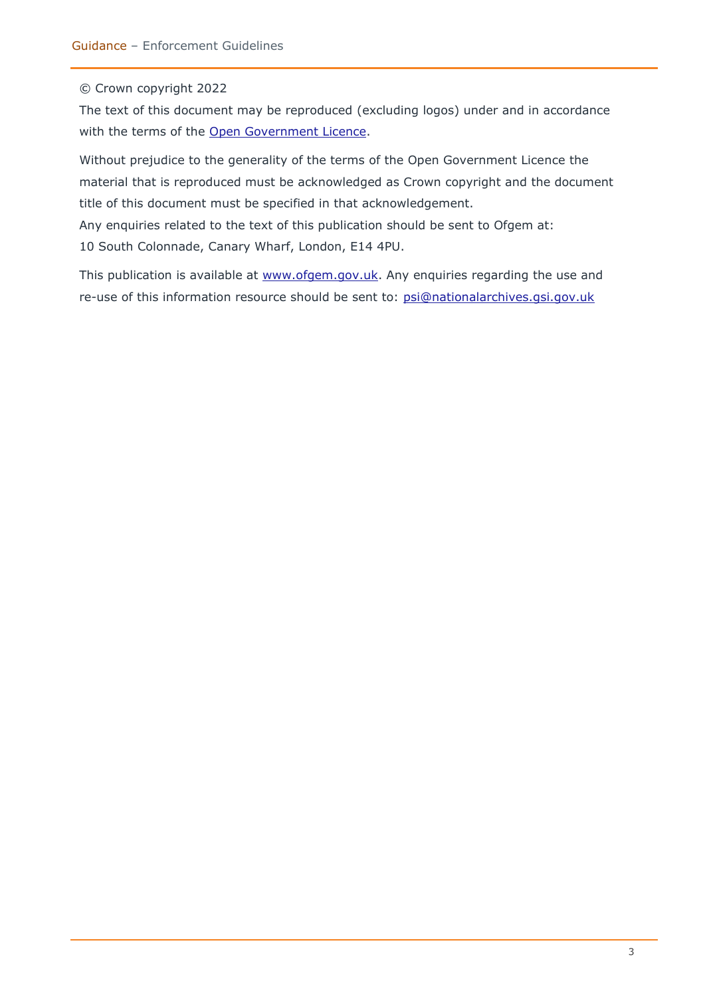#### © Crown copyright 2022

The text of this document may be reproduced (excluding logos) under and in accordance with the terms of the [Open Government Licence.](http://www.nationalarchives.gov.uk/doc/open-government-licence/version/3/)

Without prejudice to the generality of the terms of the Open Government Licence the material that is reproduced must be acknowledged as Crown copyright and the document title of this document must be specified in that acknowledgement.

Any enquiries related to the text of this publication should be sent to Ofgem at: 10 South Colonnade, Canary Wharf, London, E14 4PU.

This publication is available at [www.ofgem.gov.uk.](http://www.ofgem.gov.uk/) Any enquiries regarding the use and re-use of this information resource should be sent to: [psi@nationalarchives.gsi.gov.uk](mailto:psi@nationalarchives.gsi.gov.uk)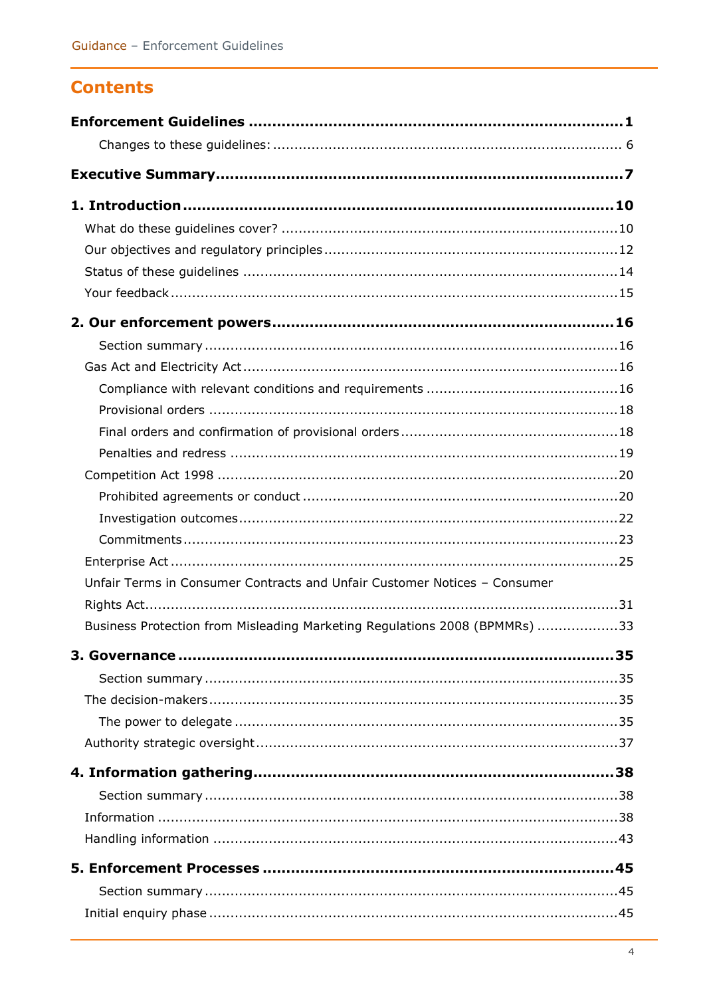### **Contents**

| Unfair Terms in Consumer Contracts and Unfair Customer Notices - Consumer  |  |
|----------------------------------------------------------------------------|--|
|                                                                            |  |
| Business Protection from Misleading Marketing Regulations 2008 (BPMMRs) 33 |  |
|                                                                            |  |
|                                                                            |  |
|                                                                            |  |
|                                                                            |  |
|                                                                            |  |
|                                                                            |  |
|                                                                            |  |
|                                                                            |  |
|                                                                            |  |
|                                                                            |  |
|                                                                            |  |
|                                                                            |  |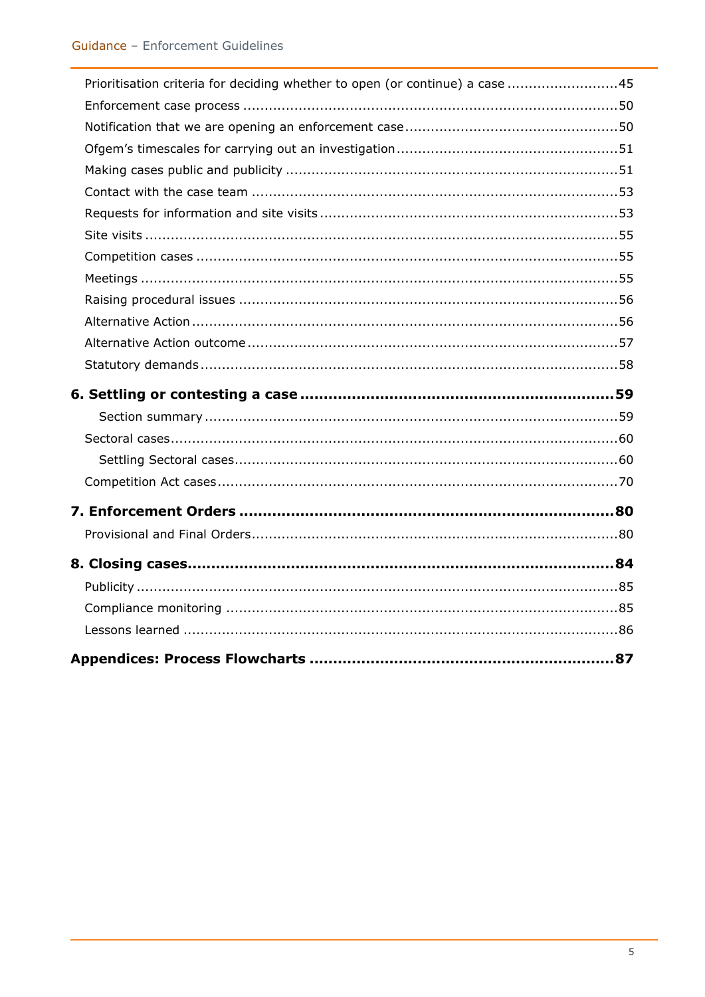| Prioritisation criteria for deciding whether to open (or continue) a case 45 |  |
|------------------------------------------------------------------------------|--|
|                                                                              |  |
|                                                                              |  |
|                                                                              |  |
|                                                                              |  |
|                                                                              |  |
|                                                                              |  |
|                                                                              |  |
|                                                                              |  |
|                                                                              |  |
|                                                                              |  |
|                                                                              |  |
|                                                                              |  |
|                                                                              |  |
|                                                                              |  |
|                                                                              |  |
|                                                                              |  |
|                                                                              |  |
|                                                                              |  |
|                                                                              |  |
|                                                                              |  |
|                                                                              |  |
|                                                                              |  |
|                                                                              |  |
|                                                                              |  |
|                                                                              |  |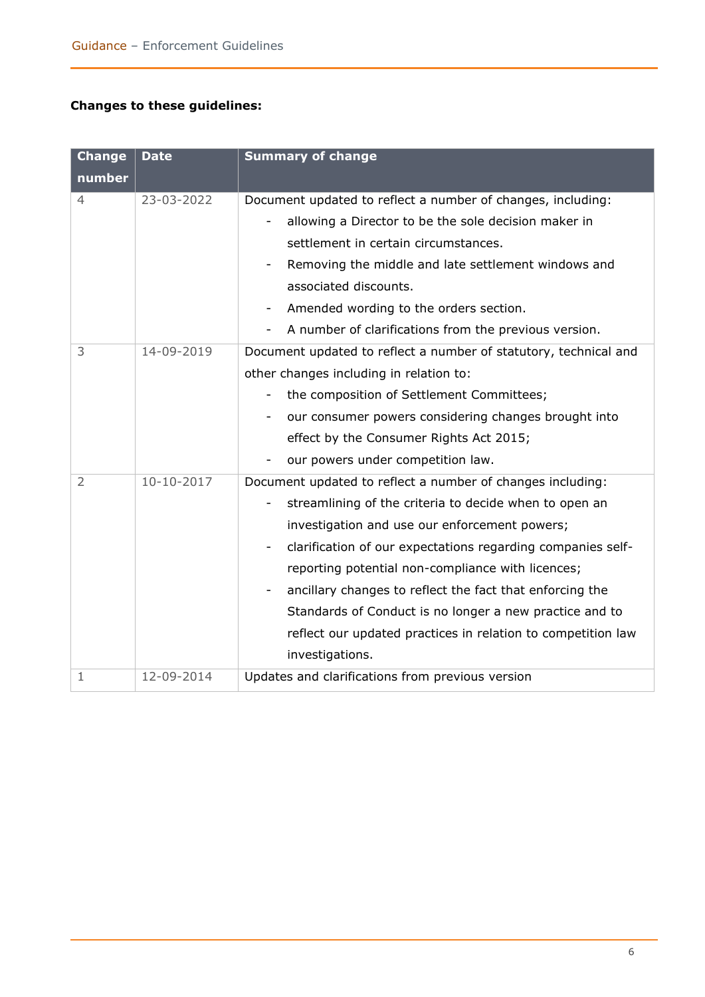#### <span id="page-5-0"></span>**Changes to these guidelines:**

| <b>Change</b>  | <b>Date</b> | <b>Summary of change</b>                                                           |
|----------------|-------------|------------------------------------------------------------------------------------|
| number         |             |                                                                                    |
| 4              | 23-03-2022  | Document updated to reflect a number of changes, including:                        |
|                |             | allowing a Director to be the sole decision maker in                               |
|                |             | settlement in certain circumstances.                                               |
|                |             | Removing the middle and late settlement windows and                                |
|                |             | associated discounts.                                                              |
|                |             | Amended wording to the orders section.<br>-                                        |
|                |             | A number of clarifications from the previous version.                              |
| 3              | 14-09-2019  | Document updated to reflect a number of statutory, technical and                   |
|                |             | other changes including in relation to:                                            |
|                |             | the composition of Settlement Committees;                                          |
|                |             | our consumer powers considering changes brought into<br>-                          |
|                |             | effect by the Consumer Rights Act 2015;                                            |
|                |             | our powers under competition law.                                                  |
| $\overline{2}$ | 10-10-2017  | Document updated to reflect a number of changes including:                         |
|                |             | streamlining of the criteria to decide when to open an<br>$\overline{\phantom{0}}$ |
|                |             | investigation and use our enforcement powers;                                      |
|                |             | clarification of our expectations regarding companies self-<br>-                   |
|                |             | reporting potential non-compliance with licences;                                  |
|                |             | ancillary changes to reflect the fact that enforcing the                           |
|                |             | Standards of Conduct is no longer a new practice and to                            |
|                |             | reflect our updated practices in relation to competition law                       |
|                |             | investigations.                                                                    |
| 1              | 12-09-2014  | Updates and clarifications from previous version                                   |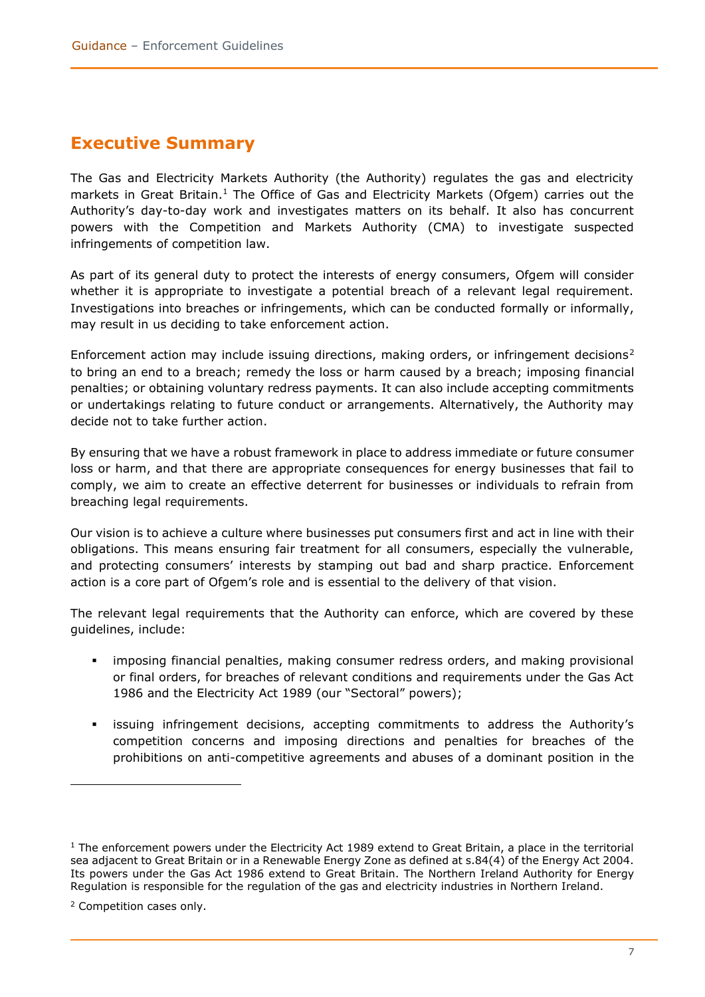### <span id="page-6-0"></span>**Executive Summary**

The Gas and Electricity Markets Authority (the Authority) regulates the gas and electricity markets in Great Britain.<sup>1</sup> The Office of Gas and Electricity Markets (Ofgem) carries out the Authority's day-to-day work and investigates matters on its behalf. It also has concurrent powers with the Competition and Markets Authority (CMA) to investigate suspected infringements of competition law.

As part of its general duty to protect the interests of energy consumers, Ofgem will consider whether it is appropriate to investigate a potential breach of a relevant legal requirement. Investigations into breaches or infringements, which can be conducted formally or informally, may result in us deciding to take enforcement action.

Enforcement action may include issuing directions, making orders, or infringement decisions<sup>2</sup> to bring an end to a breach; remedy the loss or harm caused by a breach; imposing financial penalties; or obtaining voluntary redress payments. It can also include accepting commitments or undertakings relating to future conduct or arrangements. Alternatively, the Authority may decide not to take further action.

By ensuring that we have a robust framework in place to address immediate or future consumer loss or harm, and that there are appropriate consequences for energy businesses that fail to comply, we aim to create an effective deterrent for businesses or individuals to refrain from breaching legal requirements.

Our vision is to achieve a culture where businesses put consumers first and act in line with their obligations. This means ensuring fair treatment for all consumers, especially the vulnerable, and protecting consumers' interests by stamping out bad and sharp practice. Enforcement action is a core part of Ofgem's role and is essential to the delivery of that vision.

The relevant legal requirements that the Authority can enforce, which are covered by these guidelines, include:

- **•** imposing financial penalties, making consumer redress orders, and making provisional or final orders, for breaches of relevant conditions and requirements under the Gas Act 1986 and the Electricity Act 1989 (our "Sectoral" powers);
- issuing infringement decisions, accepting commitments to address the Authority's competition concerns and imposing directions and penalties for breaches of the prohibitions on anti-competitive agreements and abuses of a dominant position in the

 $1$  The enforcement powers under the Electricity Act 1989 extend to Great Britain, a place in the territorial sea adjacent to Great Britain or in a Renewable Energy Zone as defined at s.84(4) of the Energy Act 2004. Its powers under the Gas Act 1986 extend to Great Britain. The Northern Ireland Authority for Energy Regulation is responsible for the regulation of the gas and electricity industries in Northern Ireland.

<sup>2</sup> Competition cases only.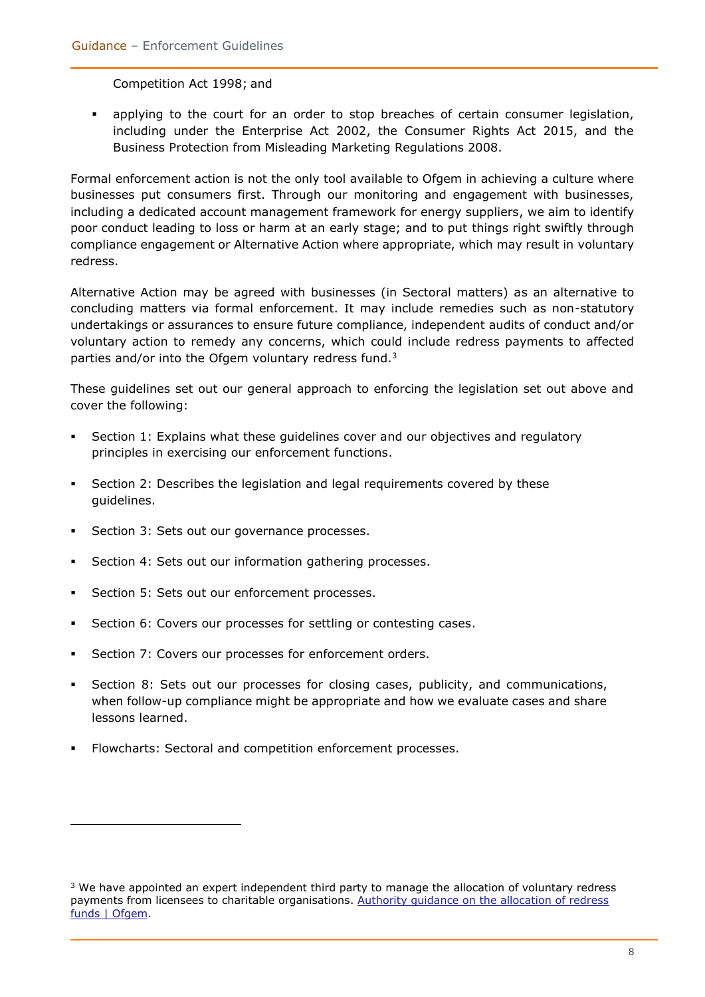Competition Act 1998; and

▪ applying to the court for an order to stop breaches of certain consumer legislation, including under the Enterprise Act 2002, the Consumer Rights Act 2015, and the Business Protection from Misleading Marketing Regulations 2008.

Formal enforcement action is not the only tool available to Ofgem in achieving a culture where businesses put consumers first. Through our monitoring and engagement with businesses, including a dedicated account management framework for energy suppliers, we aim to identify poor conduct leading to loss or harm at an early stage; and to put things right swiftly through compliance engagement or Alternative Action where appropriate, which may result in voluntary redress.

Alternative Action may be agreed with businesses (in Sectoral matters) as an alternative to concluding matters via formal enforcement. It may include remedies such as non-statutory undertakings or assurances to ensure future compliance, independent audits of conduct and/or voluntary action to remedy any concerns, which could include redress payments to affected parties and/or into the Ofgem voluntary redress fund. $3$ 

These guidelines set out our general approach to enforcing the legislation set out above and cover the following:

- Section 1: Explains what these guidelines cover and our objectives and regulatory principles in exercising our enforcement functions.
- **•** Section 2: Describes the legislation and legal requirements covered by these guidelines.
- Section 3: Sets out our governance processes.
- Section 4: Sets out our information gathering processes.
- Section 5: Sets out our enforcement processes.
- **EXECT:** Section 6: Covers our processes for settling or contesting cases.
- Section 7: Covers our processes for enforcement orders.
- **EXECT** Section 8: Sets out our processes for closing cases, publicity, and communications, when follow-up compliance might be appropriate and how we evaluate cases and share lessons learned.
- Flowcharts: Sectoral and competition enforcement processes.

<sup>&</sup>lt;sup>3</sup> We have appointed an expert independent third party to manage the allocation of voluntary redress payments from licensees to charitable organisations. [Authority guidance on the allocation of redress](https://www.ofgem.gov.uk/publications-and-updates/authority-guidance-allocation-redress-funds)  [funds | Ofgem.](https://www.ofgem.gov.uk/publications-and-updates/authority-guidance-allocation-redress-funds)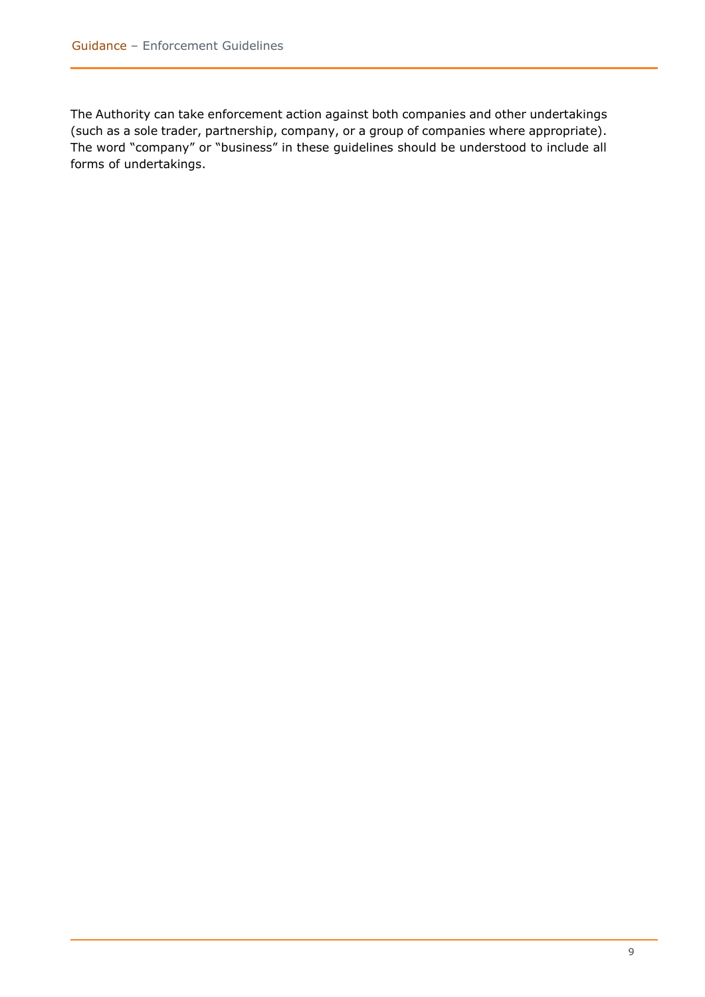The Authority can take enforcement action against both companies and other undertakings (such as a sole trader, partnership, company, or a group of companies where appropriate). The word "company" or "business" in these guidelines should be understood to include all forms of undertakings.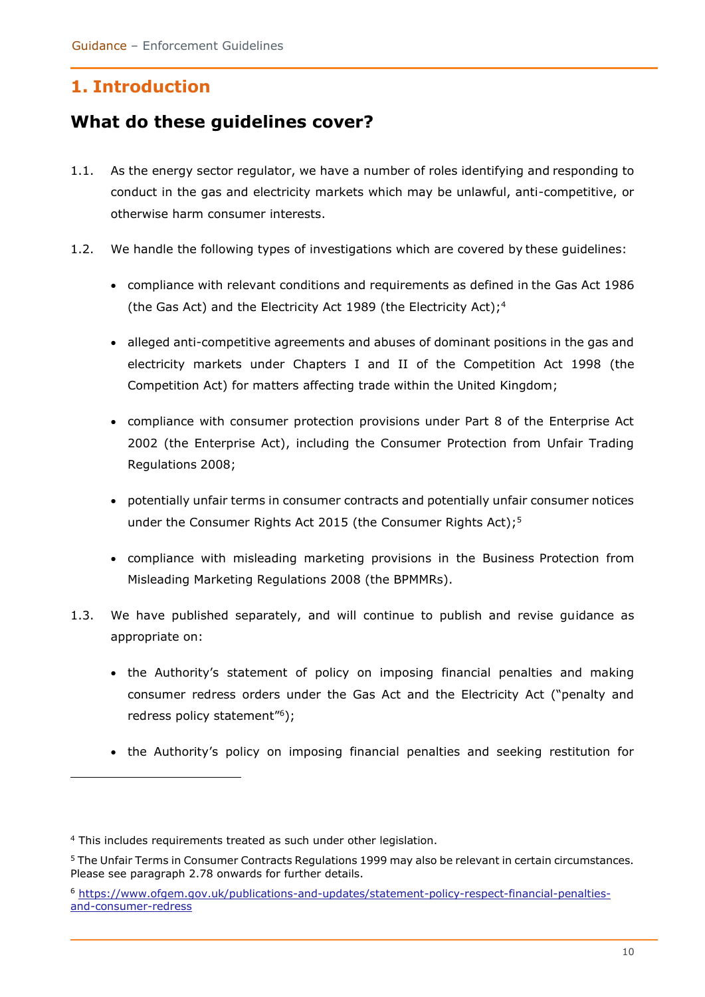### <span id="page-9-0"></span>**1. Introduction**

### <span id="page-9-1"></span>**What do these guidelines cover?**

- 1.1. As the energy sector regulator, we have a number of roles identifying and responding to conduct in the gas and electricity markets which may be unlawful, anti-competitive, or otherwise harm consumer interests.
- 1.2. We handle the following types of investigations which are covered by these guidelines:
	- compliance with relevant conditions and requirements as defined in the Gas Act 1986 (the Gas Act) and the Electricity Act 1989 (the Electricity Act); 4
	- alleged anti-competitive agreements and abuses of dominant positions in the gas and electricity markets under Chapters I and II of the Competition Act 1998 (the Competition Act) for matters affecting trade within the United Kingdom;
	- compliance with consumer protection provisions under Part 8 of the Enterprise Act 2002 (the Enterprise Act), including the Consumer Protection from Unfair Trading Regulations 2008;
	- potentially unfair terms in consumer contracts and potentially unfair consumer notices under the Consumer Rights Act 2015 (the Consumer Rights Act);<sup>5</sup>
	- compliance with misleading marketing provisions in the Business Protection from Misleading Marketing Regulations 2008 (the BPMMRs).
- 1.3. We have published separately, and will continue to publish and revise guidance as appropriate on:
	- the Authority's statement of policy on imposing financial penalties and making consumer redress orders under the Gas Act and the Electricity Act ("penalty and redress policy statement"<sup>6</sup>);
	- the Authority's policy on imposing financial penalties and seeking restitution for

<sup>&</sup>lt;sup>4</sup> This includes requirements treated as such under other legislation.

<sup>5</sup> The Unfair Terms in Consumer Contracts Regulations 1999 may also be relevant in certain circumstances. Please see paragraph 2.78 onwards for further details.

<sup>6</sup> [https://www.ofgem.gov.uk/publications-and-updates/statement-policy-respect-financial-penalties](https://www.ofgem.gov.uk/publications-and-updates/statement-policy-respect-financial-penalties-and-consumer-redress)[and-consumer-redress](https://www.ofgem.gov.uk/publications-and-updates/statement-policy-respect-financial-penalties-and-consumer-redress)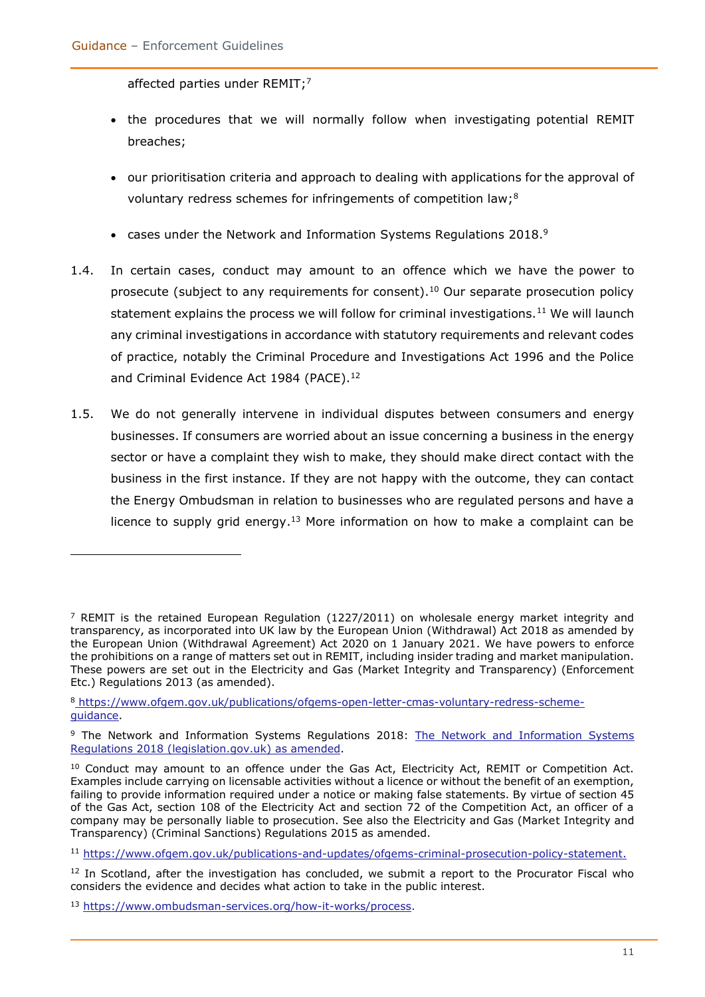affected parties under REMIT;<sup>7</sup>

- the procedures that we will normally follow when investigating potential REMIT breaches;
- our prioritisation criteria and approach to dealing with applications for the approval of voluntary redress schemes for infringements of competition law;<sup>8</sup>
- cases under the Network and Information Systems Regulations 2018. $9$
- 1.4. In certain cases, conduct may amount to an offence which we have the power to prosecute (subject to any requirements for consent).<sup>10</sup> Our separate prosecution policy statement explains the process we will follow for criminal investigations.<sup>11</sup> We will launch any criminal investigations in accordance with statutory requirements and relevant codes of practice, notably the Criminal Procedure and Investigations Act 1996 and the Police and Criminal Evidence Act 1984 (PACE). 12
- 1.5. We do not generally intervene in individual disputes between consumers and energy businesses. If consumers are worried about an issue concerning a business in the energy sector or have a complaint they wish to make, they should make direct contact with the business in the first instance. If they are not happy with the outcome, they can contact the Energy Ombudsman in relation to businesses who are regulated persons and have a licence to supply grid energy.<sup>13</sup> More information on how to make a complaint can be

 $<sup>7</sup>$  REMIT is the retained European Regulation (1227/2011) on wholesale energy market integrity and</sup> transparency, as incorporated into UK law by the European Union (Withdrawal) Act 2018 as amended by the European Union (Withdrawal Agreement) Act 2020 on 1 January 2021. We have powers to enforce the prohibitions on a range of matters set out in REMIT, including insider trading and market manipulation. These powers are set out in the Electricity and Gas (Market Integrity and Transparency) (Enforcement Etc.) Regulations 2013 (as amended).

<sup>8</sup> [https://www.ofgem.gov.uk/publications/ofgems-open-letter-cmas-voluntary-redress-scheme](file:///C:/Users/cranel/AppData/Local/Microsoft/Windows/INetCache/Content.Outlook/RYLEOJHF/)[guidance.](file:///C:/Users/cranel/AppData/Local/Microsoft/Windows/INetCache/Content.Outlook/RYLEOJHF/)

<sup>9</sup> The Network and Information Systems Regulations 2018: [The Network and Information Systems](https://eur02.safelinks.protection.outlook.com/?url=https%3A%2F%2Fwww.legislation.gov.uk%2Fuksi%2F2018%2F506&data=04%7C01%7CHeather.Swan%40ofgem.gov.uk%7Cca6f3785bf7b47b422d208d8ed1b7041%7C185562ad39bc48408e40be6216340c52%7C0%7C0%7C637520049383399671%7CUnknown%7CTWFpbGZsb3d8eyJWIjoiMC4wLjAwMDAiLCJQIjoiV2luMzIiLCJBTiI6Ik1haWwiLCJXVCI6Mn0%3D%7C1000&sdata=gZFYa%2BfosPWS7Sf47KwkoCqn7RMHE7%2BkCUqVqmzUTIA%3D&reserved=0)  [Regulations 2018 \(legislation.gov.uk\)](https://eur02.safelinks.protection.outlook.com/?url=https%3A%2F%2Fwww.legislation.gov.uk%2Fuksi%2F2018%2F506&data=04%7C01%7CHeather.Swan%40ofgem.gov.uk%7Cca6f3785bf7b47b422d208d8ed1b7041%7C185562ad39bc48408e40be6216340c52%7C0%7C0%7C637520049383399671%7CUnknown%7CTWFpbGZsb3d8eyJWIjoiMC4wLjAwMDAiLCJQIjoiV2luMzIiLCJBTiI6Ik1haWwiLCJXVCI6Mn0%3D%7C1000&sdata=gZFYa%2BfosPWS7Sf47KwkoCqn7RMHE7%2BkCUqVqmzUTIA%3D&reserved=0) as amended.

<sup>&</sup>lt;sup>10</sup> Conduct may amount to an offence under the Gas Act, Electricity Act, REMIT or Competition Act. Examples include carrying on licensable activities without a licence or without the benefit of an exemption, failing to provide information required under a notice or making false statements. By virtue of section 45 of the Gas Act, section 108 of the Electricity Act and section 72 of the Competition Act, an officer of a company may be personally liable to prosecution. See also the Electricity and Gas (Market Integrity and Transparency) (Criminal Sanctions) Regulations 2015 as amended.

<sup>11</sup> [https://www.ofgem.gov.uk/publications-and-updates/ofgems-criminal-prosecution-policy-statement.](https://www.ofgem.gov.uk/publications-and-updates/ofgems-criminal-prosecution-policy-statement)

 $12$  In Scotland, after the investigation has concluded, we submit a report to the Procurator Fiscal who considers the evidence and decides what action to take in the public interest.

<sup>13</sup> [https://www.ombudsman-services.org/how-it-works/process.](https://www.ombudsman-services.org/how-it-works/process)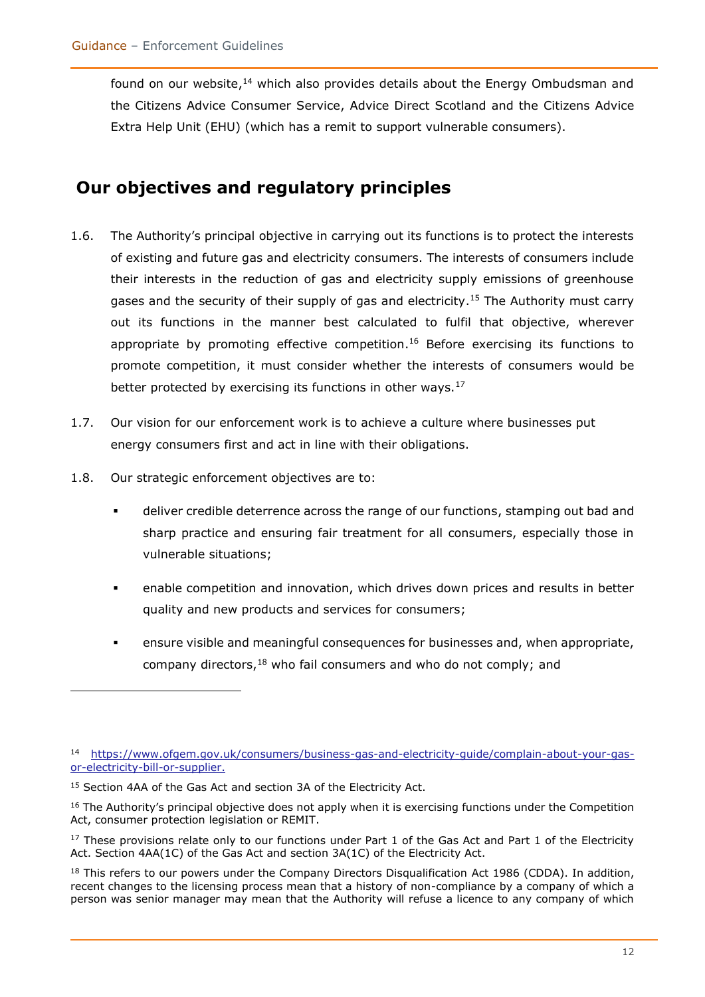found on our website,<sup>14</sup> which also provides details about the Energy Ombudsman and the Citizens Advice Consumer Service, Advice Direct Scotland and the Citizens Advice Extra Help Unit (EHU) (which has a remit to support vulnerable consumers).

### <span id="page-11-0"></span>**Our objectives and regulatory principles**

- 1.6. The Authority's principal objective in carrying out its functions is to protect the interests of existing and future gas and electricity consumers. The interests of consumers include their interests in the reduction of gas and electricity supply emissions of greenhouse gases and the security of their supply of gas and electricity.<sup>15</sup> The Authority must carry out its functions in the manner best calculated to fulfil that objective, wherever appropriate by promoting effective competition.<sup>16</sup> Before exercising its functions to promote competition, it must consider whether the interests of consumers would be better protected by exercising its functions in other ways.<sup>17</sup>
- 1.7. Our vision for our enforcement work is to achieve a culture where businesses put energy consumers first and act in line with their obligations.
- 1.8. Our strategic enforcement objectives are to:
	- deliver credible deterrence across the range of our functions, stamping out bad and sharp practice and ensuring fair treatment for all consumers, especially those in vulnerable situations;
	- enable competition and innovation, which drives down prices and results in better quality and new products and services for consumers;
	- ensure visible and meaningful consequences for businesses and, when appropriate, company directors, $18$  who fail consumers and who do not comply; and

<sup>14</sup> [https://www.ofgem.gov.uk/consumers/business-gas-and-electricity-guide/complain-about-your-gas](https://www.ofgem.gov.uk/consumers/business-gas-and-electricity-guide/complain-about-your-gas-or-electricity-bill-or-supplier)[or-electricity-bill-or-supplier.](https://www.ofgem.gov.uk/consumers/business-gas-and-electricity-guide/complain-about-your-gas-or-electricity-bill-or-supplier)

<sup>&</sup>lt;sup>15</sup> Section 4AA of the Gas Act and section 3A of the Electricity Act.

<sup>&</sup>lt;sup>16</sup> The Authority's principal objective does not apply when it is exercising functions under the Competition Act, consumer protection legislation or REMIT.

 $17$  These provisions relate only to our functions under Part 1 of the Gas Act and Part 1 of the Electricity Act. Section 4AA(1C) of the Gas Act and section 3A(1C) of the Electricity Act.

<sup>&</sup>lt;sup>18</sup> This refers to our powers under the Company Directors Disqualification Act 1986 (CDDA). In addition, recent changes to the licensing process mean that a history of non-compliance by a company of which a person was senior manager may mean that the Authority will refuse a licence to any company of which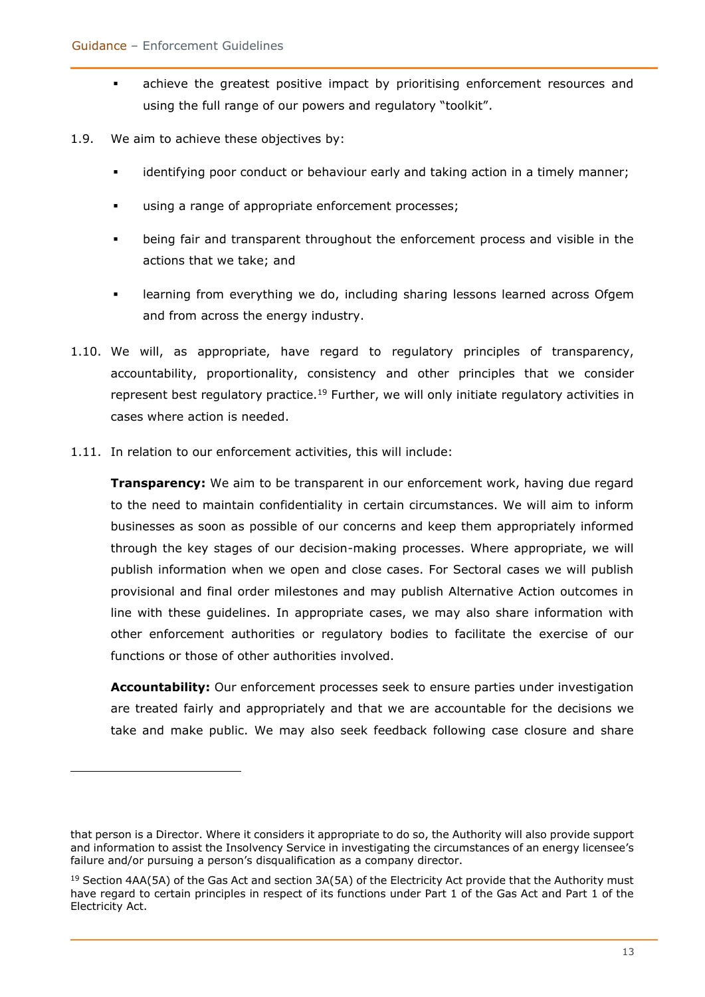- achieve the greatest positive impact by prioritising enforcement resources and using the full range of our powers and regulatory "toolkit".
- 1.9. We aim to achieve these objectives by:
	- identifying poor conduct or behaviour early and taking action in a timely manner;
	- using a range of appropriate enforcement processes;
	- being fair and transparent throughout the enforcement process and visible in the actions that we take; and
	- **EXEDENT** learning from everything we do, including sharing lessons learned across Ofgem and from across the energy industry.
- 1.10. We will, as appropriate, have regard to regulatory principles of transparency, accountability, proportionality, consistency and other principles that we consider represent best regulatory practice.<sup>19</sup> Further, we will only initiate regulatory activities in cases where action is needed.
- 1.11. In relation to our enforcement activities, this will include:

**Transparency:** We aim to be transparent in our enforcement work, having due regard to the need to maintain confidentiality in certain circumstances. We will aim to inform businesses as soon as possible of our concerns and keep them appropriately informed through the key stages of our decision-making processes. Where appropriate, we will publish information when we open and close cases. For Sectoral cases we will publish provisional and final order milestones and may publish Alternative Action outcomes in line with these guidelines. In appropriate cases, we may also share information with other enforcement authorities or regulatory bodies to facilitate the exercise of our functions or those of other authorities involved.

**Accountability:** Our enforcement processes seek to ensure parties under investigation are treated fairly and appropriately and that we are accountable for the decisions we take and make public. We may also seek feedback following case closure and share

that person is a Director. Where it considers it appropriate to do so, the Authority will also provide support and information to assist the Insolvency Service in investigating the circumstances of an energy licensee's failure and/or pursuing a person's disqualification as a company director.

<sup>&</sup>lt;sup>19</sup> Section 4AA(5A) of the Gas Act and section 3A(5A) of the Electricity Act provide that the Authority must have regard to certain principles in respect of its functions under Part 1 of the Gas Act and Part 1 of the Electricity Act.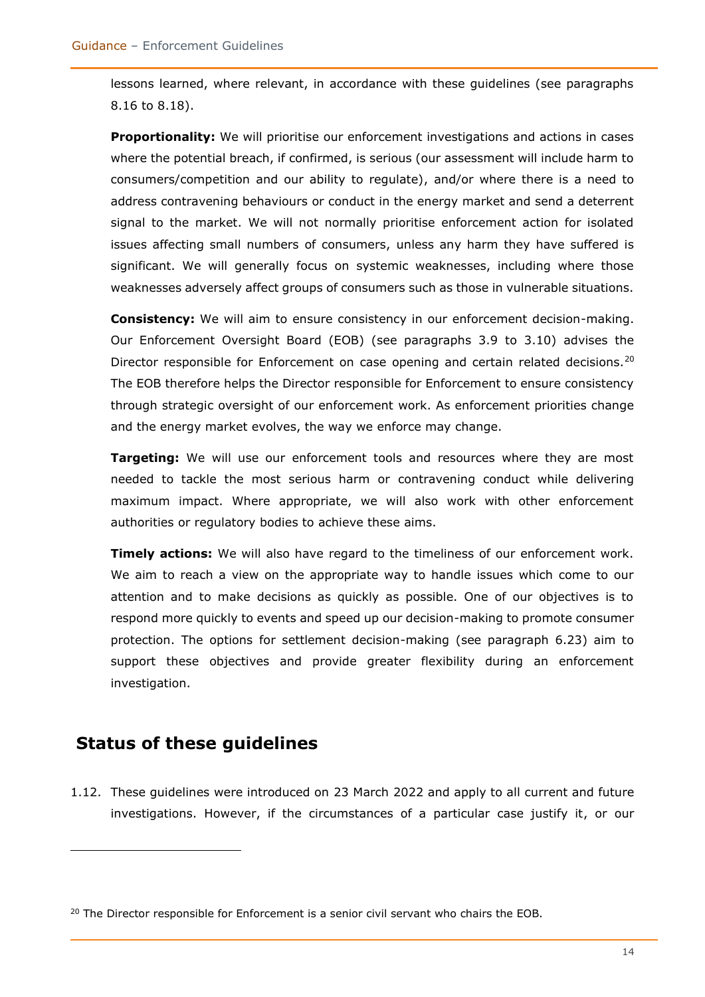lessons learned, where relevant, in accordance with these guidelines (see paragraphs 8.16 to 8.18).

**Proportionality:** We will prioritise our enforcement investigations and actions in cases where the potential breach, if confirmed, is serious (our assessment will include harm to consumers/competition and our ability to regulate), and/or where there is a need to address contravening behaviours or conduct in the energy market and send a deterrent signal to the market. We will not normally prioritise enforcement action for isolated issues affecting small numbers of consumers, unless any harm they have suffered is significant. We will generally focus on systemic weaknesses, including where those weaknesses adversely affect groups of consumers such as those in vulnerable situations.

**Consistency:** We will aim to ensure consistency in our enforcement decision-making. Our Enforcement Oversight Board (EOB) (see paragraphs 3.9 to 3.10) advises the Director responsible for Enforcement on case opening and certain related decisions.<sup>20</sup> The EOB therefore helps the Director responsible for Enforcement to ensure consistency through strategic oversight of our enforcement work. As enforcement priorities change and the energy market evolves, the way we enforce may change.

**Targeting:** We will use our enforcement tools and resources where they are most needed to tackle the most serious harm or contravening conduct while delivering maximum impact. Where appropriate, we will also work with other enforcement authorities or regulatory bodies to achieve these aims.

**Timely actions:** We will also have regard to the timeliness of our enforcement work. We aim to reach a view on the appropriate way to handle issues which come to our attention and to make decisions as quickly as possible. One of our objectives is to respond more quickly to events and speed up our decision-making to promote consumer protection. The options for settlement decision-making (see paragraph 6.23) aim to support these objectives and provide greater flexibility during an enforcement investigation.

### <span id="page-13-0"></span>**Status of these guidelines**

1.12. These guidelines were introduced on 23 March 2022 and apply to all current and future investigations. However, if the circumstances of a particular case justify it, or our

 $20$  The Director responsible for Enforcement is a senior civil servant who chairs the EOB.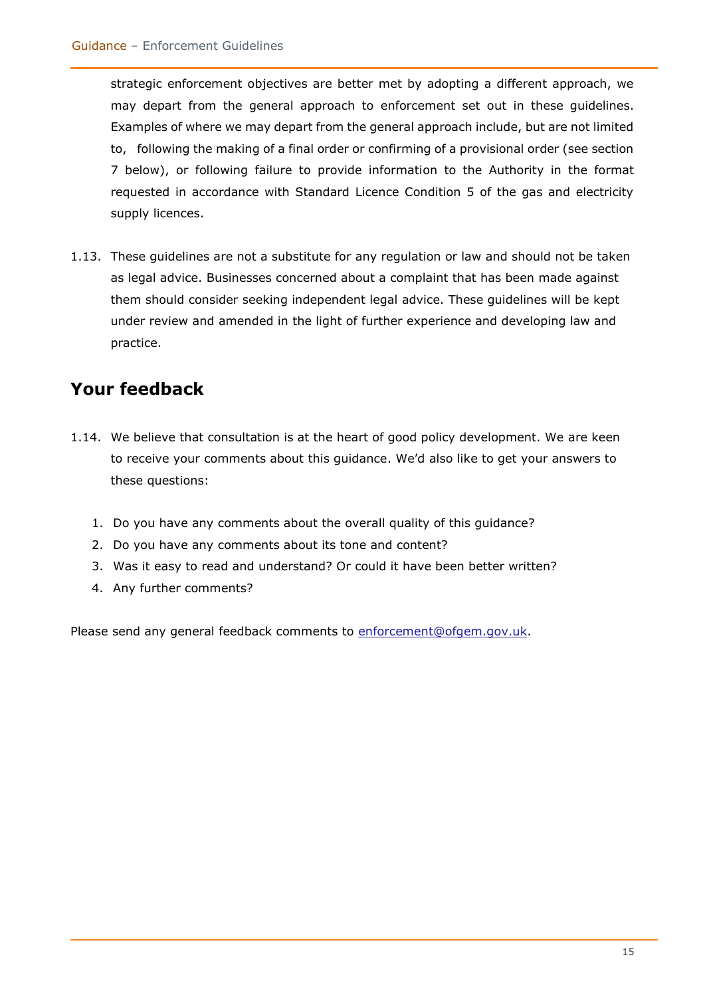strategic enforcement objectives are better met by adopting a different approach, we may depart from the general approach to enforcement set out in these guidelines. Examples of where we may depart from the general approach include, but are not limited to, following the making of a final order or confirming of a provisional order (see section 7 below), or following failure to provide information to the Authority in the format requested in accordance with Standard Licence Condition 5 of the gas and electricity supply licences.

1.13. These guidelines are not a substitute for any regulation or law and should not be taken as legal advice. Businesses concerned about a complaint that has been made against them should consider seeking independent legal advice. These guidelines will be kept under review and amended in the light of further experience and developing law and practice.

### <span id="page-14-0"></span>**Your feedback**

- 1.14. We believe that consultation is at the heart of good policy development. We are keen to receive your comments about this guidance. We'd also like to get your answers to these questions:
	- 1. Do you have any comments about the overall quality of this guidance?
	- 2. Do you have any comments about its tone and content?
	- 3. Was it easy to read and understand? Or could it have been better written?
	- 4. Any further comments?

Please send any general feedback comments to [enforcement@ofgem.gov.uk.](mailto:enforcement@ofgem.gov.uk)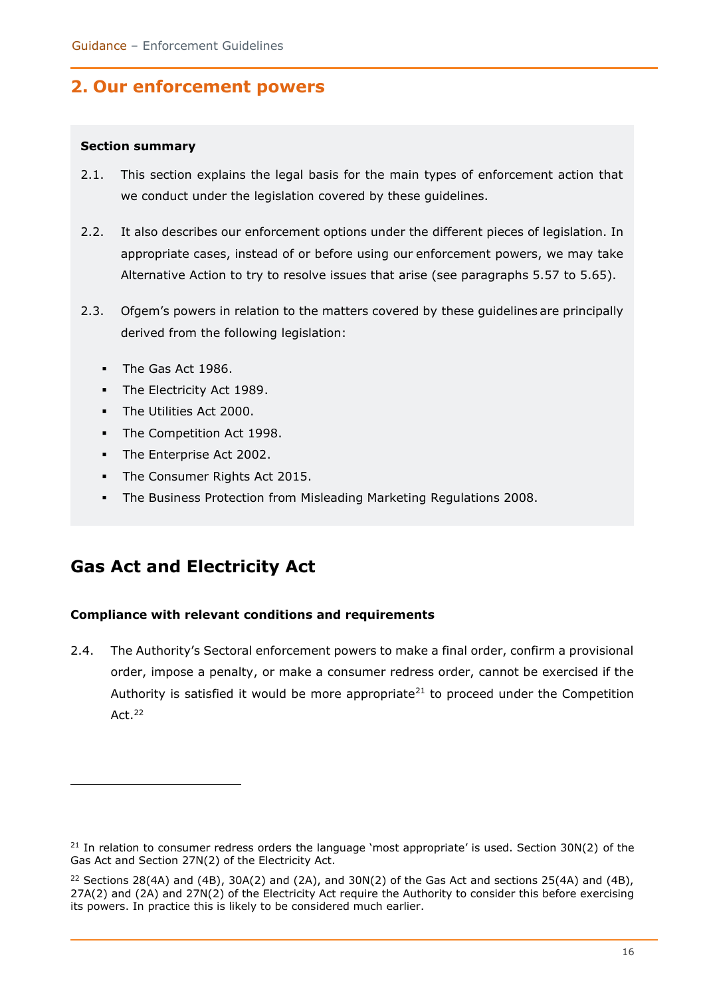### <span id="page-15-0"></span>**2. Our enforcement powers**

#### <span id="page-15-1"></span>**Section summary**

- 2.1. This section explains the legal basis for the main types of enforcement action that we conduct under the legislation covered by these guidelines.
- 2.2. It also describes our enforcement options under the different pieces of legislation. In appropriate cases, instead of or before using our enforcement powers, we may take Alternative Action to try to resolve issues that arise (see paragraphs 5.57 to 5.65).
- 2.3. Ofgem's powers in relation to the matters covered by these guidelines are principally derived from the following legislation:
	- **The Gas Act 1986.**
	- The Electricity Act 1989.
	- The Utilities Act 2000.
	- **·** The Competition Act 1998.
	- The Enterprise Act 2002.
	- The Consumer Rights Act 2015.
	- The Business Protection from Misleading Marketing Regulations 2008.

### <span id="page-15-2"></span>**Gas Act and Electricity Act**

#### <span id="page-15-3"></span>**Compliance with relevant conditions and requirements**

2.4. The Authority's Sectoral enforcement powers to make a final order, confirm a provisional order, impose a penalty, or make a consumer redress order, cannot be exercised if the Authority is satisfied it would be more appropriate<sup>21</sup> to proceed under the Competition Act.<sup>22</sup>

 $21$  In relation to consumer redress orders the language 'most appropriate' is used. Section 30N(2) of the Gas Act and Section 27N(2) of the Electricity Act.

<sup>&</sup>lt;sup>22</sup> Sections 28(4A) and (4B), 30A(2) and (2A), and 30N(2) of the Gas Act and sections 25(4A) and (4B), 27A(2) and (2A) and 27N(2) of the Electricity Act require the Authority to consider this before exercising its powers. In practice this is likely to be considered much earlier.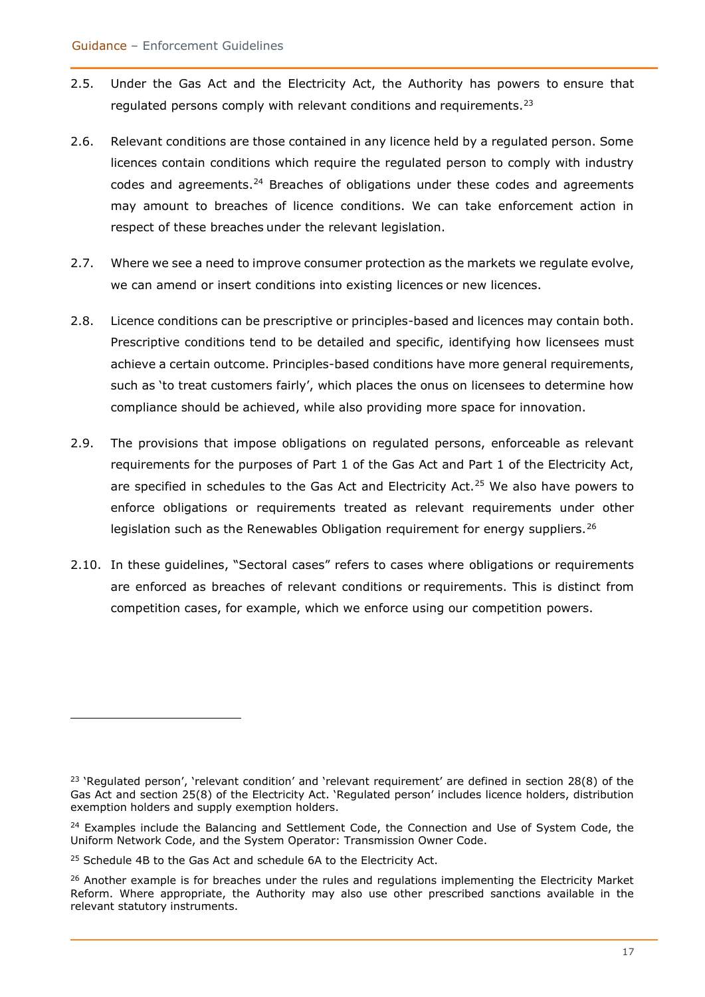- 2.5. Under the Gas Act and the Electricity Act, the Authority has powers to ensure that regulated persons comply with relevant conditions and requirements.<sup>23</sup>
- 2.6. Relevant conditions are those contained in any licence held by a regulated person. Some licences contain conditions which require the regulated person to comply with industry codes and agreements. $24$  Breaches of obligations under these codes and agreements may amount to breaches of licence conditions. We can take enforcement action in respect of these breaches under the relevant legislation.
- 2.7. Where we see a need to improve consumer protection as the markets we regulate evolve, we can amend or insert conditions into existing licences or new licences.
- 2.8. Licence conditions can be prescriptive or principles-based and licences may contain both. Prescriptive conditions tend to be detailed and specific, identifying how licensees must achieve a certain outcome. Principles-based conditions have more general requirements, such as 'to treat customers fairly', which places the onus on licensees to determine how compliance should be achieved, while also providing more space for innovation.
- 2.9. The provisions that impose obligations on regulated persons, enforceable as relevant requirements for the purposes of Part 1 of the Gas Act and Part 1 of the Electricity Act, are specified in schedules to the Gas Act and Electricity Act.<sup>25</sup> We also have powers to enforce obligations or requirements treated as relevant requirements under other legislation such as the Renewables Obligation requirement for energy suppliers.<sup>26</sup>
- 2.10. In these guidelines, "Sectoral cases" refers to cases where obligations or requirements are enforced as breaches of relevant conditions or requirements. This is distinct from competition cases, for example, which we enforce using our competition powers.

 $23$  'Regulated person', 'relevant condition' and 'relevant requirement' are defined in section 28(8) of the Gas Act and section 25(8) of the Electricity Act. 'Regulated person' includes licence holders, distribution exemption holders and supply exemption holders.

<sup>&</sup>lt;sup>24</sup> Examples include the Balancing and Settlement Code, the Connection and Use of System Code, the Uniform Network Code, and the System Operator: Transmission Owner Code.

<sup>&</sup>lt;sup>25</sup> Schedule 4B to the Gas Act and schedule 6A to the Electricity Act.

 $26$  Another example is for breaches under the rules and regulations implementing the Electricity Market Reform. Where appropriate, the Authority may also use other prescribed sanctions available in the relevant statutory instruments.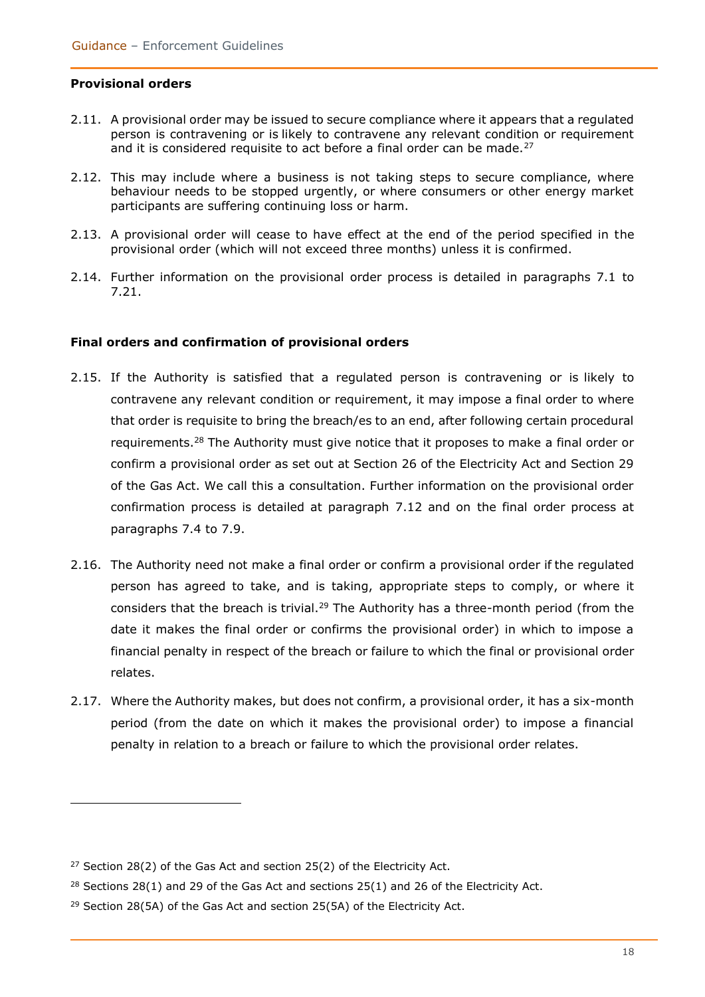#### <span id="page-17-0"></span>**Provisional orders**

- 2.11. A provisional order may be issued to secure compliance where it appears that a regulated person is contravening or is likely to contravene any relevant condition or requirement and it is considered requisite to act before a final order can be made.<sup>27</sup>
- 2.12. This may include where a business is not taking steps to secure compliance, where behaviour needs to be stopped urgently, or where consumers or other energy market participants are suffering continuing loss or harm.
- 2.13. A provisional order will cease to have effect at the end of the period specified in the provisional order (which will not exceed three months) unless it is confirmed.
- 2.14. Further information on the provisional order process is detailed in paragraphs 7.1 to 7.21.

#### <span id="page-17-1"></span>**Final orders and confirmation of provisional orders**

- 2.15. If the Authority is satisfied that a regulated person is contravening or is likely to contravene any relevant condition or requirement, it may impose a final order to where that order is requisite to bring the breach/es to an end, after following certain procedural requirements.<sup>28</sup> The Authority must give notice that it proposes to make a final order or confirm a provisional order as set out at Section 26 of the Electricity Act and Section 29 of the Gas Act. We call this a consultation. Further information on the provisional order confirmation process is detailed at paragraph 7.12 and on the final order process at paragraphs 7.4 to 7.9.
- 2.16. The Authority need not make a final order or confirm a provisional order if the regulated person has agreed to take, and is taking, appropriate steps to comply, or where it considers that the breach is trivial.<sup>29</sup> The Authority has a three-month period (from the date it makes the final order or confirms the provisional order) in which to impose a financial penalty in respect of the breach or failure to which the final or provisional order relates.
- 2.17. Where the Authority makes, but does not confirm, a provisional order, it has a six-month period (from the date on which it makes the provisional order) to impose a financial penalty in relation to a breach or failure to which the provisional order relates.

<sup>&</sup>lt;sup>27</sup> Section 28(2) of the Gas Act and section 25(2) of the Electricity Act.

 $28$  Sections 28(1) and 29 of the Gas Act and sections 25(1) and 26 of the Electricity Act.

<sup>&</sup>lt;sup>29</sup> Section 28(5A) of the Gas Act and section 25(5A) of the Electricity Act.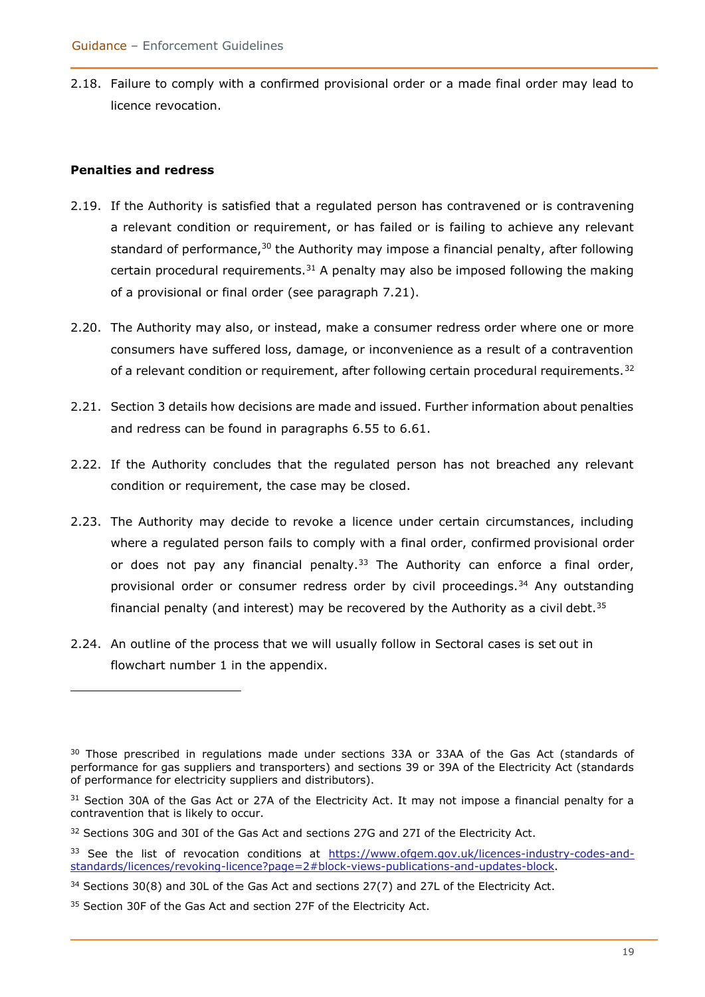2.18. Failure to comply with a confirmed provisional order or a made final order may lead to licence revocation.

#### <span id="page-18-0"></span>**Penalties and redress**

- 2.19. If the Authority is satisfied that a regulated person has contravened or is contravening a relevant condition or requirement, or has failed or is failing to achieve any relevant standard of performance,  $30$  the Authority may impose a financial penalty, after following certain procedural requirements. $31$  A penalty may also be imposed following the making of a provisional or final order (see paragraph 7.21).
- 2.20. The Authority may also, or instead, make a consumer redress order where one or more consumers have suffered loss, damage, or inconvenience as a result of a contravention of a relevant condition or requirement, after following certain procedural requirements.<sup>32</sup>
- 2.21. Section 3 details how decisions are made and issued. Further information about penalties and redress can be found in paragraphs 6.55 to 6.61.
- 2.22. If the Authority concludes that the regulated person has not breached any relevant condition or requirement, the case may be closed.
- 2.23. The Authority may decide to revoke a licence under certain circumstances, including where a regulated person fails to comply with a final order, confirmed provisional order or does not pay any financial penalty. $33$  The Authority can enforce a final order, provisional order or consumer redress order by civil proceedings.<sup>34</sup> Any outstanding financial penalty (and interest) may be recovered by the Authority as a civil debt.<sup>35</sup>
- 2.24. An outline of the process that we will usually follow in Sectoral cases is set out in flowchart number 1 in the appendix.

<sup>&</sup>lt;sup>30</sup> Those prescribed in regulations made under sections 33A or 33AA of the Gas Act (standards of performance for gas suppliers and transporters) and sections 39 or 39A of the Electricity Act (standards of performance for electricity suppliers and distributors).

 $31$  Section 30A of the Gas Act or 27A of the Electricity Act. It may not impose a financial penalty for a contravention that is likely to occur.

<sup>&</sup>lt;sup>32</sup> Sections 30G and 30I of the Gas Act and sections 27G and 27I of the Electricity Act.

<sup>&</sup>lt;sup>33</sup> See the list of revocation conditions at [https://www.ofgem.gov.uk/licences-industry-codes-and](https://www.ofgem.gov.uk/licences-industry-codes-and-standards/licences/revoking-licence?page=2#block-views-publications-and-updates-block)[standards/licences/revoking-licence?page=2#block-views-publications-and-updates-block.](https://www.ofgem.gov.uk/licences-industry-codes-and-standards/licences/revoking-licence?page=2#block-views-publications-and-updates-block)

 $34$  Sections 30(8) and 30L of the Gas Act and sections 27(7) and 27L of the Electricity Act.

<sup>&</sup>lt;sup>35</sup> Section 30F of the Gas Act and section 27F of the Electricity Act.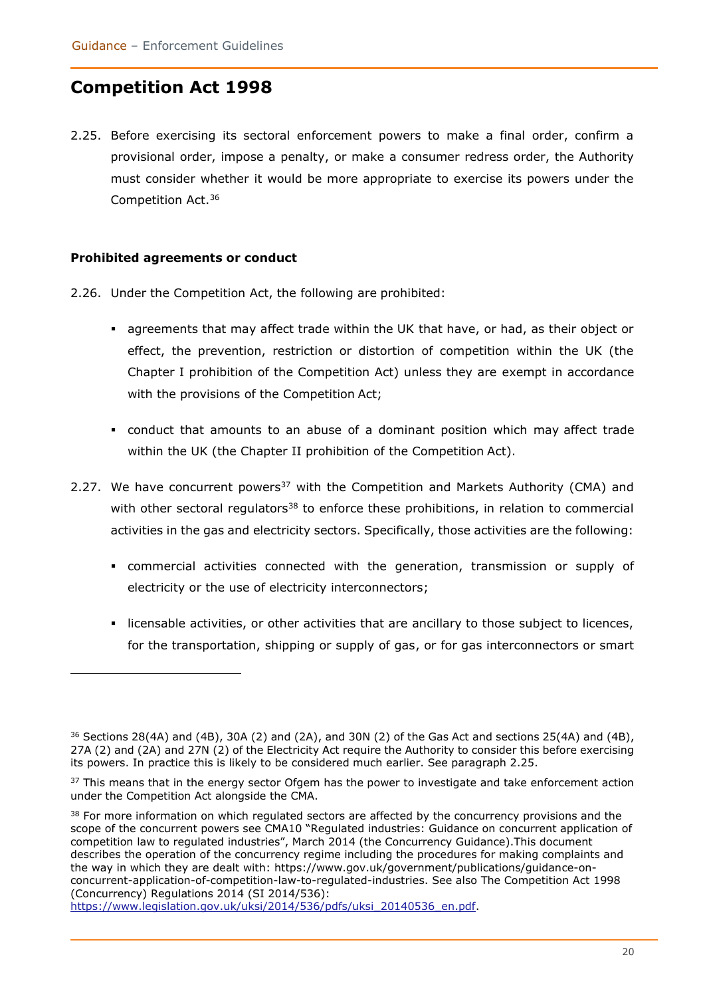### <span id="page-19-0"></span>**Competition Act 1998**

2.25. Before exercising its sectoral enforcement powers to make a final order, confirm a provisional order, impose a penalty, or make a consumer redress order, the Authority must consider whether it would be more appropriate to exercise its powers under the Competition Act.<sup>36</sup>

#### <span id="page-19-1"></span>**Prohibited agreements or conduct**

- 2.26. Under the Competition Act, the following are prohibited:
	- agreements that may affect trade within the UK that have, or had, as their object or effect, the prevention, restriction or distortion of competition within the UK (the Chapter I prohibition of the Competition Act) unless they are exempt in accordance with the provisions of the Competition Act;
	- conduct that amounts to an abuse of a dominant position which may affect trade within the UK (the Chapter II prohibition of the Competition Act).
- 2.27. We have concurrent powers<sup>37</sup> with the Competition and Markets Authority (CMA) and with other sectoral regulators<sup>38</sup> to enforce these prohibitions, in relation to commercial activities in the gas and electricity sectors. Specifically, those activities are the following:
	- commercial activities connected with the generation, transmission or supply of electricity or the use of electricity interconnectors;
	- licensable activities, or other activities that are ancillary to those subject to licences, for the transportation, shipping or supply of gas, or for gas interconnectors or smart

 $36$  Sections 28(4A) and (4B), 30A (2) and (2A), and 30N (2) of the Gas Act and sections 25(4A) and (4B), 27A (2) and (2A) and 27N (2) of the Electricity Act require the Authority to consider this before exercising its powers. In practice this is likely to be considered much earlier. See paragraph 2.25.

<sup>&</sup>lt;sup>37</sup> This means that in the energy sector Ofgem has the power to investigate and take enforcement action under the Competition Act alongside the CMA.

<sup>&</sup>lt;sup>38</sup> For more information on which regulated sectors are affected by the concurrency provisions and the scope of the concurrent powers see CMA10 "Regulated industries: Guidance on concurrent application of competition law to regulated industries", March 2014 (the Concurrency Guidance).This document describes the operation of the concurrency regime including the procedures for making complaints and the way in which they are dealt with: [https://www.gov.uk/government/publications/guidance-on](https://www.gov.uk/government/publications/guidance-on-concurrent-application-of-competition-law-to-regulated-industries)[concurrent-application-of-competition-law-to-regulated-industries.](https://www.gov.uk/government/publications/guidance-on-concurrent-application-of-competition-law-to-regulated-industries) See also The Competition Act 1998 (Concurrency) Regulations 2014 (SI 2014/536):

[https://www.legislation.gov.uk/uksi/2014/536/pdfs/uksi\\_20140536\\_en.pdf.](https://www.legislation.gov.uk/uksi/2014/536/pdfs/uksi_20140536_en.pdf)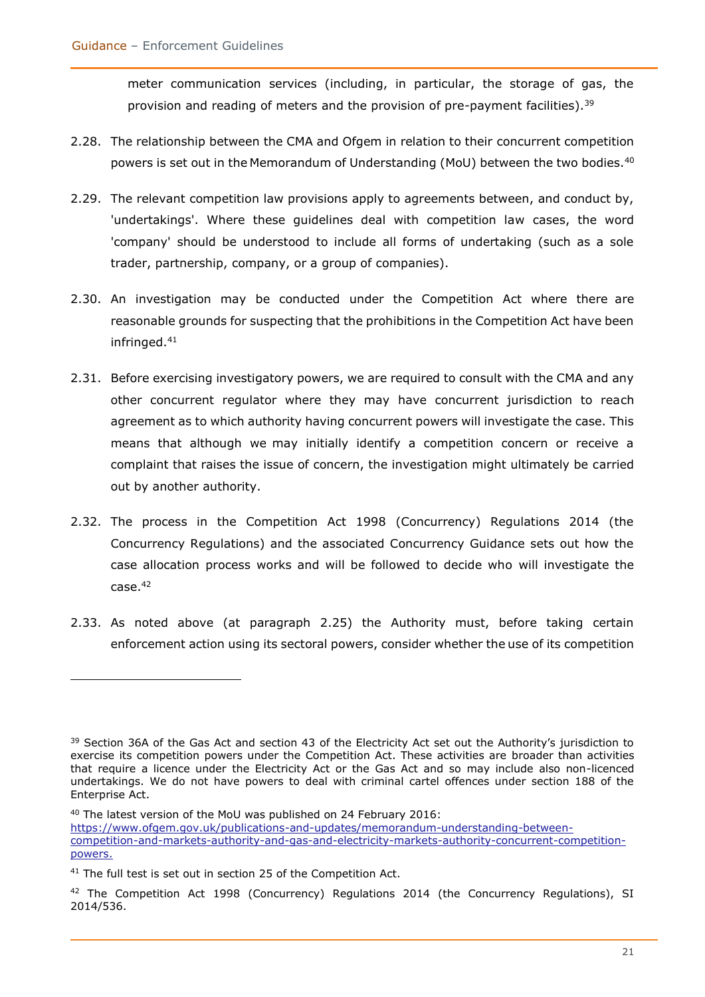meter communication services (including, in particular, the storage of gas, the provision and reading of meters and the provision of pre-payment facilities).<sup>39</sup>

- 2.28. The relationship between the CMA and Ofgem in relation to their concurrent competition powers is set out in the Memorandum of Understanding (MoU) between the two bodies.<sup>40</sup>
- 2.29. The relevant competition law provisions apply to agreements between, and conduct by, 'undertakings'. Where these guidelines deal with competition law cases, the word 'company' should be understood to include all forms of undertaking (such as a sole trader, partnership, company, or a group of companies).
- 2.30. An investigation may be conducted under the Competition Act where there are reasonable grounds for suspecting that the prohibitions in the Competition Act have been infringed.<sup>41</sup>
- 2.31. Before exercising investigatory powers, we are required to consult with the CMA and any other concurrent regulator where they may have concurrent jurisdiction to reach agreement as to which authority having concurrent powers will investigate the case. This means that although we may initially identify a competition concern or receive a complaint that raises the issue of concern, the investigation might ultimately be carried out by another authority.
- 2.32. The process in the Competition Act 1998 (Concurrency) Regulations 2014 (the Concurrency Regulations) and the associated Concurrency Guidance sets out how the case allocation process works and will be followed to decide who will investigate the case.<sup>42</sup>
- 2.33. As noted above (at paragraph 2.25) the Authority must, before taking certain enforcement action using its sectoral powers, consider whether the use of its competition

<sup>40</sup> The latest version of the MoU was published on 24 February 2016:

[https://www.ofgem.gov.uk/publications-and-updates/memorandum-understanding-between](https://www.ofgem.gov.uk/publications-and-updates/memorandum-understanding-between-competition-and-markets-authority-and-gas-and-electricity-markets-authority-concurrent-competition-powers)[competition-and-markets-authority-and-gas-and-electricity-markets-authority-concurrent-competition](https://www.ofgem.gov.uk/publications-and-updates/memorandum-understanding-between-competition-and-markets-authority-and-gas-and-electricity-markets-authority-concurrent-competition-powers)[powers.](https://www.ofgem.gov.uk/publications-and-updates/memorandum-understanding-between-competition-and-markets-authority-and-gas-and-electricity-markets-authority-concurrent-competition-powers)

<sup>&</sup>lt;sup>39</sup> Section 36A of the Gas Act and section 43 of the Electricity Act set out the Authority's jurisdiction to exercise its competition powers under the Competition Act. These activities are broader than activities that require a licence under the Electricity Act or the Gas Act and so may include also non-licenced undertakings. We do not have powers to deal with criminal cartel offences under section 188 of the Enterprise Act.

<sup>&</sup>lt;sup>41</sup> The full test is set out in section 25 of the Competition Act.

 $42$  The Competition Act 1998 (Concurrency) Regulations 2014 (the Concurrency Regulations), SI 2014/536.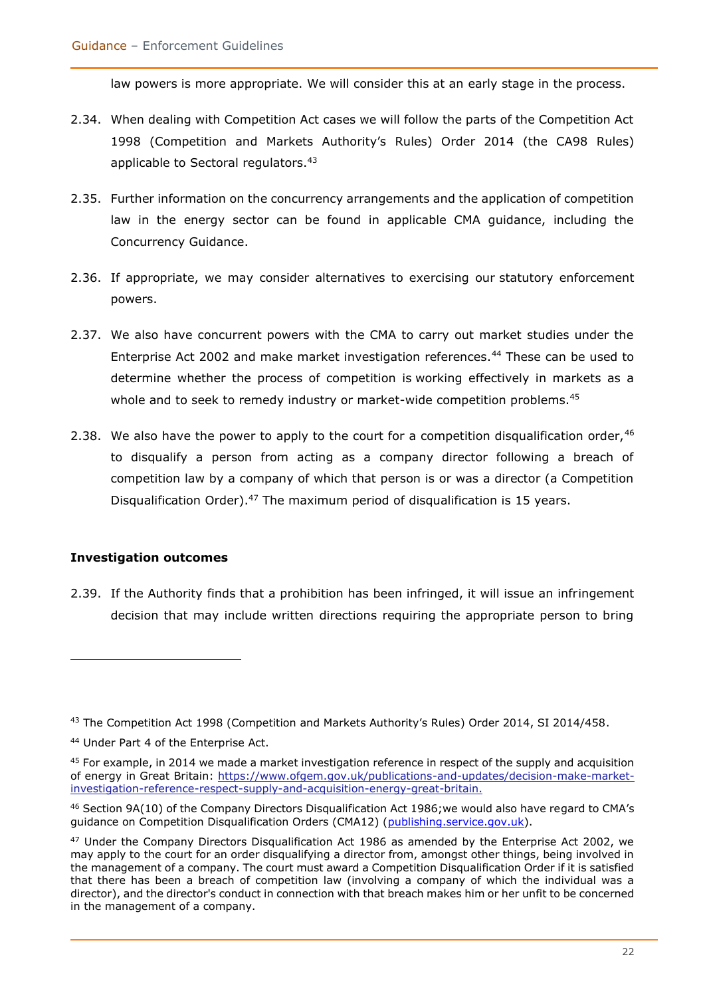law powers is more appropriate. We will consider this at an early stage in the process.

- 2.34. When dealing with Competition Act cases we will follow the parts of the Competition Act 1998 (Competition and Markets Authority's Rules) Order 2014 (the CA98 Rules) applicable to Sectoral regulators.<sup>43</sup>
- 2.35. Further information on the concurrency arrangements and the application of competition law in the energy sector can be found in applicable CMA guidance, including the Concurrency Guidance.
- 2.36. If appropriate, we may consider alternatives to exercising our statutory enforcement powers.
- 2.37. We also have concurrent powers with the CMA to carry out market studies under the Enterprise Act 2002 and make market investigation references.<sup>44</sup> These can be used to determine whether the process of competition is working effectively in markets as a whole and to seek to remedy industry or market-wide competition problems.<sup>45</sup>
- 2.38. We also have the power to apply to the court for a competition disqualification order,  $46$ to disqualify a person from acting as a company director following a breach of competition law by a company of which that person is or was a director (a Competition Disqualification Order).<sup>47</sup> The maximum period of disqualification is 15 years.

#### <span id="page-21-0"></span>**Investigation outcomes**

2.39. If the Authority finds that a prohibition has been infringed, it will issue an infringement decision that may include written directions requiring the appropriate person to bring

<sup>&</sup>lt;sup>43</sup> The Competition Act 1998 (Competition and Markets Authority's Rules) Order 2014, SI 2014/458.

<sup>44</sup> Under Part 4 of the Enterprise Act.

 $45$  For example, in 2014 we made a market investigation reference in respect of the supply and acquisition of energy in Great Britain: [https://www.ofgem.gov.uk/publications-and-updates/decision-make-market](https://www.ofgem.gov.uk/publications-and-updates/decision-make-market-investigation-reference-respect-supply-and-acquisition-energy-great-britain)[investigation-reference-respect-supply-and-acquisition-energy-great-britain.](https://www.ofgem.gov.uk/publications-and-updates/decision-make-market-investigation-reference-respect-supply-and-acquisition-energy-great-britain)

<sup>46</sup> Section 9A(10) of the Company Directors Disqualification Act 1986;we would also have regard to CMA's guidance on Competition Disqualification Orders (CMA12) [\(publishing.service.gov.uk\).](https://assets.publishing.service.gov.uk/government/uploads/system/uploads/attachment_data/file/910485/CMA102_Guidance_on_Competition_Disqualification_Orders__FINAL__PDF_A-.pdf)

<sup>&</sup>lt;sup>47</sup> Under the Company Directors Disqualification Act 1986 as amended by the Enterprise Act 2002, we may apply to the court for an order disqualifying a director from, amongst other things, being involved in the management of a company. The court must award a Competition Disqualification Order if it is satisfied that there has been a breach of competition law (involving a company of which the individual was a director), and the director's conduct in connection with that breach makes him or her unfit to be concerned in the management of a company.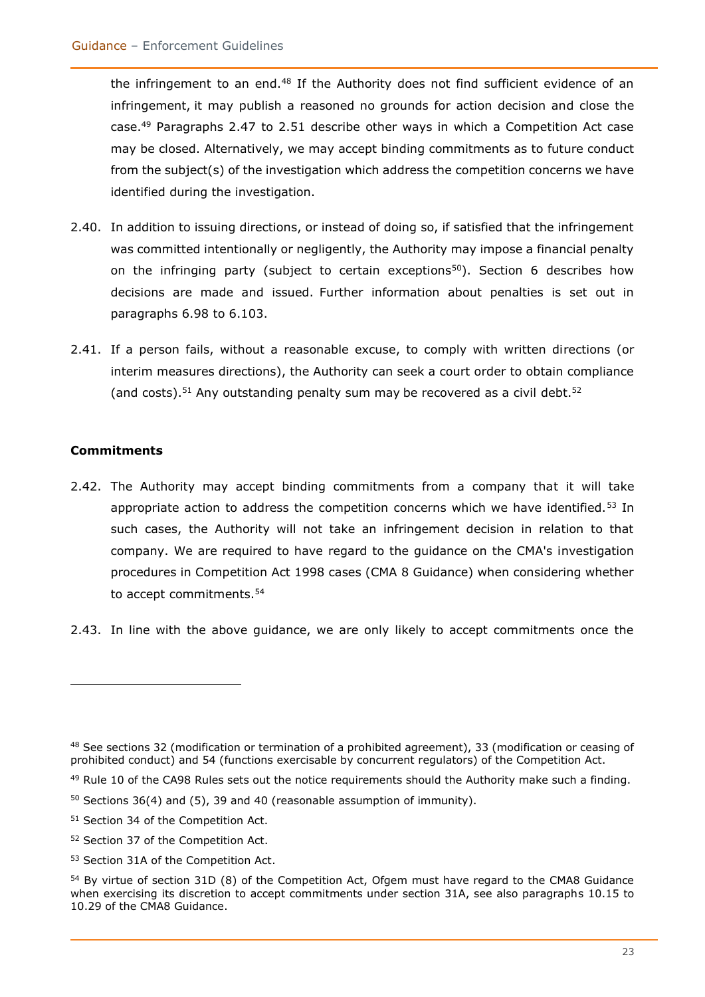the infringement to an end.<sup>48</sup> If the Authority does not find sufficient evidence of an infringement, it may publish a reasoned no grounds for action decision and close the case.<sup>49</sup> Paragraphs 2.47 to 2.51 describe other ways in which a Competition Act case may be closed. Alternatively, we may accept binding commitments as to future conduct from the subject(s) of the investigation which address the competition concerns we have identified during the investigation.

- 2.40. In addition to issuing directions, or instead of doing so, if satisfied that the infringement was committed intentionally or negligently, the Authority may impose a financial penalty on the infringing party (subject to certain exceptions<sup>50</sup>). Section 6 describes how decisions are made and issued. Further information about penalties is set out in paragraphs 6.98 to 6.103.
- 2.41. If a person fails, without a reasonable excuse, to comply with written directions (or interim measures directions), the Authority can seek a court order to obtain compliance (and costs).<sup>51</sup> Any outstanding penalty sum may be recovered as a civil debt.<sup>52</sup>

#### <span id="page-22-0"></span>**Commitments**

- 2.42. The Authority may accept binding commitments from a company that it will take appropriate action to address the competition concerns which we have identified.<sup>53</sup> In such cases, the Authority will not take an infringement decision in relation to that company. We are required to have regard to the guidance on the CMA's investigation procedures in Competition Act 1998 cases (CMA 8 Guidance) when considering whether to accept commitments.<sup>54</sup>
- 2.43. In line with the above guidance, we are only likely to accept commitments once the

<sup>48</sup> See sections 32 (modification or termination of a prohibited agreement), 33 (modification or ceasing of prohibited conduct) and 54 (functions exercisable by concurrent regulators) of the Competition Act.

 $49$  Rule 10 of the CA98 Rules sets out the notice requirements should the Authority make such a finding.

 $50$  Sections 36(4) and (5), 39 and 40 (reasonable assumption of immunity).

<sup>51</sup> Section 34 of the Competition Act.

<sup>52</sup> Section 37 of the Competition Act.

<sup>53</sup> Section 31A of the Competition Act.

<sup>&</sup>lt;sup>54</sup> By virtue of section 31D (8) of the Competition Act, Ofgem must have regard to the CMA8 Guidance when exercising its discretion to accept commitments under section 31A, see also paragraphs 10.15 to 10.29 of the CMA8 Guidance.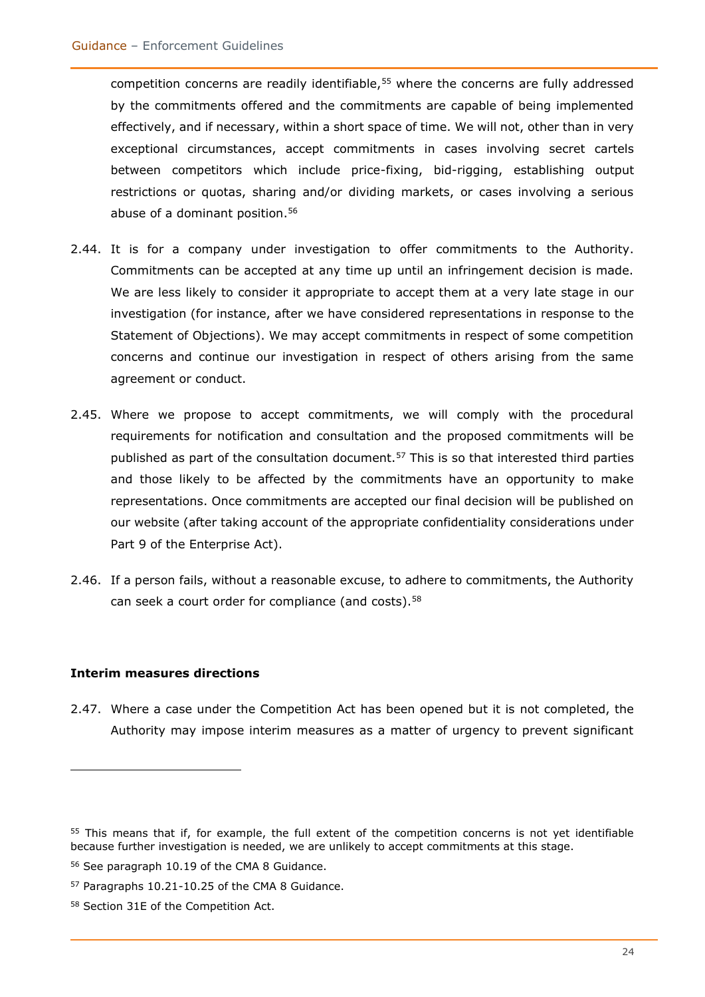competition concerns are readily identifiable,<sup>55</sup> where the concerns are fully addressed by the commitments offered and the commitments are capable of being implemented effectively, and if necessary, within a short space of time. We will not, other than in very exceptional circumstances, accept commitments in cases involving secret cartels between competitors which include price-fixing, bid-rigging, establishing output restrictions or quotas, sharing and/or dividing markets, or cases involving a serious abuse of a dominant position.<sup>56</sup>

- 2.44. It is for a company under investigation to offer commitments to the Authority. Commitments can be accepted at any time up until an infringement decision is made. We are less likely to consider it appropriate to accept them at a very late stage in our investigation (for instance, after we have considered representations in response to the Statement of Objections). We may accept commitments in respect of some competition concerns and continue our investigation in respect of others arising from the same agreement or conduct.
- 2.45. Where we propose to accept commitments, we will comply with the procedural requirements for notification and consultation and the proposed commitments will be published as part of the consultation document.<sup>57</sup> This is so that interested third parties and those likely to be affected by the commitments have an opportunity to make representations. Once commitments are accepted our final decision will be published on our website (after taking account of the appropriate confidentiality considerations under Part 9 of the Enterprise Act).
- 2.46. If a person fails, without a reasonable excuse, to adhere to commitments, the Authority can seek a court order for compliance (and costs).<sup>58</sup>

#### **Interim measures directions**

2.47. Where a case under the Competition Act has been opened but it is not completed, the Authority may impose interim measures as a matter of urgency to prevent significant

<sup>&</sup>lt;sup>55</sup> This means that if, for example, the full extent of the competition concerns is not yet identifiable because further investigation is needed, we are unlikely to accept commitments at this stage.

<sup>56</sup> See paragraph 10.19 of the CMA 8 Guidance.

<sup>57</sup> Paragraphs 10.21-10.25 of the CMA 8 Guidance.

<sup>58</sup> Section 31E of the Competition Act.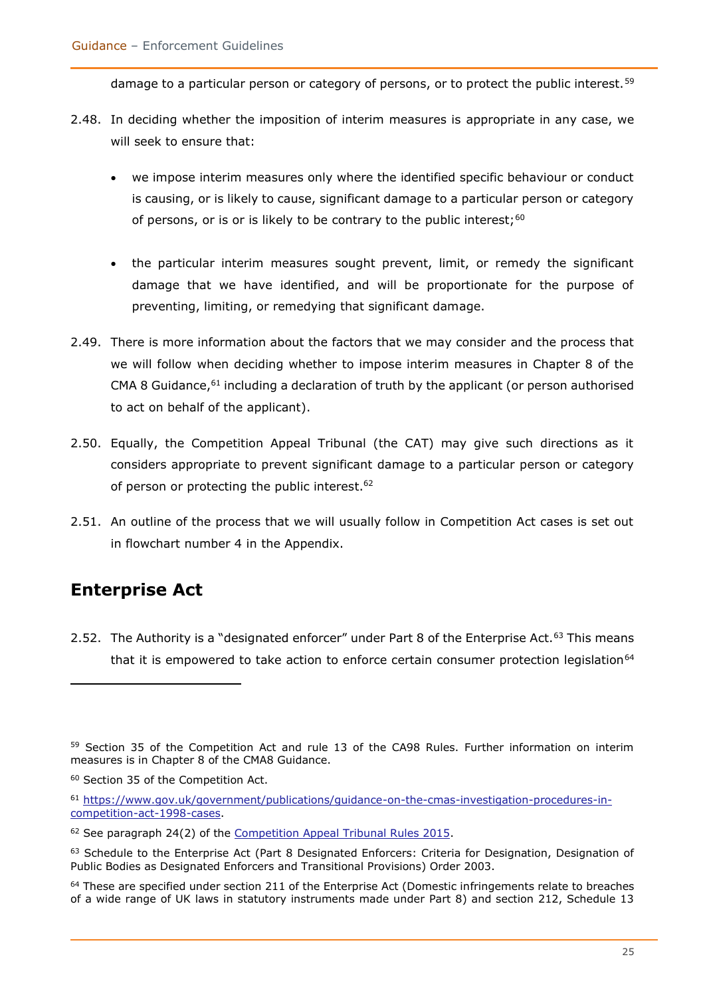damage to a particular person or category of persons, or to protect the public interest.<sup>59</sup>

- 2.48. In deciding whether the imposition of interim measures is appropriate in any case, we will seek to ensure that:
	- we impose interim measures only where the identified specific behaviour or conduct is causing, or is likely to cause, significant damage to a particular person or category of persons, or is or is likely to be contrary to the public interest;<sup>60</sup>
	- the particular interim measures sought prevent, limit, or remedy the significant damage that we have identified, and will be proportionate for the purpose of preventing, limiting, or remedying that significant damage.
- 2.49. There is more information about the factors that we may consider and the process that we will follow when deciding whether to impose interim measures in Chapter 8 of the CMA 8 Guidance,<sup>61</sup> including a declaration of truth by the applicant (or person authorised to act on behalf of the applicant).
- 2.50. Equally, the Competition Appeal Tribunal (the CAT) may give such directions as it considers appropriate to prevent significant damage to a particular person or category of person or protecting the public interest.<sup>62</sup>
- 2.51. An outline of the process that we will usually follow in Competition Act cases is set out in flowchart number 4 in the Appendix.

### <span id="page-24-0"></span>**Enterprise Act**

2.52. The Authority is a "designated enforcer" under Part 8 of the Enterprise Act.<sup>63</sup> This means that it is empowered to take action to enforce certain consumer protection legislation $64$ 

<sup>59</sup> Section 35 of the Competition Act and rule 13 of the CA98 Rules. Further information on interim measures is in Chapter 8 of the CMA8 Guidance.

<sup>60</sup> Section 35 of the Competition Act.

<sup>61</sup> [https://www.gov.uk/government/publications/guidance-on-the-cmas-investigation-procedures-in](https://www.gov.uk/government/publications/guidance-on-the-cmas-investigation-procedures-in-competition-act-1998-cases)[competition-act-1998-cases.](https://www.gov.uk/government/publications/guidance-on-the-cmas-investigation-procedures-in-competition-act-1998-cases)

<sup>&</sup>lt;sup>62</sup> See paragraph 24(2) of the [Competition Appeal Tribunal Rules 2015.](https://www.catribunal.org.uk/sites/default/files/2017-11/The_Competition_Appeal_Tribunal_Rules_2015.pdf)

<sup>&</sup>lt;sup>63</sup> Schedule to the Enterprise Act (Part 8 Designated Enforcers: Criteria for Designation, Designation of Public Bodies as Designated Enforcers and Transitional Provisions) Order 2003.

 $64$  These are specified under section 211 of the Enterprise Act (Domestic infringements relate to breaches of a wide range of UK laws in statutory instruments made under Part 8) and section 212, Schedule 13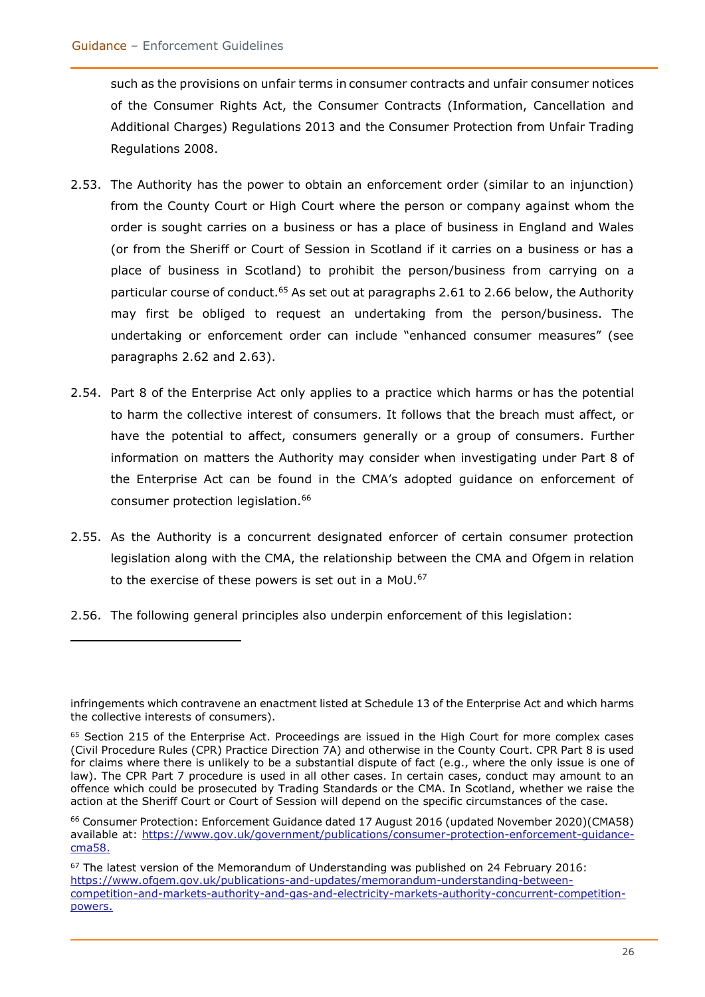such as the provisions on unfair terms in consumer contracts and unfair consumer notices of the Consumer Rights Act, the Consumer Contracts (Information, Cancellation and Additional Charges) Regulations 2013 and the Consumer Protection from Unfair Trading Regulations 2008.

- 2.53. The Authority has the power to obtain an enforcement order (similar to an injunction) from the County Court or High Court where the person or company against whom the order is sought carries on a business or has a place of business in England and Wales (or from the Sheriff or Court of Session in Scotland if it carries on a business or has a place of business in Scotland) to prohibit the person/business from carrying on a particular course of conduct.<sup>65</sup> As set out at paragraphs 2.61 to 2.66 below, the Authority may first be obliged to request an undertaking from the person/business. The undertaking or enforcement order can include "enhanced consumer measures" (see paragraphs 2.62 and 2.63).
- 2.54. Part 8 of the Enterprise Act only applies to a practice which harms or has the potential to harm the collective interest of consumers. It follows that the breach must affect, or have the potential to affect, consumers generally or a group of consumers. Further information on matters the Authority may consider when investigating under Part 8 of the Enterprise Act can be found in the CMA's adopted guidance on enforcement of consumer protection legislation.<sup>66</sup>
- 2.55. As the Authority is a concurrent designated enforcer of certain consumer protection legislation along with the CMA, the relationship between the CMA and Ofgem in relation to the exercise of these powers is set out in a MoU.<sup>67</sup>
- 2.56. The following general principles also underpin enforcement of this legislation:

infringements which contravene an enactment listed at Schedule 13 of the Enterprise Act and which harms the collective interests of consumers).

 $65$  Section 215 of the Enterprise Act. Proceedings are issued in the High Court for more complex cases (Civil Procedure Rules (CPR) Practice Direction 7A) and otherwise in the County Court. CPR Part 8 is used for claims where there is unlikely to be a substantial dispute of fact (e.g., where the only issue is one of law). The CPR Part 7 procedure is used in all other cases. In certain cases, conduct may amount to an offence which could be prosecuted by Trading Standards or the CMA. In Scotland, whether we raise the action at the Sheriff Court or Court of Session will depend on the specific circumstances of the case.

<sup>66</sup> Consumer Protection: Enforcement Guidance dated 17 August 2016 (updated November 2020)(CMA58) available at: [https://www.gov.uk/government/publications/consumer-protection-enforcement-guidance](https://www.gov.uk/government/publications/consumer-protection-enforcement-guidance-cma58)[cma58.](https://www.gov.uk/government/publications/consumer-protection-enforcement-guidance-cma58)

 $67$  The latest version of the Memorandum of Understanding was published on 24 February 2016: [https://www.ofgem.gov.uk/publications-and-updates/memorandum-understanding-between](https://www.ofgem.gov.uk/publications-and-updates/memorandum-understanding-between-competition-and-markets-authority-and-gas-and-electricity-markets-authority-concurrent-competition-powers)[competition-and-markets-authority-and-gas-and-electricity-markets-authority-concurrent-competition](https://www.ofgem.gov.uk/publications-and-updates/memorandum-understanding-between-competition-and-markets-authority-and-gas-and-electricity-markets-authority-concurrent-competition-powers)[powers.](https://www.ofgem.gov.uk/publications-and-updates/memorandum-understanding-between-competition-and-markets-authority-and-gas-and-electricity-markets-authority-concurrent-competition-powers)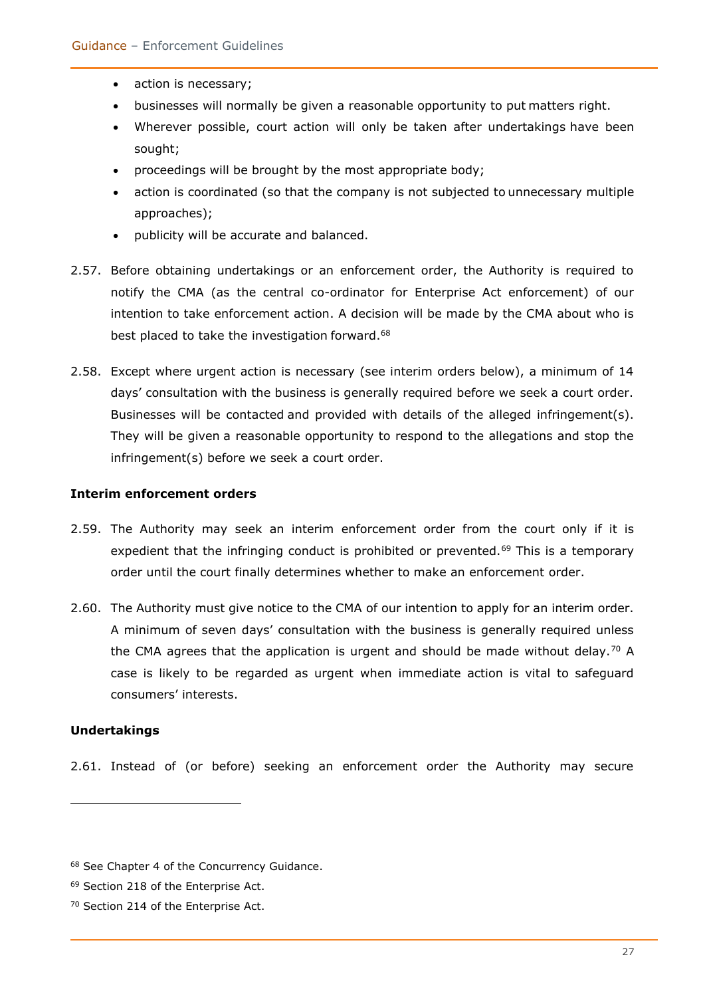- action is necessary;
- businesses will normally be given a reasonable opportunity to put matters right.
- Wherever possible, court action will only be taken after undertakings have been sought;
- proceedings will be brought by the most appropriate body;
- action is coordinated (so that the company is not subjected to unnecessary multiple approaches);
- publicity will be accurate and balanced.
- 2.57. Before obtaining undertakings or an enforcement order, the Authority is required to notify the CMA (as the central co-ordinator for Enterprise Act enforcement) of our intention to take enforcement action. A decision will be made by the CMA about who is best placed to take the investigation forward.<sup>68</sup>
- 2.58. Except where urgent action is necessary (see interim orders below), a minimum of 14 days' consultation with the business is generally required before we seek a court order. Businesses will be contacted and provided with details of the alleged infringement(s). They will be given a reasonable opportunity to respond to the allegations and stop the infringement(s) before we seek a court order.

#### **Interim enforcement orders**

- 2.59. The Authority may seek an interim enforcement order from the court only if it is expedient that the infringing conduct is prohibited or prevented.<sup>69</sup> This is a temporary order until the court finally determines whether to make an enforcement order.
- 2.60. The Authority must give notice to the CMA of our intention to apply for an interim order. A minimum of seven days' consultation with the business is generally required unless the CMA agrees that the application is urgent and should be made without delay.<sup>70</sup> A case is likely to be regarded as urgent when immediate action is vital to safeguard consumers' interests.

#### **Undertakings**

2.61. Instead of (or before) seeking an enforcement order the Authority may secure

<sup>68</sup> See Chapter 4 of the Concurrency Guidance.

<sup>69</sup> Section 218 of the Enterprise Act.

<sup>70</sup> Section 214 of the Enterprise Act.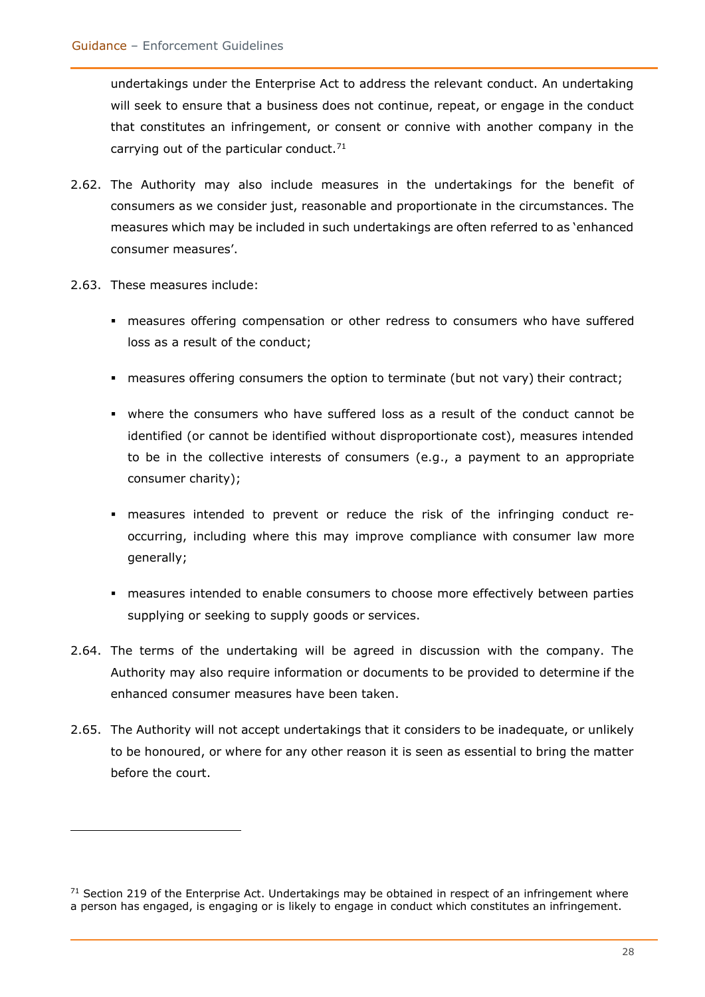undertakings under the Enterprise Act to address the relevant conduct. An undertaking will seek to ensure that a business does not continue, repeat, or engage in the conduct that constitutes an infringement, or consent or connive with another company in the carrying out of the particular conduct. $71$ 

- 2.62. The Authority may also include measures in the undertakings for the benefit of consumers as we consider just, reasonable and proportionate in the circumstances. The measures which may be included in such undertakings are often referred to as 'enhanced consumer measures'.
- 2.63. These measures include:
	- measures offering compensation or other redress to consumers who have suffered loss as a result of the conduct;
	- measures offering consumers the option to terminate (but not vary) their contract;
	- where the consumers who have suffered loss as a result of the conduct cannot be identified (or cannot be identified without disproportionate cost), measures intended to be in the collective interests of consumers (e.g., a payment to an appropriate consumer charity);
	- measures intended to prevent or reduce the risk of the infringing conduct reoccurring, including where this may improve compliance with consumer law more generally;
	- **EX measures intended to enable consumers to choose more effectively between parties** supplying or seeking to supply goods or services.
- 2.64. The terms of the undertaking will be agreed in discussion with the company. The Authority may also require information or documents to be provided to determine if the enhanced consumer measures have been taken.
- 2.65. The Authority will not accept undertakings that it considers to be inadequate, or unlikely to be honoured, or where for any other reason it is seen as essential to bring the matter before the court.

 $71$  Section 219 of the Enterprise Act. Undertakings may be obtained in respect of an infringement where a person has engaged, is engaging or is likely to engage in conduct which constitutes an infringement.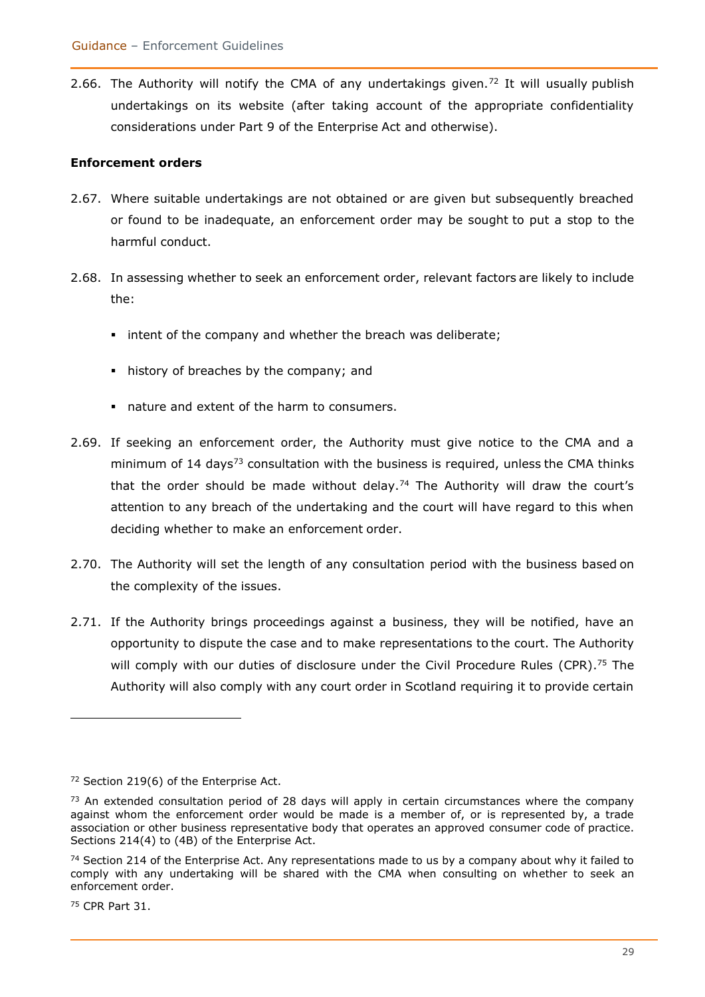2.66. The Authority will notify the CMA of any undertakings given.<sup>72</sup> It will usually publish undertakings on its website (after taking account of the appropriate confidentiality considerations under Part 9 of the Enterprise Act and otherwise).

#### **Enforcement orders**

- 2.67. Where suitable undertakings are not obtained or are given but subsequently breached or found to be inadequate, an enforcement order may be sought to put a stop to the harmful conduct.
- 2.68. In assessing whether to seek an enforcement order, relevant factors are likely to include the:
	- **EXTER** intent of the company and whether the breach was deliberate;
	- history of breaches by the company; and
	- nature and extent of the harm to consumers.
- 2.69. If seeking an enforcement order, the Authority must give notice to the CMA and a minimum of  $14$  days<sup>73</sup> consultation with the business is required, unless the CMA thinks that the order should be made without delay.<sup>74</sup> The Authority will draw the court's attention to any breach of the undertaking and the court will have regard to this when deciding whether to make an enforcement order.
- 2.70. The Authority will set the length of any consultation period with the business based on the complexity of the issues.
- 2.71. If the Authority brings proceedings against a business, they will be notified, have an opportunity to dispute the case and to make representations to the court. The Authority will comply with our duties of disclosure under the Civil Procedure Rules (CPR).<sup>75</sup> The Authority will also comply with any court order in Scotland requiring it to provide certain

<sup>75</sup> CPR Part 31.

<sup>72</sup> Section 219(6) of the Enterprise Act.

 $73$  An extended consultation period of 28 days will apply in certain circumstances where the company against whom the enforcement order would be made is a member of, or is represented by, a trade association or other business representative body that operates an approved consumer code of practice. Sections 214(4) to (4B) of the Enterprise Act.

 $74$  Section 214 of the Enterprise Act. Any representations made to us by a company about why it failed to comply with any undertaking will be shared with the CMA when consulting on whether to seek an enforcement order.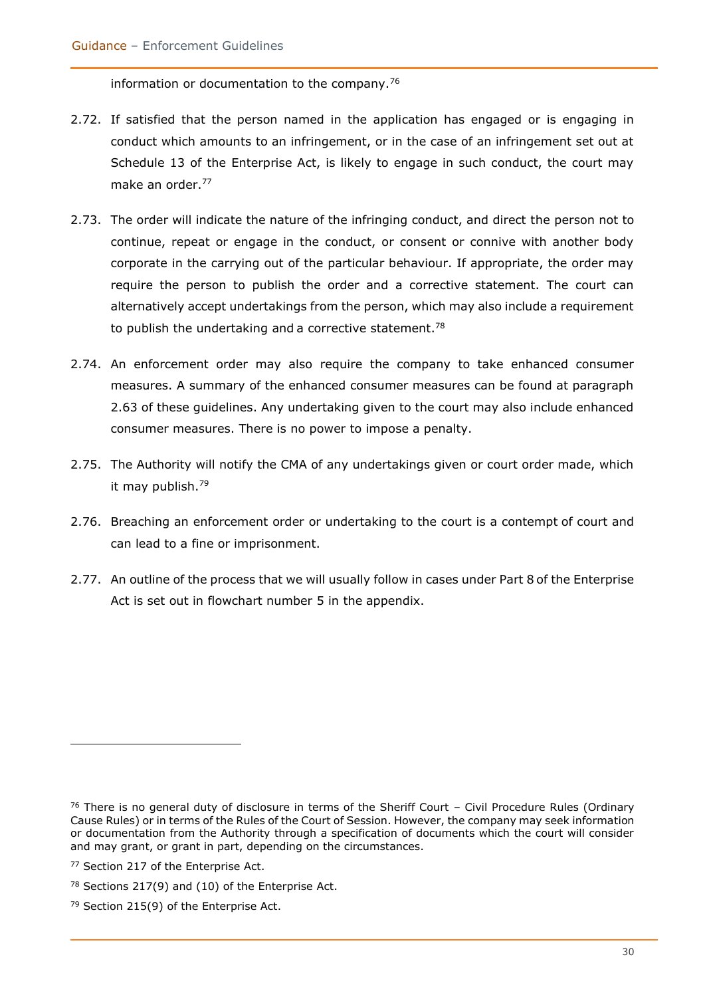information or documentation to the company.<sup>76</sup>

- 2.72. If satisfied that the person named in the application has engaged or is engaging in conduct which amounts to an infringement, or in the case of an infringement set out at Schedule 13 of the Enterprise Act, is likely to engage in such conduct, the court may make an order.<sup>77</sup>
- 2.73. The order will indicate the nature of the infringing conduct, and direct the person not to continue, repeat or engage in the conduct, or consent or connive with another body corporate in the carrying out of the particular behaviour. If appropriate, the order may require the person to publish the order and a corrective statement. The court can alternatively accept undertakings from the person, which may also include a requirement to publish the undertaking and a corrective statement.<sup>78</sup>
- 2.74. An enforcement order may also require the company to take enhanced consumer measures. A summary of the enhanced consumer measures can be found at paragraph 2.63 of these guidelines. Any undertaking given to the court may also include enhanced consumer measures. There is no power to impose a penalty.
- 2.75. The Authority will notify the CMA of any undertakings given or court order made, which it may publish.<sup>79</sup>
- 2.76. Breaching an enforcement order or undertaking to the court is a contempt of court and can lead to a fine or imprisonment.
- 2.77. An outline of the process that we will usually follow in cases under Part 8 of the Enterprise Act is set out in flowchart number 5 in the appendix.

 $76$  There is no general duty of disclosure in terms of the Sheriff Court – Civil Procedure Rules (Ordinary Cause Rules) or in terms of the Rules of the Court of Session. However, the company may seek information or documentation from the Authority through a specification of documents which the court will consider and may grant, or grant in part, depending on the circumstances.

<sup>&</sup>lt;sup>77</sup> Section 217 of the Enterprise Act.

<sup>78</sup> Sections 217(9) and (10) of the Enterprise Act.

<sup>79</sup> Section 215(9) of the Enterprise Act.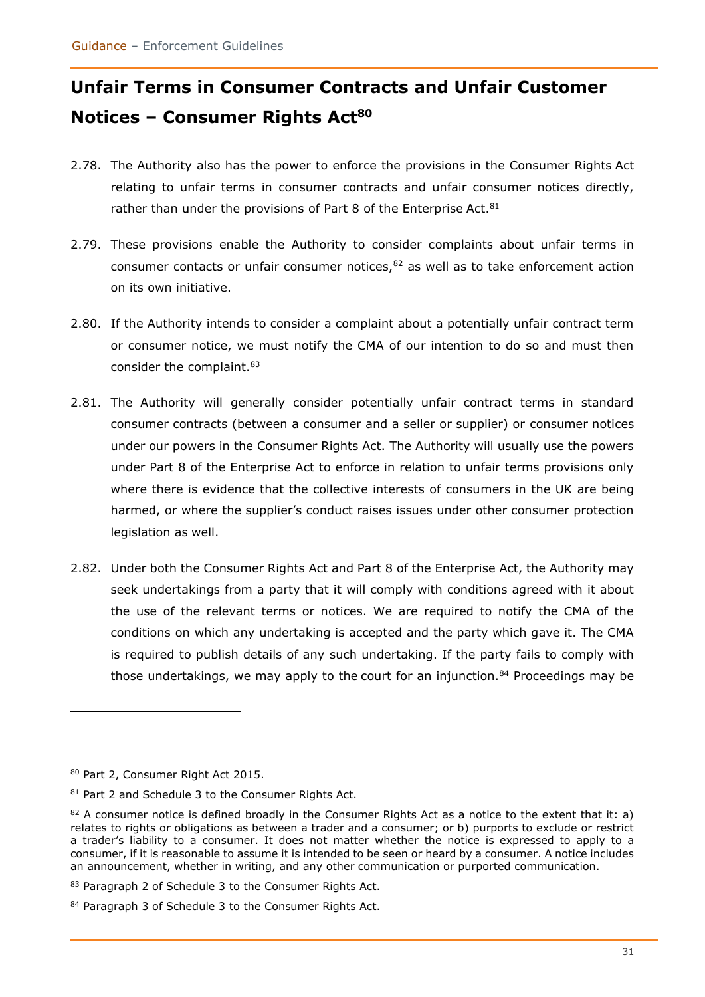# <span id="page-30-0"></span>**Unfair Terms in Consumer Contracts and Unfair Customer Notices – Consumer Rights Act<sup>80</sup>**

- 2.78. The Authority also has the power to enforce the provisions in the Consumer Rights Act relating to unfair terms in consumer contracts and unfair consumer notices directly, rather than under the provisions of Part 8 of the Enterprise Act.<sup>81</sup>
- 2.79. These provisions enable the Authority to consider complaints about unfair terms in consumer contacts or unfair consumer notices, $82$  as well as to take enforcement action on its own initiative.
- 2.80. If the Authority intends to consider a complaint about a potentially unfair contract term or consumer notice, we must notify the CMA of our intention to do so and must then consider the complaint.<sup>83</sup>
- 2.81. The Authority will generally consider potentially unfair contract terms in standard consumer contracts (between a consumer and a seller or supplier) or consumer notices under our powers in the Consumer Rights Act. The Authority will usually use the powers under Part 8 of the Enterprise Act to enforce in relation to unfair terms provisions only where there is evidence that the collective interests of consumers in the UK are being harmed, or where the supplier's conduct raises issues under other consumer protection legislation as well.
- 2.82. Under both the Consumer Rights Act and Part 8 of the Enterprise Act, the Authority may seek undertakings from a party that it will comply with conditions agreed with it about the use of the relevant terms or notices. We are required to notify the CMA of the conditions on which any undertaking is accepted and the party which gave it. The CMA is required to publish details of any such undertaking. If the party fails to comply with those undertakings, we may apply to the court for an injunction. $84$  Proceedings may be

<sup>80</sup> Part 2, Consumer Right Act 2015.

<sup>81</sup> Part 2 and Schedule 3 to the Consumer Rights Act.

 $82$  A consumer notice is defined broadly in the Consumer Rights Act as a notice to the extent that it: a) relates to rights or obligations as between a trader and a consumer; or b) purports to exclude or restrict a trader's liability to a consumer. It does not matter whether the notice is expressed to apply to a consumer, if it is reasonable to assume it is intended to be seen or heard by a consumer. A notice includes an announcement, whether in writing, and any other communication or purported communication.

<sup>83</sup> Paragraph 2 of Schedule 3 to the Consumer Rights Act.

<sup>84</sup> Paragraph 3 of Schedule 3 to the Consumer Rights Act.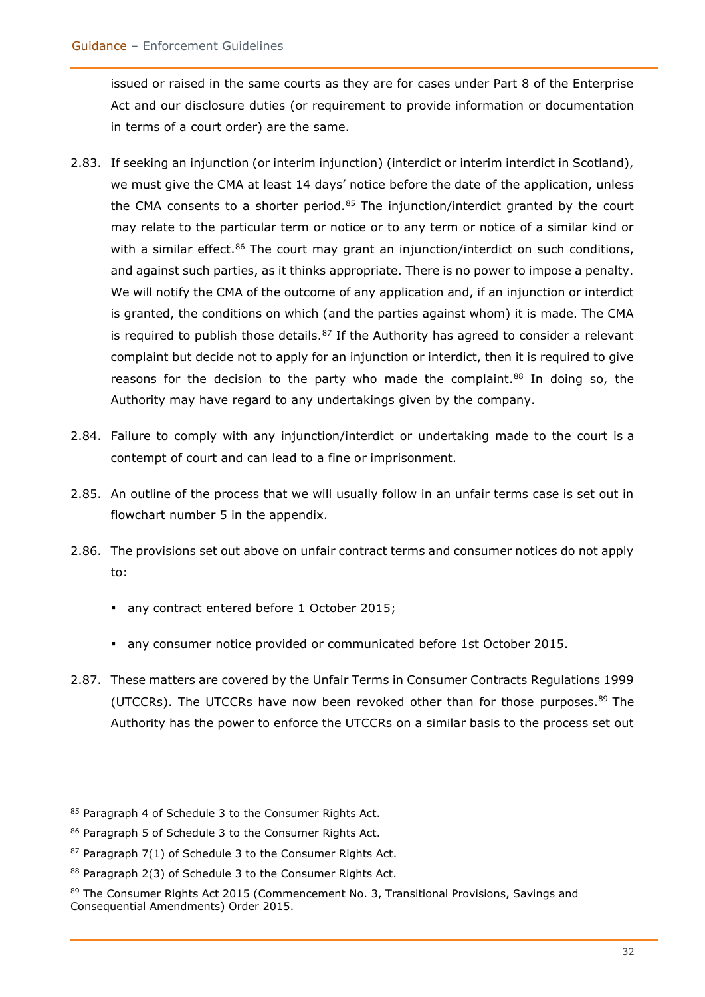issued or raised in the same courts as they are for cases under Part 8 of the Enterprise Act and our disclosure duties (or requirement to provide information or documentation in terms of a court order) are the same.

- 2.83. If seeking an injunction (or interim injunction) (interdict or interim interdict in Scotland), we must give the CMA at least 14 days' notice before the date of the application, unless the CMA consents to a shorter period. $85$  The injunction/interdict granted by the court may relate to the particular term or notice or to any term or notice of a similar kind or with a similar effect.<sup>86</sup> The court may grant an injunction/interdict on such conditions, and against such parties, as it thinks appropriate. There is no power to impose a penalty. We will notify the CMA of the outcome of any application and, if an injunction or interdict is granted, the conditions on which (and the parties against whom) it is made. The CMA is required to publish those details. $87$  If the Authority has agreed to consider a relevant complaint but decide not to apply for an injunction or interdict, then it is required to give reasons for the decision to the party who made the complaint.<sup>88</sup> In doing so, the Authority may have regard to any undertakings given by the company.
- 2.84. Failure to comply with any injunction/interdict or undertaking made to the court is a contempt of court and can lead to a fine or imprisonment.
- 2.85. An outline of the process that we will usually follow in an unfair terms case is set out in flowchart number 5 in the appendix.
- 2.86. The provisions set out above on unfair contract terms and consumer notices do not apply to:
	- any contract entered before 1 October 2015;
	- any consumer notice provided or communicated before 1st October 2015.
- 2.87. These matters are covered by the Unfair Terms in Consumer Contracts Regulations 1999 (UTCCRs). The UTCCRs have now been revoked other than for those purposes.<sup>89</sup> The Authority has the power to enforce the UTCCRs on a similar basis to the process set out

<sup>85</sup> Paragraph 4 of Schedule 3 to the Consumer Rights Act.

<sup>86</sup> Paragraph 5 of Schedule 3 to the Consumer Rights Act.

 $87$  Paragraph  $7(1)$  of Schedule 3 to the Consumer Rights Act.

<sup>88</sup> Paragraph 2(3) of Schedule 3 to the Consumer Rights Act.

<sup>89</sup> The Consumer Rights Act 2015 (Commencement No. 3, Transitional Provisions, Savings and Consequential Amendments) Order 2015.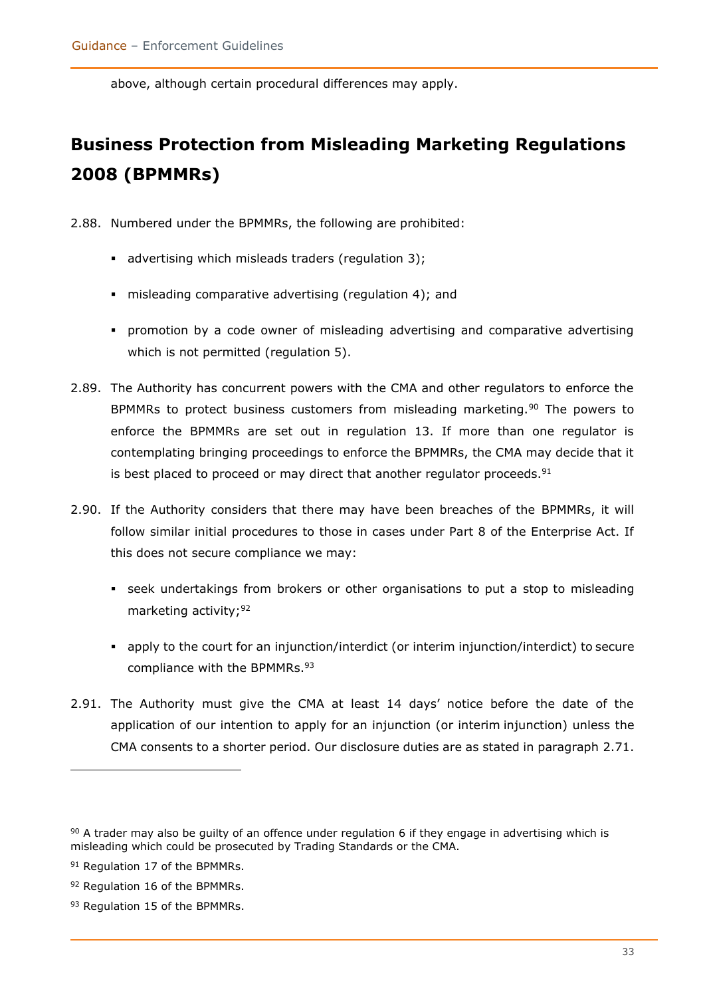above, although certain procedural differences may apply.

## <span id="page-32-0"></span>**Business Protection from Misleading Marketing Regulations 2008 (BPMMRs)**

2.88. Numbered under the BPMMRs, the following are prohibited:

- advertising which misleads traders (regulation 3);
- misleading comparative advertising (regulation 4); and
- **•** promotion by a code owner of misleading advertising and comparative advertising which is not permitted (regulation 5).
- 2.89. The Authority has concurrent powers with the CMA and other regulators to enforce the BPMMRs to protect business customers from misleading marketing.<sup>90</sup> The powers to enforce the BPMMRs are set out in regulation 13. If more than one regulator is contemplating bringing proceedings to enforce the BPMMRs, the CMA may decide that it is best placed to proceed or may direct that another regulator proceeds. $91$
- 2.90. If the Authority considers that there may have been breaches of the BPMMRs, it will follow similar initial procedures to those in cases under Part 8 of the Enterprise Act. If this does not secure compliance we may:
	- **EXECT** seek undertakings from brokers or other organisations to put a stop to misleading marketing activity; 92
	- apply to the court for an injunction/interdict (or interim injunction/interdict) to secure compliance with the BPMMRs.<sup>93</sup>
- 2.91. The Authority must give the CMA at least 14 days' notice before the date of the application of our intention to apply for an injunction (or interim injunction) unless the CMA consents to a shorter period. Our disclosure duties are as stated in paragraph 2.71.

 $90$  A trader may also be guilty of an offence under regulation 6 if they engage in advertising which is misleading which could be prosecuted by Trading Standards or the CMA.

<sup>&</sup>lt;sup>91</sup> Regulation 17 of the BPMMRs.

<sup>92</sup> Regulation 16 of the BPMMRs.

<sup>93</sup> Regulation 15 of the BPMMRs.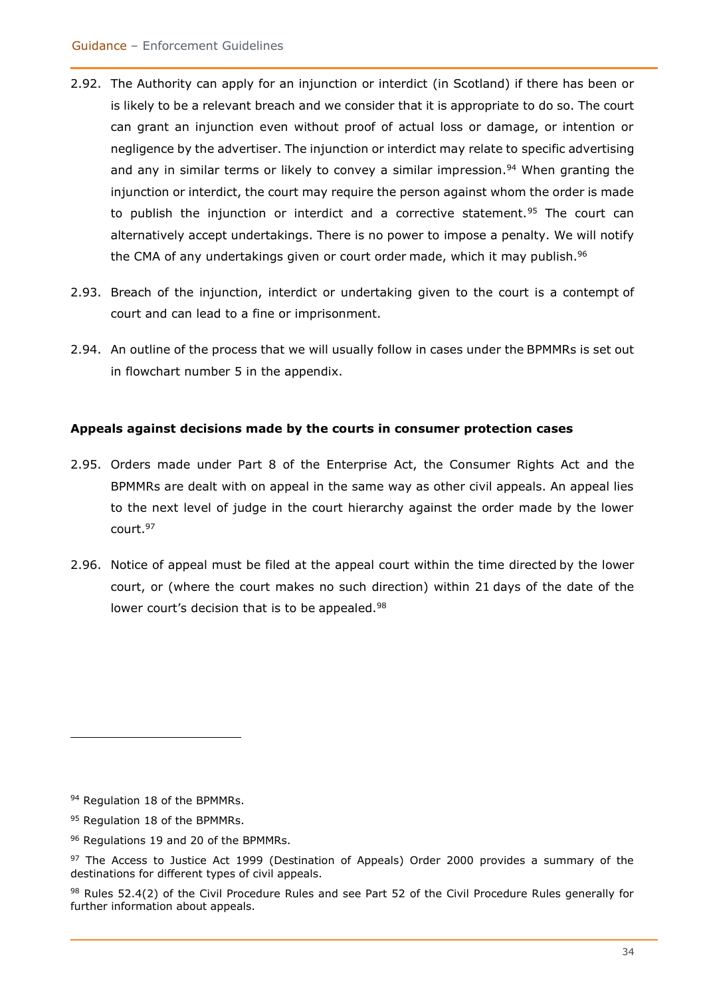- 2.92. The Authority can apply for an injunction or interdict (in Scotland) if there has been or is likely to be a relevant breach and we consider that it is appropriate to do so. The court can grant an injunction even without proof of actual loss or damage, or intention or negligence by the advertiser. The injunction or interdict may relate to specific advertising and any in similar terms or likely to convey a similar impression.<sup>94</sup> When granting the injunction or interdict, the court may require the person against whom the order is made to publish the injunction or interdict and a corrective statement.<sup>95</sup> The court can alternatively accept undertakings. There is no power to impose a penalty. We will notify the CMA of any undertakings given or court order made, which it may publish.<sup>96</sup>
- 2.93. Breach of the injunction, interdict or undertaking given to the court is a contempt of court and can lead to a fine or imprisonment.
- 2.94. An outline of the process that we will usually follow in cases under the BPMMRs is set out in flowchart number 5 in the appendix.

#### **Appeals against decisions made by the courts in consumer protection cases**

- 2.95. Orders made under Part 8 of the Enterprise Act, the Consumer Rights Act and the BPMMRs are dealt with on appeal in the same way as other civil appeals. An appeal lies to the next level of judge in the court hierarchy against the order made by the lower court.<sup>97</sup>
- 2.96. Notice of appeal must be filed at the appeal court within the time directed by the lower court, or (where the court makes no such direction) within 21 days of the date of the lower court's decision that is to be appealed.<sup>98</sup>

96 Regulations 19 and 20 of the BPMMRs.

<sup>94</sup> Regulation 18 of the BPMMRs.

<sup>95</sup> Regulation 18 of the BPMMRs.

<sup>97</sup> The Access to Justice Act 1999 (Destination of Appeals) Order 2000 provides a summary of the destinations for different types of civil appeals.

<sup>98</sup> Rules 52.4(2) of the Civil Procedure Rules and see Part 52 of the Civil Procedure Rules generally for further information about appeals.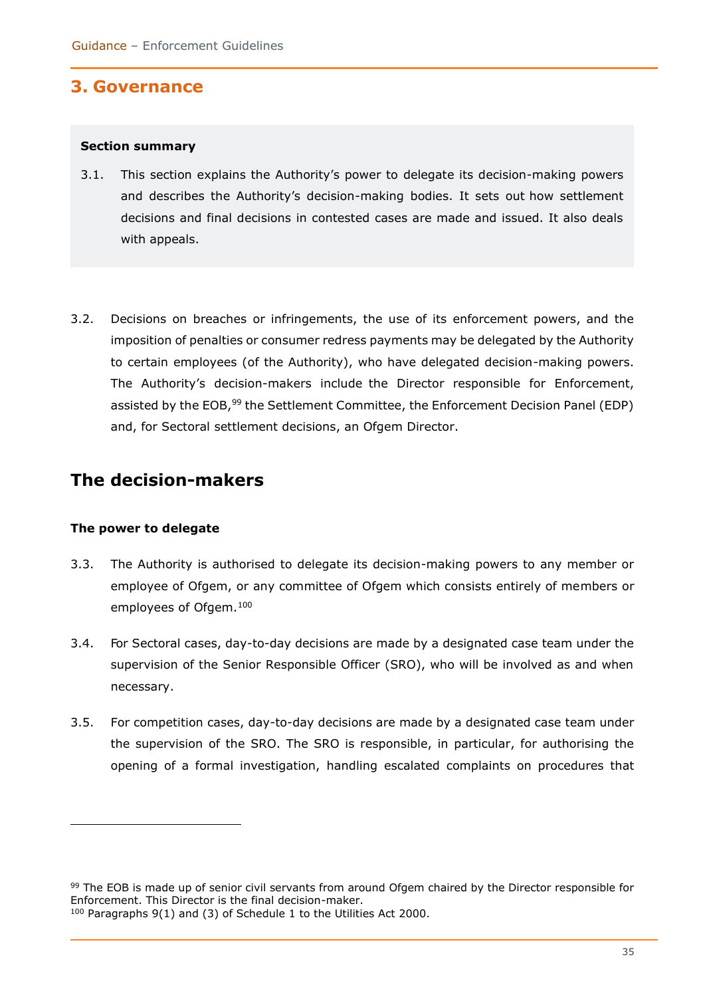### <span id="page-34-0"></span>**3. Governance**

#### <span id="page-34-1"></span>**Section summary**

- 3.1. This section explains the Authority's power to delegate its decision-making powers and describes the Authority's decision-making bodies. It sets out how settlement decisions and final decisions in contested cases are made and issued. It also deals with appeals.
- 3.2. Decisions on breaches or infringements, the use of its enforcement powers, and the imposition of penalties or consumer redress payments may be delegated by the Authority to certain employees (of the Authority), who have delegated decision-making powers. The Authority's decision-makers include the Director responsible for Enforcement, assisted by the EOB,<sup>99</sup> the Settlement Committee, the Enforcement Decision Panel (EDP) and, for Sectoral settlement decisions, an Ofgem Director.

### <span id="page-34-2"></span>**The decision-makers**

#### <span id="page-34-3"></span>**The power to delegate**

- 3.3. The Authority is authorised to delegate its decision-making powers to any member or employee of Ofgem, or any committee of Ofgem which consists entirely of members or employees of Ofgem.<sup>100</sup>
- 3.4. For Sectoral cases, day-to-day decisions are made by a designated case team under the supervision of the Senior Responsible Officer (SRO), who will be involved as and when necessary.
- 3.5. For competition cases, day-to-day decisions are made by a designated case team under the supervision of the SRO. The SRO is responsible, in particular, for authorising the opening of a formal investigation, handling escalated complaints on procedures that

<sup>99</sup> The EOB is made up of senior civil servants from around Ofgem chaired by the Director responsible for Enforcement. This Director is the final decision-maker.

<sup>100</sup> Paragraphs 9(1) and (3) of Schedule 1 to the Utilities Act 2000.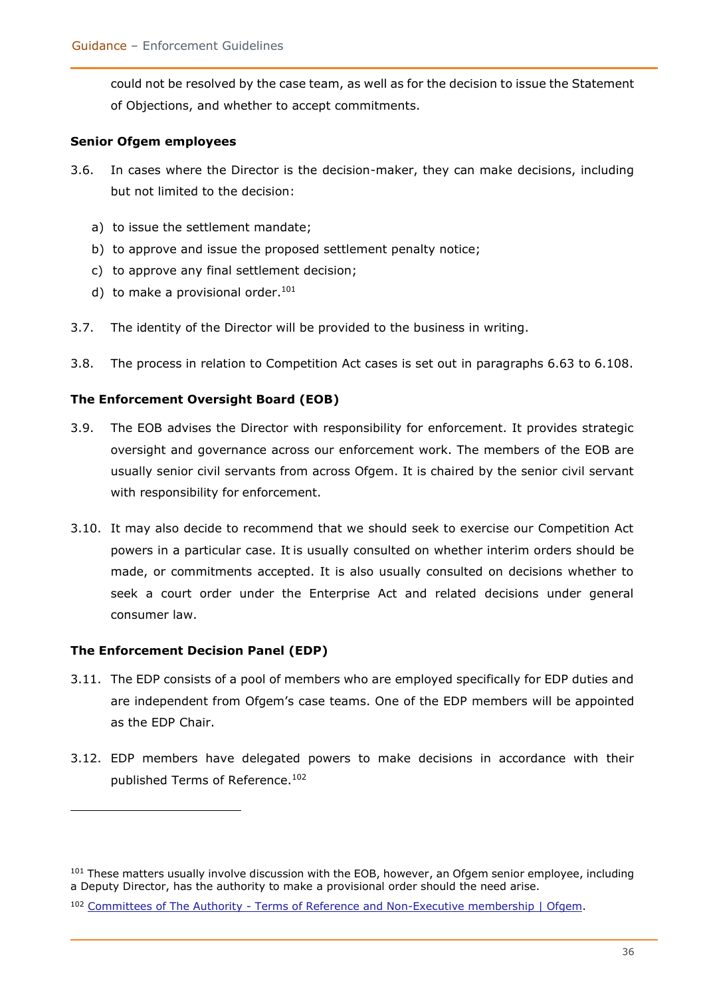could not be resolved by the case team, as well as for the decision to issue the Statement of Objections, and whether to accept commitments.

#### **Senior Ofgem employees**

- 3.6. In cases where the Director is the decision-maker, they can make decisions, including but not limited to the decision:
	- a) to issue the settlement mandate;
	- b) to approve and issue the proposed settlement penalty notice;
	- c) to approve any final settlement decision;
	- d) to make a provisional order.<sup>101</sup>
- 3.7. The identity of the Director will be provided to the business in writing.
- 3.8. The process in relation to Competition Act cases is set out in paragraphs 6.63 to 6.108.

#### **The Enforcement Oversight Board (EOB)**

- 3.9. The EOB advises the Director with responsibility for enforcement. It provides strategic oversight and governance across our enforcement work. The members of the EOB are usually senior civil servants from across Ofgem. It is chaired by the senior civil servant with responsibility for enforcement.
- 3.10. It may also decide to recommend that we should seek to exercise our Competition Act powers in a particular case. It is usually consulted on whether interim orders should be made, or commitments accepted. It is also usually consulted on decisions whether to seek a court order under the Enterprise Act and related decisions under general consumer law.

#### **The Enforcement Decision Panel (EDP)**

- 3.11. The EDP consists of a pool of members who are employed specifically for EDP duties and are independent from Ofgem's case teams. One of the EDP members will be appointed as the EDP Chair.
- 3.12. EDP members have delegated powers to make decisions in accordance with their published Terms of Reference.<sup>102</sup>

<sup>&</sup>lt;sup>101</sup> These matters usually involve discussion with the EOB, however, an Ofgem senior employee, including a Deputy Director, has the authority to make a provisional order should the need arise.

<sup>102</sup> Committees of The Authority - [Terms of Reference and Non-Executive membership | Ofgem.](https://www.ofgem.gov.uk/publications-and-updates/committees-authority-terms-reference-and-non-executive-membership)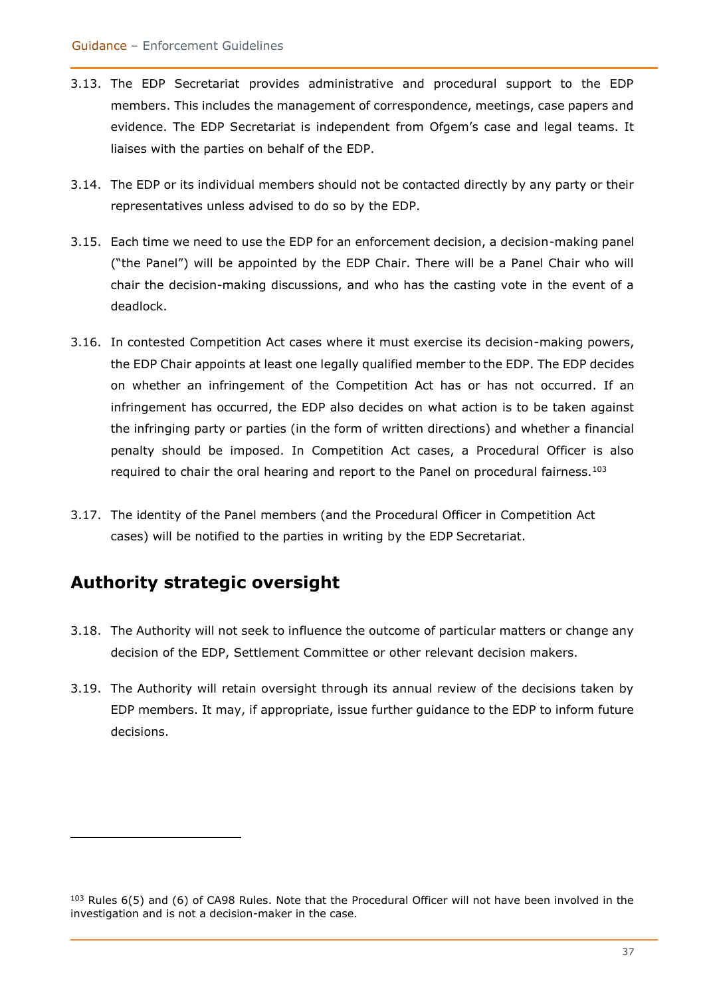- 3.13. The EDP Secretariat provides administrative and procedural support to the EDP members. This includes the management of correspondence, meetings, case papers and evidence. The EDP Secretariat is independent from Ofgem's case and legal teams. It liaises with the parties on behalf of the EDP.
- 3.14. The EDP or its individual members should not be contacted directly by any party or their representatives unless advised to do so by the EDP.
- 3.15. Each time we need to use the EDP for an enforcement decision, a decision-making panel ("the Panel") will be appointed by the EDP Chair. There will be a Panel Chair who will chair the decision-making discussions, and who has the casting vote in the event of a deadlock.
- 3.16. In contested Competition Act cases where it must exercise its decision-making powers, the EDP Chair appoints at least one legally qualified member to the EDP. The EDP decides on whether an infringement of the Competition Act has or has not occurred. If an infringement has occurred, the EDP also decides on what action is to be taken against the infringing party or parties (in the form of written directions) and whether a financial penalty should be imposed. In Competition Act cases, a Procedural Officer is also required to chair the oral hearing and report to the Panel on procedural fairness.<sup>103</sup>
- 3.17. The identity of the Panel members (and the Procedural Officer in Competition Act cases) will be notified to the parties in writing by the EDP Secretariat.

# **Authority strategic oversight**

- 3.18. The Authority will not seek to influence the outcome of particular matters or change any decision of the EDP, Settlement Committee or other relevant decision makers.
- 3.19. The Authority will retain oversight through its annual review of the decisions taken by EDP members. It may, if appropriate, issue further guidance to the EDP to inform future decisions.

<sup>&</sup>lt;sup>103</sup> Rules 6(5) and (6) of CA98 Rules. Note that the Procedural Officer will not have been involved in the investigation and is not a decision-maker in the case.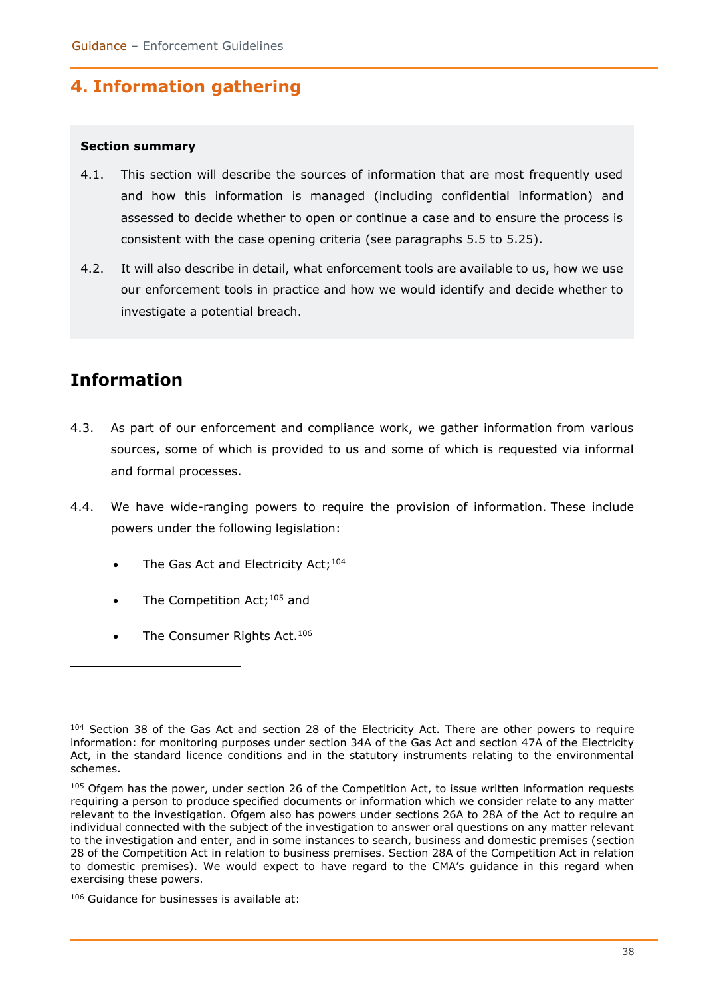# **4. Information gathering**

#### **Section summary**

- 4.1. This section will describe the sources of information that are most frequently used and how this information is managed (including confidential information) and assessed to decide whether to open or continue a case and to ensure the process is consistent with the case opening criteria (see paragraphs 5.5 to 5.25).
- 4.2. It will also describe in detail, what enforcement tools are available to us, how we use our enforcement tools in practice and how we would identify and decide whether to investigate a potential breach.

# **Information**

- 4.3. As part of our enforcement and compliance work, we gather information from various sources, some of which is provided to us and some of which is requested via informal and formal processes.
- 4.4. We have wide-ranging powers to require the provision of information. These include powers under the following legislation:
	- The Gas Act and Electricity Act;<sup>104</sup>
	- The Competition Act;<sup>105</sup> and
	- The Consumer Rights Act.<sup>106</sup>

<sup>104</sup> Section 38 of the Gas Act and section 28 of the Electricity Act. There are other powers to require information: for monitoring purposes under section 34A of the Gas Act and section 47A of the Electricity Act, in the standard licence conditions and in the statutory instruments relating to the environmental schemes.

<sup>105</sup> Ofgem has the power, under section 26 of the Competition Act, to issue written information requests requiring a person to produce specified documents or information which we consider relate to any matter relevant to the investigation. Ofgem also has powers under sections 26A to 28A of the Act to require an individual connected with the subject of the investigation to answer oral questions on any matter relevant to the investigation and enter, and in some instances to search, business and domestic premises (section 28 of the Competition Act in relation to business premises. Section 28A of the Competition Act in relation to domestic premises). We would expect to have regard to the CMA's guidance in this regard when exercising these powers.

<sup>106</sup> Guidance for businesses is available at: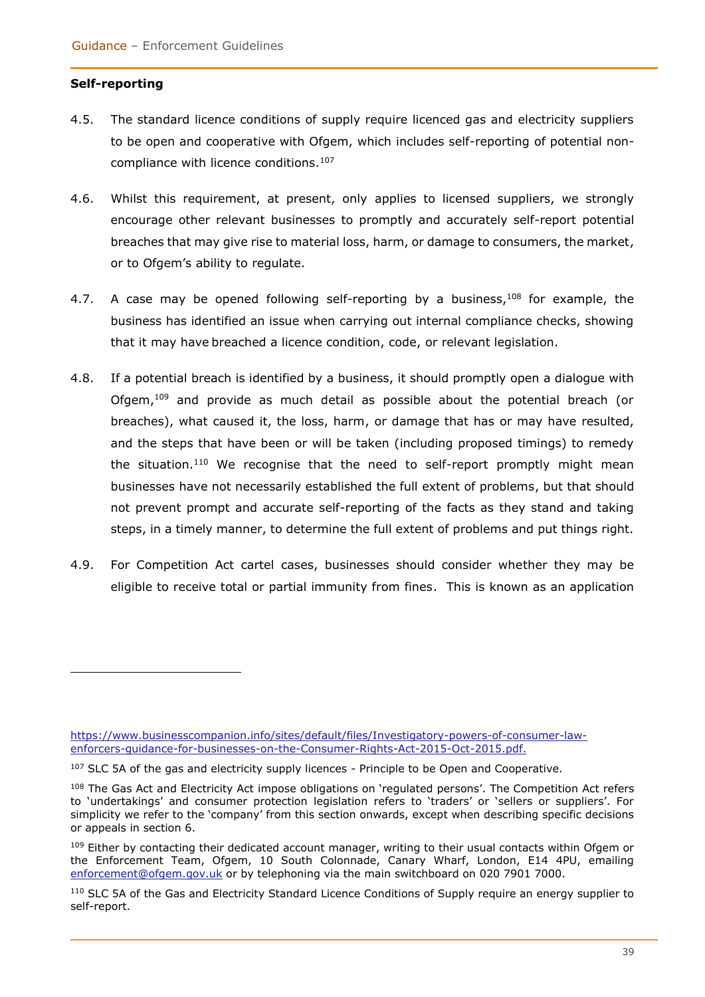#### **Self-reporting**

- 4.5. The standard licence conditions of supply require licenced gas and electricity suppliers to be open and cooperative with Ofgem, which includes self-reporting of potential noncompliance with licence conditions. 107
- 4.6. Whilst this requirement, at present, only applies to licensed suppliers, we strongly encourage other relevant businesses to promptly and accurately self-report potential breaches that may give rise to material loss, harm, or damage to consumers, the market, or to Ofgem's ability to regulate.
- 4.7. A case may be opened following self-reporting by a business,  $108$  for example, the business has identified an issue when carrying out internal compliance checks, showing that it may have breached a licence condition, code, or relevant legislation.
- 4.8. If a potential breach is identified by a business, it should promptly open a dialogue with Ofgem,<sup>109</sup> and provide as much detail as possible about the potential breach (or breaches), what caused it, the loss, harm, or damage that has or may have resulted, and the steps that have been or will be taken (including proposed timings) to remedy the situation.<sup>110</sup> We recognise that the need to self-report promptly might mean businesses have not necessarily established the full extent of problems, but that should not prevent prompt and accurate self-reporting of the facts as they stand and taking steps, in a timely manner, to determine the full extent of problems and put things right.
- 4.9. For Competition Act cartel cases, businesses should consider whether they may be eligible to receive total or partial immunity from fines. This is known as an application

[https://www.businesscompanion.info/sites/default/files/Investigatory-powers-of-consumer-law](https://www.businesscompanion.info/sites/default/files/Investigatory-powers-of-consumer-law-enforcers-guidance-for-businesses-on-the-Consumer-Rights-Act-2015-Oct-2015.pdf)[enforcers-guidance-for-businesses-on-the-Consumer-Rights-Act-2015-Oct-2015.pdf.](https://www.businesscompanion.info/sites/default/files/Investigatory-powers-of-consumer-law-enforcers-guidance-for-businesses-on-the-Consumer-Rights-Act-2015-Oct-2015.pdf)

<sup>&</sup>lt;sup>107</sup> SLC 5A of the gas and electricity supply licences - Principle to be Open and Cooperative.

<sup>108</sup> The Gas Act and Electricity Act impose obligations on 'regulated persons'. The Competition Act refers to 'undertakings' and consumer protection legislation refers to 'traders' or 'sellers or suppliers'. For simplicity we refer to the 'company' from this section onwards, except when describing specific decisions or appeals in section 6.

<sup>&</sup>lt;sup>109</sup> Either by contacting their dedicated account manager, writing to their usual contacts within Ofgem or the Enforcement Team, Ofgem, 10 South Colonnade, Canary Wharf, London, E14 4PU, emailing [enforcement@ofgem.gov.uk](mailto:enforcement@ofgem.gov.uk) or by telephoning via the main switchboard on 020 7901 7000.

<sup>&</sup>lt;sup>110</sup> SLC 5A of the Gas and Electricity Standard Licence Conditions of Supply require an energy supplier to self-report.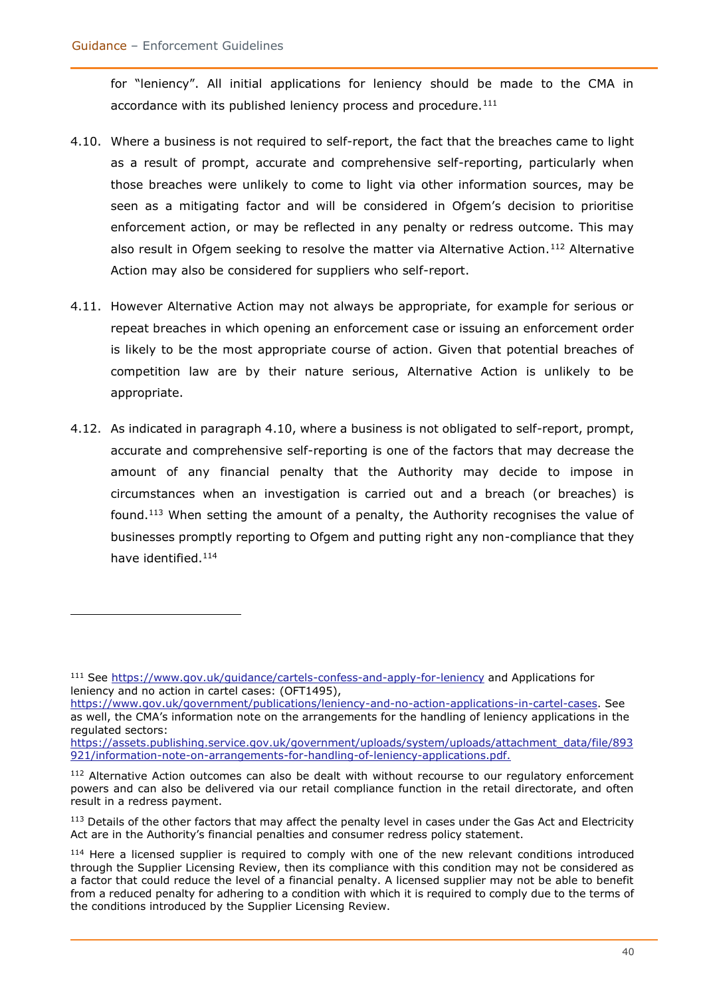for "leniency". All initial applications for leniency should be made to the CMA in accordance with its published leniency process and procedure.<sup>111</sup>

- 4.10. Where a business is not required to self-report, the fact that the breaches came to light as a result of prompt, accurate and comprehensive self-reporting, particularly when those breaches were unlikely to come to light via other information sources, may be seen as a mitigating factor and will be considered in Ofgem's decision to prioritise enforcement action, or may be reflected in any penalty or redress outcome. This may also result in Ofgem seeking to resolve the matter via Alternative Action.<sup>112</sup> Alternative Action may also be considered for suppliers who self-report.
- 4.11. However Alternative Action may not always be appropriate, for example for serious or repeat breaches in which opening an enforcement case or issuing an enforcement order is likely to be the most appropriate course of action. Given that potential breaches of competition law are by their nature serious, Alternative Action is unlikely to be appropriate.
- 4.12. As indicated in paragraph 4.10, where a business is not obligated to self-report, prompt, accurate and comprehensive self-reporting is one of the factors that may decrease the amount of any financial penalty that the Authority may decide to impose in circumstances when an investigation is carried out and a breach (or breaches) is found.<sup>113</sup> When setting the amount of a penalty, the Authority recognises the value of businesses promptly reporting to Ofgem and putting right any non-compliance that they have identified.<sup>114</sup>

<sup>111</sup> See<https://www.gov.uk/guidance/cartels-confess-and-apply-for-leniency> and Applications for leniency and no action in cartel cases: (OFT1495),

[https://www.gov.uk/government/publications/leniency-and-no-action-applications-in-cartel-cases.](https://www.gov.uk/government/publications/leniency-and-no-action-applications-in-cartel-cases) See as well, the CMA's information note on the arrangements for the handling of leniency applications in the regulated sectors:

[https://assets.publishing.service.gov.uk/government/uploads/system/uploads/attachment\\_data/file/893](https://assets.publishing.service.gov.uk/government/uploads/system/uploads/attachment_data/file/893921/information-note-on-arrangements-for-handling-of-leniency-applications.pdf) [921/information-note-on-arrangements-for-handling-of-leniency-applications.pdf.](https://assets.publishing.service.gov.uk/government/uploads/system/uploads/attachment_data/file/893921/information-note-on-arrangements-for-handling-of-leniency-applications.pdf)

<sup>&</sup>lt;sup>112</sup> Alternative Action outcomes can also be dealt with without recourse to our regulatory enforcement powers and can also be delivered via our retail compliance function in the retail directorate, and often result in a redress payment.

<sup>&</sup>lt;sup>113</sup> Details of the other factors that may affect the penalty level in cases under the Gas Act and Electricity Act are in the Authority's financial penalties and consumer redress policy statement.

<sup>&</sup>lt;sup>114</sup> Here a licensed supplier is required to comply with one of the new relevant conditions introduced through the Supplier Licensing Review, then its compliance with this condition may not be considered as a factor that could reduce the level of a financial penalty. A licensed supplier may not be able to benefit from a reduced penalty for adhering to a condition with which it is required to comply due to the terms of the conditions introduced by the Supplier Licensing Review.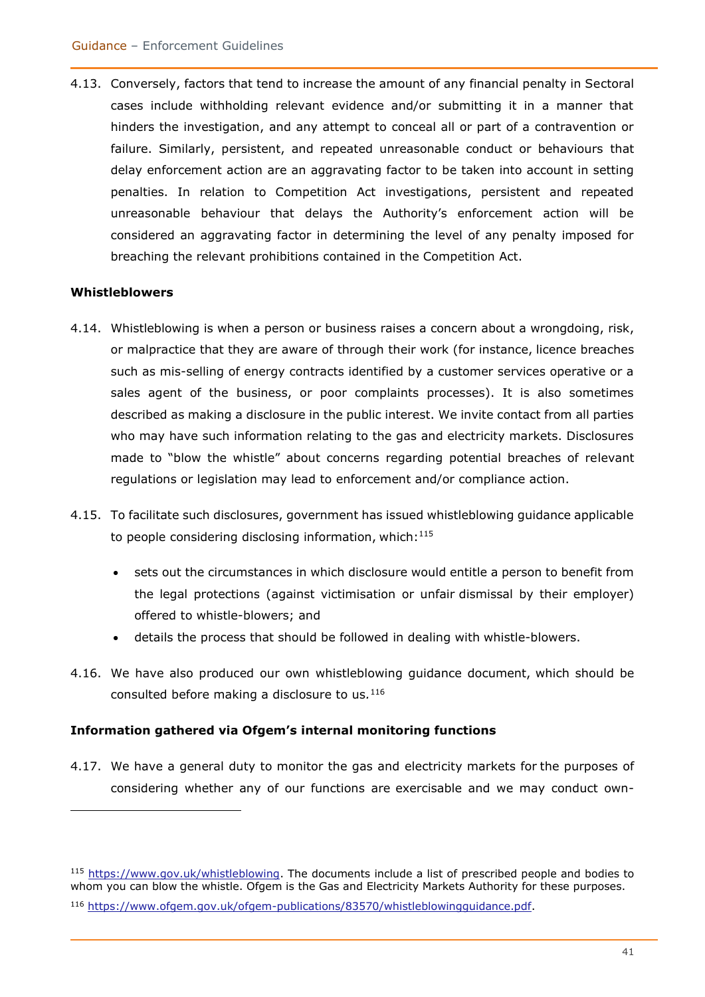4.13. Conversely, factors that tend to increase the amount of any financial penalty in Sectoral cases include withholding relevant evidence and/or submitting it in a manner that hinders the investigation, and any attempt to conceal all or part of a contravention or failure. Similarly, persistent, and repeated unreasonable conduct or behaviours that delay enforcement action are an aggravating factor to be taken into account in setting penalties. In relation to Competition Act investigations, persistent and repeated unreasonable behaviour that delays the Authority's enforcement action will be considered an aggravating factor in determining the level of any penalty imposed for breaching the relevant prohibitions contained in the Competition Act.

#### **Whistleblowers**

- 4.14. Whistleblowing is when a person or business raises a concern about a wrongdoing, risk, or malpractice that they are aware of through their work (for instance, licence breaches such as mis-selling of energy contracts identified by a customer services operative or a sales agent of the business, or poor complaints processes). It is also sometimes described as making a disclosure in the public interest. We invite contact from all parties who may have such information relating to the gas and electricity markets. Disclosures made to "blow the whistle" about concerns regarding potential breaches of relevant regulations or legislation may lead to enforcement and/or compliance action.
- 4.15. To facilitate such disclosures, government has issued whistleblowing guidance applicable to people considering disclosing information, which: $115$ 
	- sets out the circumstances in which disclosure would entitle a person to benefit from the legal protections (against victimisation or unfair dismissal by their employer) offered to whistle-blowers; and
	- details the process that should be followed in dealing with whistle-blowers.
- 4.16. We have also produced our own whistleblowing guidance document, which should be consulted before making a disclosure to us*.* 116

#### **Information gathered via Ofgem's internal monitoring functions**

4.17. We have a general duty to monitor the gas and electricity markets for the purposes of considering whether any of our functions are exercisable and we may conduct own-

<sup>115</sup> [https://www.gov.uk/whistleblowing.](https://www.gov.uk/whistleblowing) The documents include a list of prescribed people and bodies to whom you can blow the whistle. Ofgem is the Gas and Electricity Markets Authority for these purposes.

<sup>116</sup> [https://www.ofgem.gov.uk/ofgem-publications/83570/whistleblowingguidance.pdf.](https://www.ofgem.gov.uk/ofgem-publications/83570/whistleblowingguidance.pdf)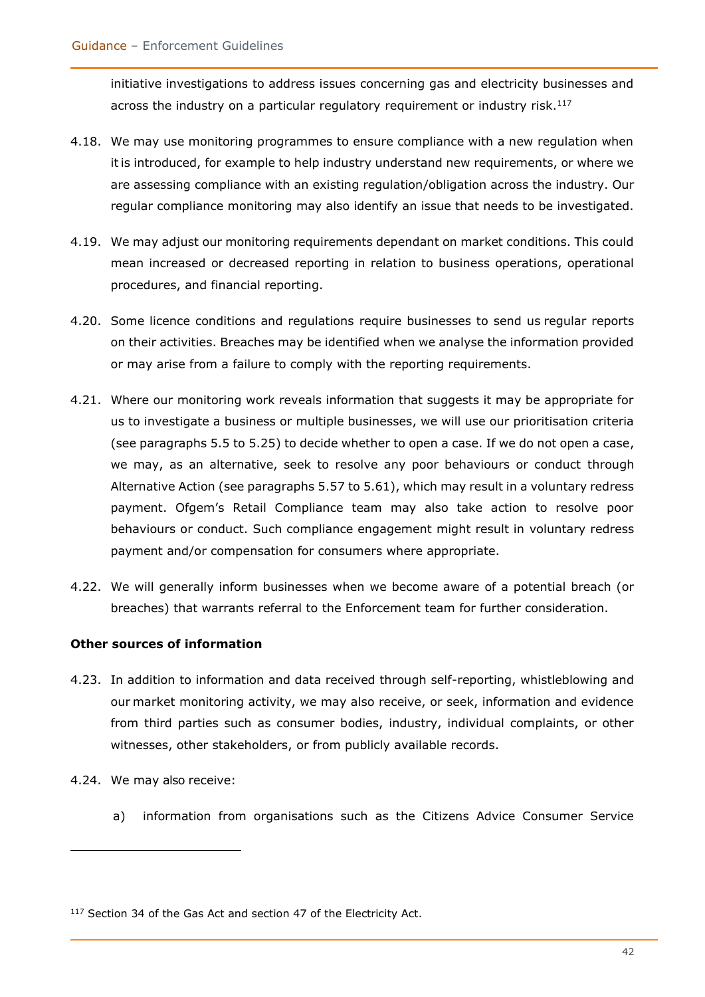initiative investigations to address issues concerning gas and electricity businesses and across the industry on a particular regulatory requirement or industry risk. $^{117}$ 

- 4.18. We may use monitoring programmes to ensure compliance with a new regulation when itis introduced, for example to help industry understand new requirements, or where we are assessing compliance with an existing regulation/obligation across the industry. Our regular compliance monitoring may also identify an issue that needs to be investigated.
- 4.19. We may adjust our monitoring requirements dependant on market conditions. This could mean increased or decreased reporting in relation to business operations, operational procedures, and financial reporting.
- 4.20. Some licence conditions and regulations require businesses to send us regular reports on their activities. Breaches may be identified when we analyse the information provided or may arise from a failure to comply with the reporting requirements.
- 4.21. Where our monitoring work reveals information that suggests it may be appropriate for us to investigate a business or multiple businesses, we will use our prioritisation criteria (see paragraphs 5.5 to 5.25) to decide whether to open a case. If we do not open a case, we may, as an alternative, seek to resolve any poor behaviours or conduct through Alternative Action (see paragraphs 5.57 to 5.61), which may result in a voluntary redress payment. Ofgem's Retail Compliance team may also take action to resolve poor behaviours or conduct. Such compliance engagement might result in voluntary redress payment and/or compensation for consumers where appropriate.
- 4.22. We will generally inform businesses when we become aware of a potential breach (or breaches) that warrants referral to the Enforcement team for further consideration.

#### **Other sources of information**

- 4.23. In addition to information and data received through self-reporting, whistleblowing and our market monitoring activity, we may also receive, or seek, information and evidence from third parties such as consumer bodies, industry, individual complaints, or other witnesses, other stakeholders, or from publicly available records.
- 4.24. We may also receive:
	- a) information from organisations such as the Citizens Advice Consumer Service

<sup>&</sup>lt;sup>117</sup> Section 34 of the Gas Act and section 47 of the Electricity Act.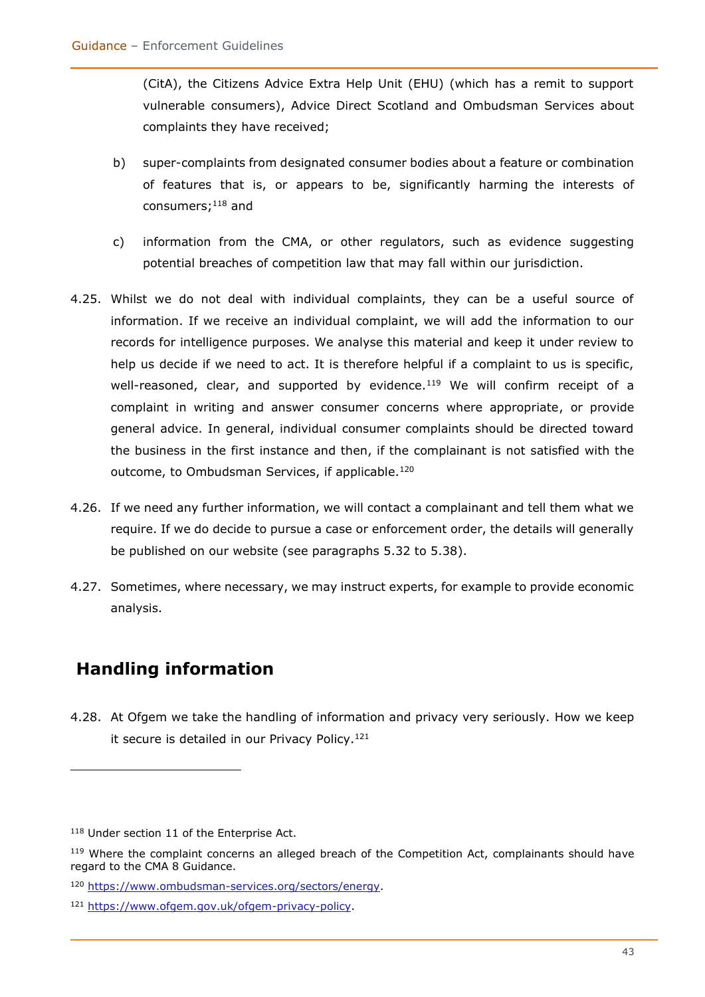(CitA), the Citizens Advice Extra Help Unit (EHU) (which has a remit to support vulnerable consumers), Advice Direct Scotland and Ombudsman Services about complaints they have received;

- b) super-complaints from designated consumer bodies about a feature or combination of features that is, or appears to be, significantly harming the interests of consumers; <sup>118</sup> and
- c) information from the CMA, or other regulators, such as evidence suggesting potential breaches of competition law that may fall within our jurisdiction.
- 4.25. Whilst we do not deal with individual complaints, they can be a useful source of information. If we receive an individual complaint, we will add the information to our records for intelligence purposes. We analyse this material and keep it under review to help us decide if we need to act. It is therefore helpful if a complaint to us is specific, well-reasoned, clear, and supported by evidence.<sup>119</sup> We will confirm receipt of a complaint in writing and answer consumer concerns where appropriate, or provide general advice. In general, individual consumer complaints should be directed toward the business in the first instance and then, if the complainant is not satisfied with the outcome, to Ombudsman Services, if applicable.<sup>120</sup>
- 4.26. If we need any further information, we will contact a complainant and tell them what we require. If we do decide to pursue a case or enforcement order, the details will generally be published on our website (see paragraphs 5.32 to 5.38).
- 4.27. Sometimes, where necessary, we may instruct experts, for example to provide economic analysis.

# **Handling information**

4.28. At Ofgem we take the handling of information and privacy very seriously. How we keep it secure is detailed in our Privacy Policy.<sup>121</sup>

<sup>118</sup> Under section 11 of the Enterprise Act.

<sup>&</sup>lt;sup>119</sup> Where the complaint concerns an alleged breach of the Competition Act, complainants should have regard to the CMA 8 Guidance.

<sup>120</sup> [https://www.ombudsman-services.org/sectors/energy.](https://www.ombudsman-services.org/sectors/energy)

<sup>121</sup> [https://www.ofgem.gov.uk/ofgem-privacy-policy.](https://www.ofgem.gov.uk/ofgem-privacy-policy)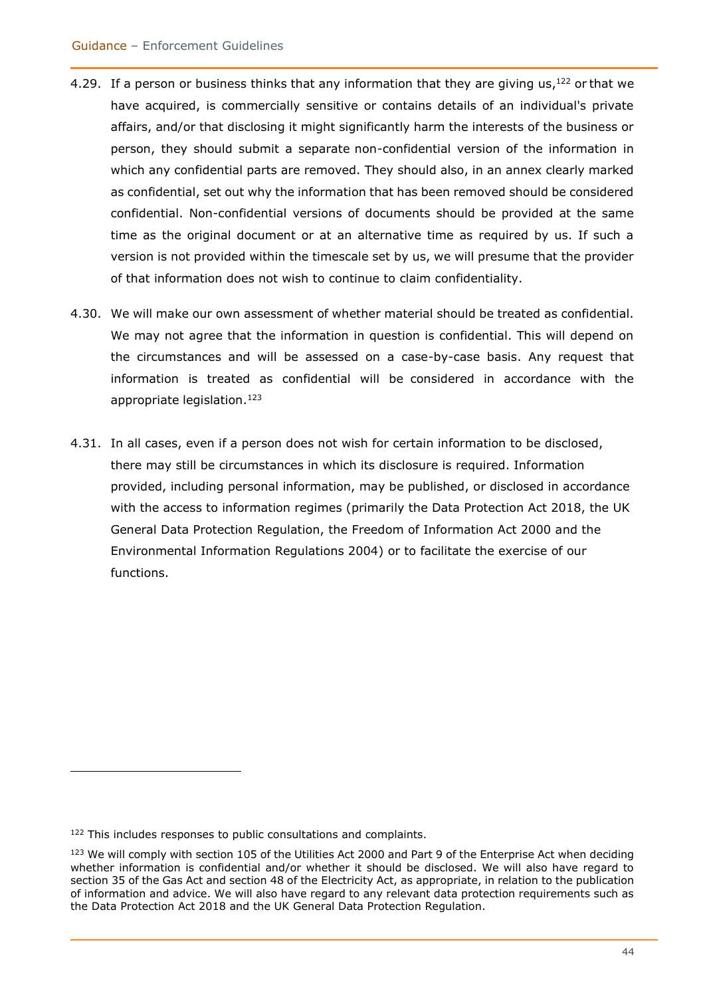- 4.29. If a person or business thinks that any information that they are giving us,  $^{122}$  or that we have acquired, is commercially sensitive or contains details of an individual's private affairs, and/or that disclosing it might significantly harm the interests of the business or person, they should submit a separate non-confidential version of the information in which any confidential parts are removed. They should also, in an annex clearly marked as confidential, set out why the information that has been removed should be considered confidential. Non-confidential versions of documents should be provided at the same time as the original document or at an alternative time as required by us. If such a version is not provided within the timescale set by us, we will presume that the provider of that information does not wish to continue to claim confidentiality.
- 4.30. We will make our own assessment of whether material should be treated as confidential. We may not agree that the information in question is confidential. This will depend on the circumstances and will be assessed on a case-by-case basis. Any request that information is treated as confidential will be considered in accordance with the appropriate legislation.<sup>123</sup>
- 4.31. In all cases, even if a person does not wish for certain information to be disclosed, there may still be circumstances in which its disclosure is required. Information provided, including personal information, may be published, or disclosed in accordance with the access to information regimes (primarily the Data Protection Act 2018, the UK General Data Protection Regulation, the Freedom of Information Act 2000 and the Environmental Information Regulations 2004) or to facilitate the exercise of our functions.

<sup>122</sup> This includes responses to public consultations and complaints.

<sup>&</sup>lt;sup>123</sup> We will comply with section 105 of the Utilities Act 2000 and Part 9 of the Enterprise Act when deciding whether information is confidential and/or whether it should be disclosed. We will also have regard to section 35 of the Gas Act and section 48 of the Electricity Act, as appropriate, in relation to the publication of information and advice. We will also have regard to any relevant data protection requirements such as the Data Protection Act 2018 and the UK General Data Protection Regulation.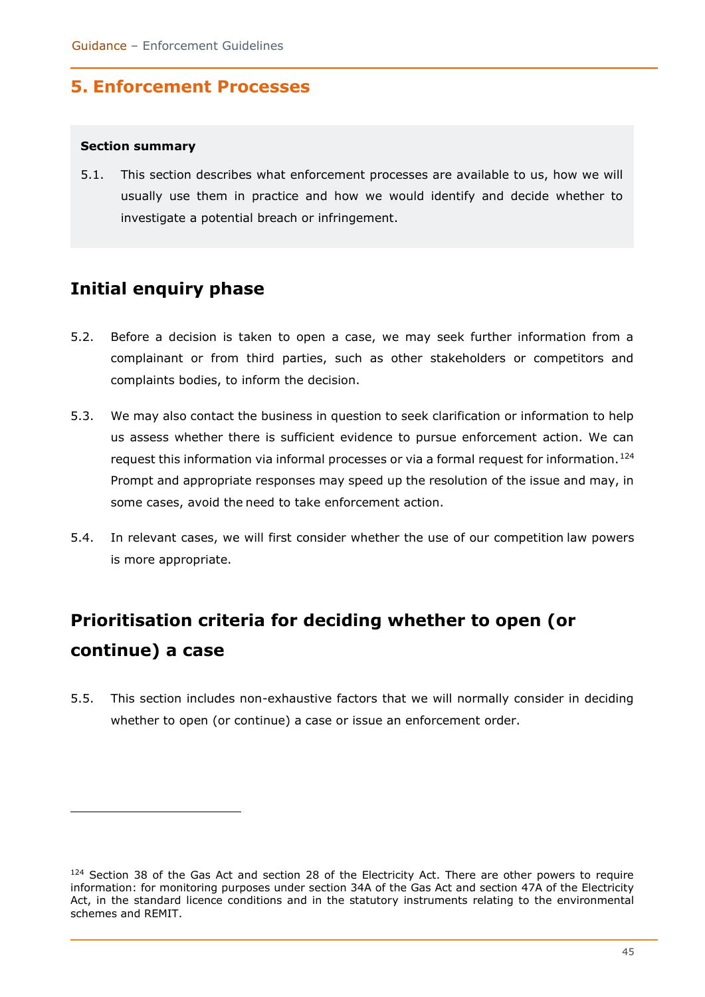# **5. Enforcement Processes**

#### **Section summary**

5.1. This section describes what enforcement processes are available to us, how we will usually use them in practice and how we would identify and decide whether to investigate a potential breach or infringement.

# **Initial enquiry phase**

- 5.2. Before a decision is taken to open a case, we may seek further information from a complainant or from third parties, such as other stakeholders or competitors and complaints bodies, to inform the decision.
- 5.3. We may also contact the business in question to seek clarification or information to help us assess whether there is sufficient evidence to pursue enforcement action. We can request this information via informal processes or via a formal request for information.<sup>124</sup> Prompt and appropriate responses may speed up the resolution of the issue and may, in some cases, avoid the need to take enforcement action.
- 5.4. In relevant cases, we will first consider whether the use of our competition law powers is more appropriate.

# **Prioritisation criteria for deciding whether to open (or continue) a case**

5.5. This section includes non-exhaustive factors that we will normally consider in deciding whether to open (or continue) a case or issue an enforcement order.

<sup>&</sup>lt;sup>124</sup> Section 38 of the Gas Act and section 28 of the Electricity Act. There are other powers to require information: for monitoring purposes under section 34A of the Gas Act and section 47A of the Electricity Act, in the standard licence conditions and in the statutory instruments relating to the environmental schemes and REMIT.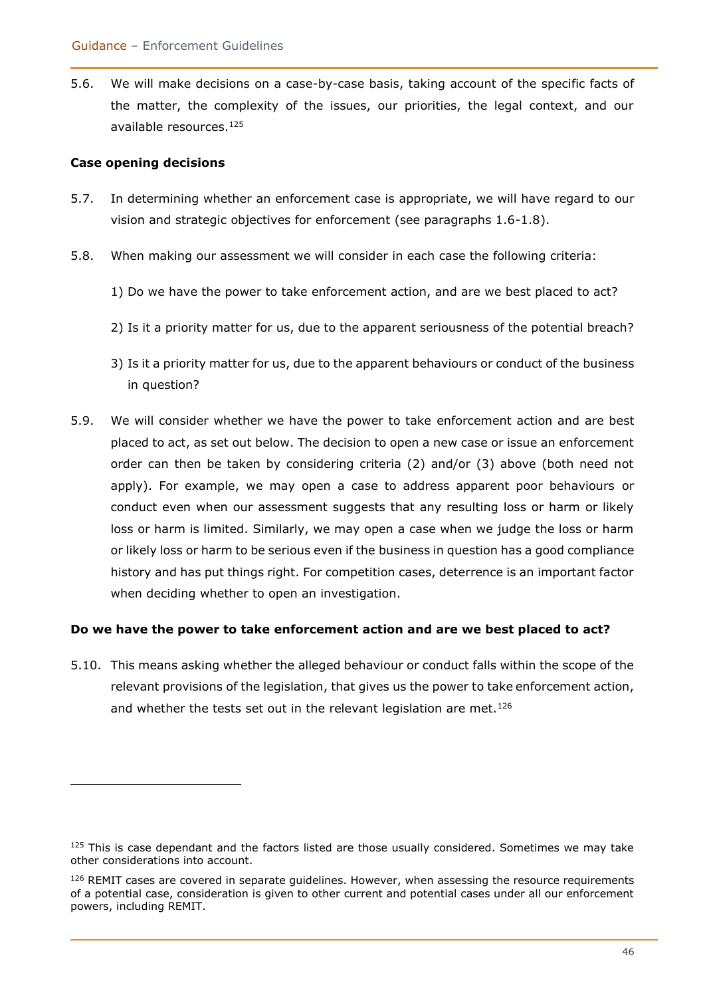5.6. We will make decisions on a case-by-case basis, taking account of the specific facts of the matter, the complexity of the issues, our priorities, the legal context, and our available resources.<sup>125</sup>

#### **Case opening decisions**

- 5.7. In determining whether an enforcement case is appropriate, we will have regard to our vision and strategic objectives for enforcement (see paragraphs 1.6-1.8).
- 5.8. When making our assessment we will consider in each case the following criteria:
	- 1) Do we have the power to take enforcement action, and are we best placed to act?
	- 2) Is it a priority matter for us, due to the apparent seriousness of the potential breach?
	- 3) Is it a priority matter for us, due to the apparent behaviours or conduct of the business in question?
- 5.9. We will consider whether we have the power to take enforcement action and are best placed to act, as set out below. The decision to open a new case or issue an enforcement order can then be taken by considering criteria (2) and/or (3) above (both need not apply). For example, we may open a case to address apparent poor behaviours or conduct even when our assessment suggests that any resulting loss or harm or likely loss or harm is limited. Similarly, we may open a case when we judge the loss or harm or likely loss or harm to be serious even if the business in question has a good compliance history and has put things right. For competition cases, deterrence is an important factor when deciding whether to open an investigation.

#### **Do we have the power to take enforcement action and are we best placed to act?**

5.10. This means asking whether the alleged behaviour or conduct falls within the scope of the relevant provisions of the legislation, that gives us the power to take enforcement action, and whether the tests set out in the relevant legislation are met.<sup>126</sup>

 $125$  This is case dependant and the factors listed are those usually considered. Sometimes we may take other considerations into account.

 $126$  REMIT cases are covered in separate guidelines. However, when assessing the resource requirements of a potential case, consideration is given to other current and potential cases under all our enforcement powers, including REMIT.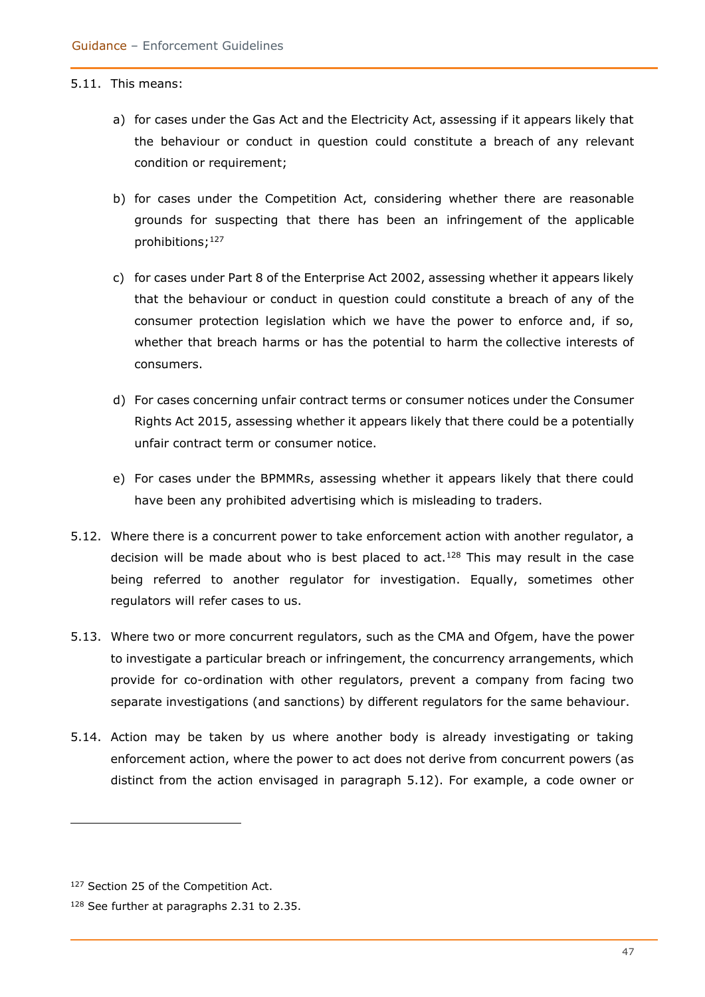#### 5.11. This means:

- a) for cases under the Gas Act and the Electricity Act, assessing if it appears likely that the behaviour or conduct in question could constitute a breach of any relevant condition or requirement;
- b) for cases under the Competition Act, considering whether there are reasonable grounds for suspecting that there has been an infringement of the applicable prohibitions; 127
- c) for cases under Part 8 of the Enterprise Act 2002, assessing whether it appears likely that the behaviour or conduct in question could constitute a breach of any of the consumer protection legislation which we have the power to enforce and, if so, whether that breach harms or has the potential to harm the collective interests of consumers.
- d) For cases concerning unfair contract terms or consumer notices under the Consumer Rights Act 2015, assessing whether it appears likely that there could be a potentially unfair contract term or consumer notice.
- e) For cases under the BPMMRs, assessing whether it appears likely that there could have been any prohibited advertising which is misleading to traders.
- 5.12. Where there is a concurrent power to take enforcement action with another regulator, a decision will be made about who is best placed to act.<sup>128</sup> This may result in the case being referred to another regulator for investigation. Equally, sometimes other regulators will refer cases to us.
- 5.13. Where two or more concurrent regulators, such as the CMA and Ofgem, have the power to investigate a particular breach or infringement, the concurrency arrangements, which provide for co-ordination with other regulators, prevent a company from facing two separate investigations (and sanctions) by different regulators for the same behaviour.
- 5.14. Action may be taken by us where another body is already investigating or taking enforcement action, where the power to act does not derive from concurrent powers (as distinct from the action envisaged in paragraph 5.12). For example, a code owner or

<sup>127</sup> Section 25 of the Competition Act.

<sup>128</sup> See further at paragraphs 2.31 to 2.35.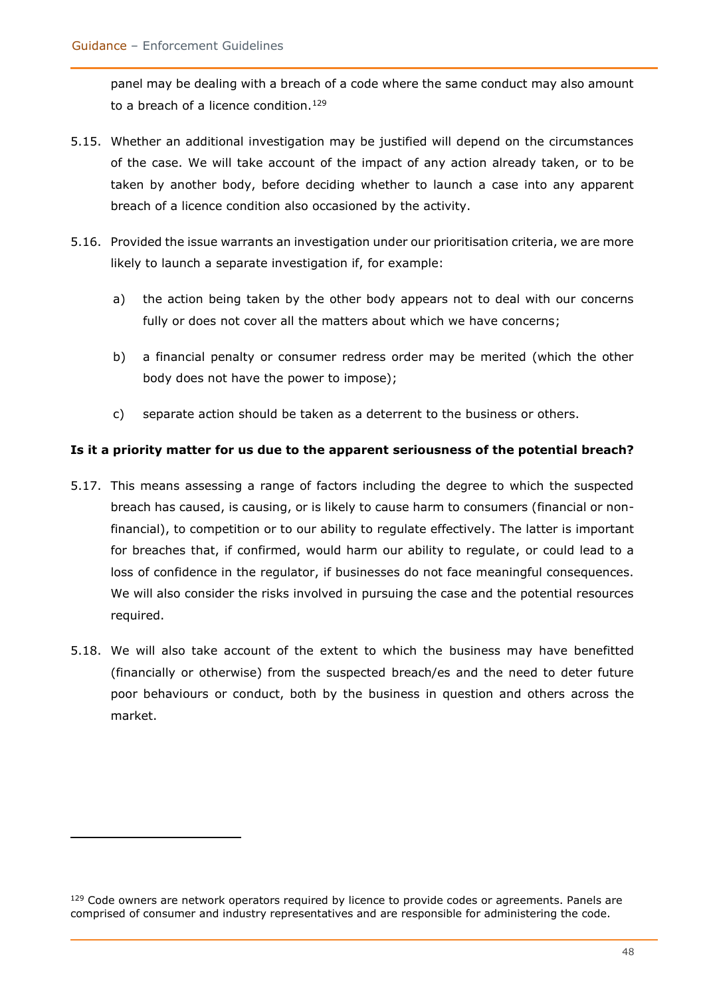panel may be dealing with a breach of a code where the same conduct may also amount to a breach of a licence condition.<sup>129</sup>

- 5.15. Whether an additional investigation may be justified will depend on the circumstances of the case. We will take account of the impact of any action already taken, or to be taken by another body, before deciding whether to launch a case into any apparent breach of a licence condition also occasioned by the activity.
- 5.16. Provided the issue warrants an investigation under our prioritisation criteria, we are more likely to launch a separate investigation if, for example:
	- a) the action being taken by the other body appears not to deal with our concerns fully or does not cover all the matters about which we have concerns;
	- b) a financial penalty or consumer redress order may be merited (which the other body does not have the power to impose);
	- c) separate action should be taken as a deterrent to the business or others.

#### **Is it a priority matter for us due to the apparent seriousness of the potential breach?**

- 5.17. This means assessing a range of factors including the degree to which the suspected breach has caused, is causing, or is likely to cause harm to consumers (financial or nonfinancial), to competition or to our ability to regulate effectively. The latter is important for breaches that, if confirmed, would harm our ability to regulate, or could lead to a loss of confidence in the regulator, if businesses do not face meaningful consequences. We will also consider the risks involved in pursuing the case and the potential resources required.
- 5.18. We will also take account of the extent to which the business may have benefitted (financially or otherwise) from the suspected breach/es and the need to deter future poor behaviours or conduct, both by the business in question and others across the market.

<sup>&</sup>lt;sup>129</sup> Code owners are network operators required by licence to provide codes or agreements. Panels are comprised of consumer and industry representatives and are responsible for administering the code.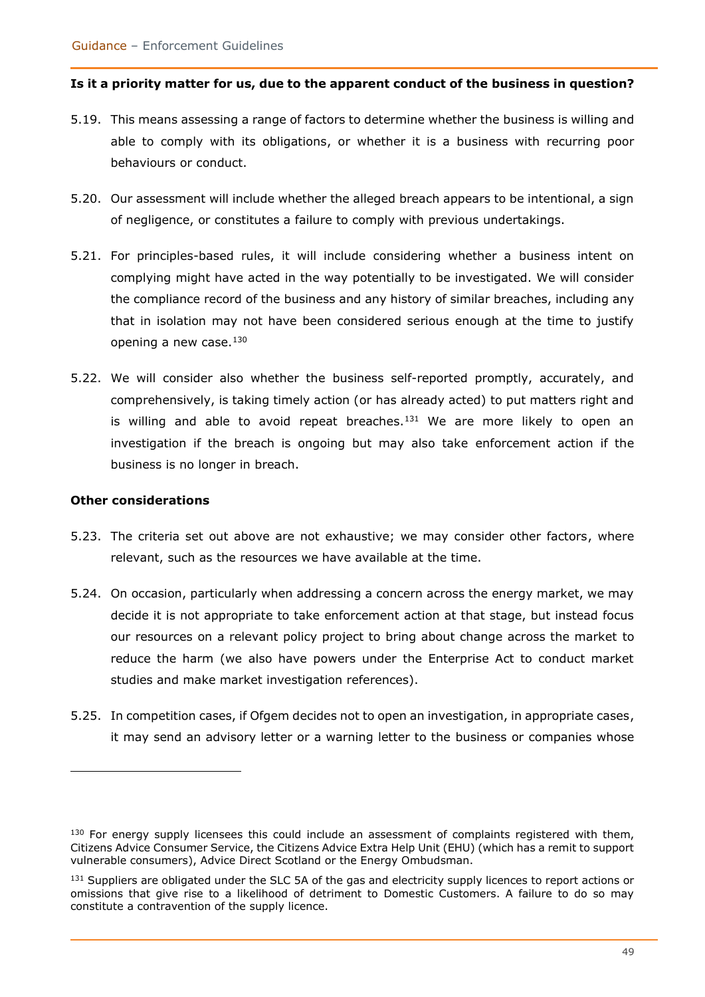#### **Is it a priority matter for us, due to the apparent conduct of the business in question?**

- 5.19. This means assessing a range of factors to determine whether the business is willing and able to comply with its obligations, or whether it is a business with recurring poor behaviours or conduct.
- 5.20. Our assessment will include whether the alleged breach appears to be intentional, a sign of negligence, or constitutes a failure to comply with previous undertakings.
- 5.21. For principles-based rules, it will include considering whether a business intent on complying might have acted in the way potentially to be investigated. We will consider the compliance record of the business and any history of similar breaches, including any that in isolation may not have been considered serious enough at the time to justify opening a new case.<sup>130</sup>
- 5.22. We will consider also whether the business self-reported promptly, accurately, and comprehensively, is taking timely action (or has already acted) to put matters right and is willing and able to avoid repeat breaches.<sup>131</sup> We are more likely to open an investigation if the breach is ongoing but may also take enforcement action if the business is no longer in breach.

#### **Other considerations**

- 5.23. The criteria set out above are not exhaustive; we may consider other factors, where relevant, such as the resources we have available at the time.
- 5.24. On occasion, particularly when addressing a concern across the energy market, we may decide it is not appropriate to take enforcement action at that stage, but instead focus our resources on a relevant policy project to bring about change across the market to reduce the harm (we also have powers under the Enterprise Act to conduct market studies and make market investigation references).
- 5.25. In competition cases, if Ofgem decides not to open an investigation, in appropriate cases, it may send an advisory letter or a warning letter to the business or companies whose

 $130$  For energy supply licensees this could include an assessment of complaints registered with them, Citizens Advice Consumer Service, the Citizens Advice Extra Help Unit (EHU) (which has a remit to support vulnerable consumers), Advice Direct Scotland or the Energy Ombudsman.

<sup>&</sup>lt;sup>131</sup> Suppliers are obligated under the SLC 5A of the gas and electricity supply licences to report actions or omissions that give rise to a likelihood of detriment to Domestic Customers. A failure to do so may constitute a contravention of the supply licence.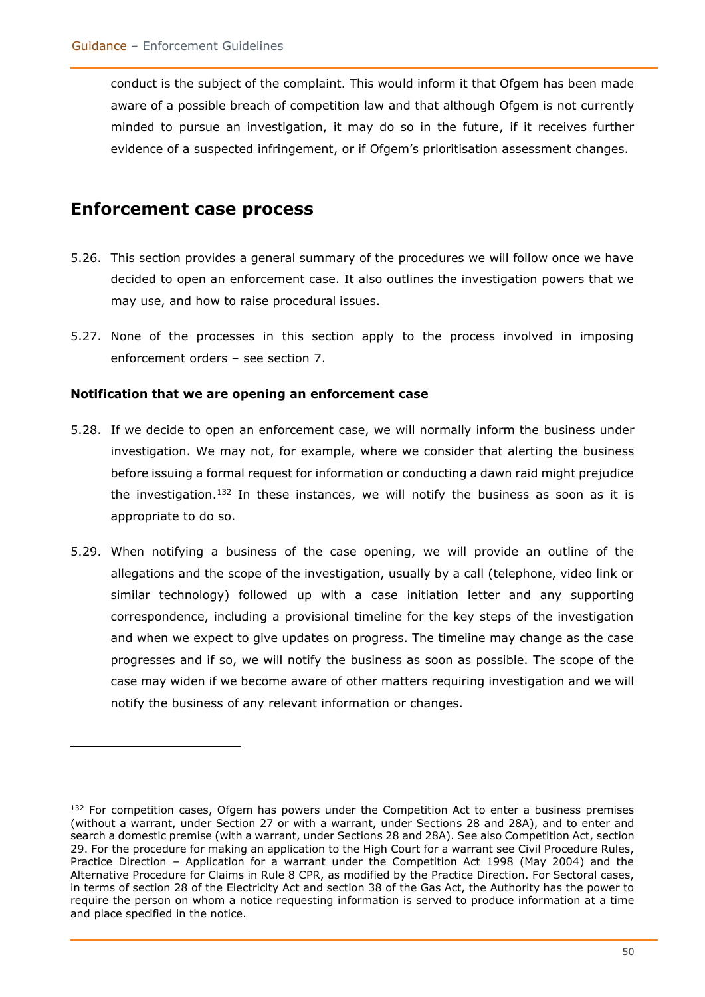conduct is the subject of the complaint. This would inform it that Ofgem has been made aware of a possible breach of competition law and that although Ofgem is not currently minded to pursue an investigation, it may do so in the future, if it receives further evidence of a suspected infringement, or if Ofgem's prioritisation assessment changes.

### **Enforcement case process**

- 5.26. This section provides a general summary of the procedures we will follow once we have decided to open an enforcement case. It also outlines the investigation powers that we may use, and how to raise procedural issues.
- 5.27. None of the processes in this section apply to the process involved in imposing enforcement orders – see section 7.

#### **Notification that we are opening an enforcement case**

- 5.28. If we decide to open an enforcement case, we will normally inform the business under investigation. We may not, for example, where we consider that alerting the business before issuing a formal request for information or conducting a dawn raid might prejudice the investigation.<sup>132</sup> In these instances, we will notify the business as soon as it is appropriate to do so.
- 5.29. When notifying a business of the case opening, we will provide an outline of the allegations and the scope of the investigation, usually by a call (telephone, video link or similar technology) followed up with a case initiation letter and any supporting correspondence, including a provisional timeline for the key steps of the investigation and when we expect to give updates on progress. The timeline may change as the case progresses and if so, we will notify the business as soon as possible. The scope of the case may widen if we become aware of other matters requiring investigation and we will notify the business of any relevant information or changes.

 $132$  For competition cases, Ofgem has powers under the Competition Act to enter a business premises (without a warrant, under Section 27 or with a warrant, under Sections 28 and 28A), and to enter and search a domestic premise (with a warrant, under Sections 28 and 28A). See also Competition Act, section 29. For the procedure for making an application to the High Court for a warrant see Civil Procedure Rules, Practice Direction – Application for a warrant under the Competition Act 1998 (May 2004) and the Alternative Procedure for Claims in Rule 8 CPR, as modified by the Practice Direction. For Sectoral cases, in terms of section 28 of the Electricity Act and section 38 of the Gas Act, the Authority has the power to require the person on whom a notice requesting information is served to produce information at a time and place specified in the notice.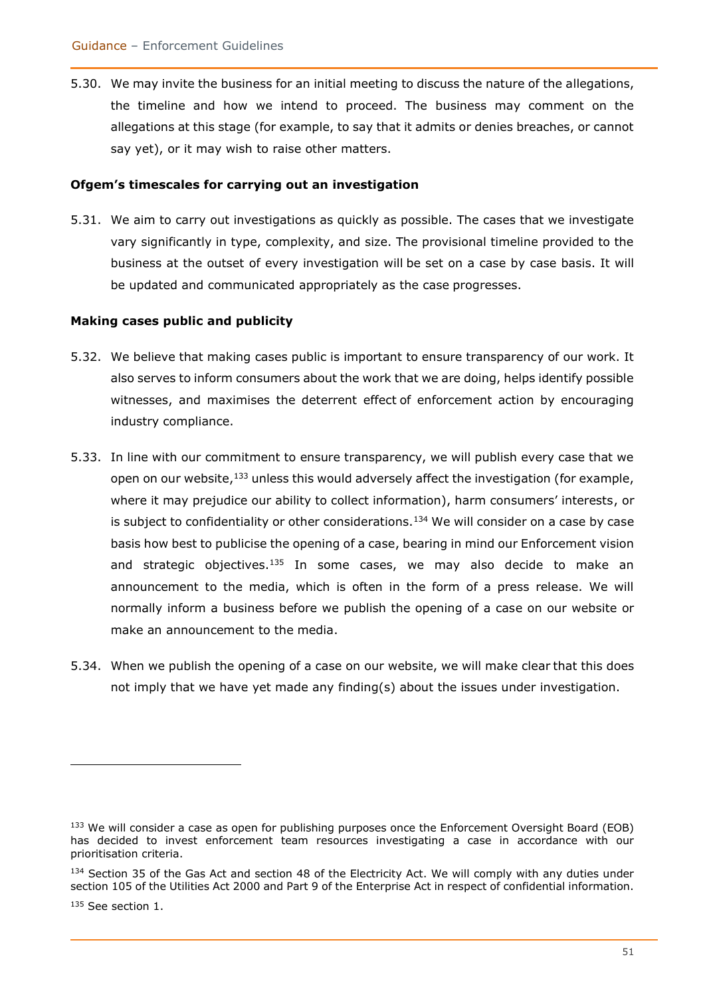5.30. We may invite the business for an initial meeting to discuss the nature of the allegations, the timeline and how we intend to proceed. The business may comment on the allegations at this stage (for example, to say that it admits or denies breaches, or cannot say yet), or it may wish to raise other matters.

#### **Ofgem's timescales for carrying out an investigation**

5.31. We aim to carry out investigations as quickly as possible. The cases that we investigate vary significantly in type, complexity, and size. The provisional timeline provided to the business at the outset of every investigation will be set on a case by case basis. It will be updated and communicated appropriately as the case progresses.

#### **Making cases public and publicity**

- 5.32. We believe that making cases public is important to ensure transparency of our work. It also serves to inform consumers about the work that we are doing, helps identify possible witnesses, and maximises the deterrent effect of enforcement action by encouraging industry compliance.
- 5.33. In line with our commitment to ensure transparency, we will publish every case that we open on our website,<sup>133</sup> unless this would adversely affect the investigation (for example, where it may prejudice our ability to collect information), harm consumers' interests, or is subject to confidentiality or other considerations.<sup>134</sup> We will consider on a case by case basis how best to publicise the opening of a case, bearing in mind our Enforcement vision and strategic objectives. $135$  In some cases, we may also decide to make an announcement to the media, which is often in the form of a press release. We will normally inform a business before we publish the opening of a case on our website or make an announcement to the media.
- 5.34. When we publish the opening of a case on our website, we will make clear that this does not imply that we have yet made any finding(s) about the issues under investigation.

<sup>&</sup>lt;sup>133</sup> We will consider a case as open for publishing purposes once the Enforcement Oversight Board (EOB) has decided to invest enforcement team resources investigating a case in accordance with our prioritisation criteria.

<sup>134</sup> Section 35 of the Gas Act and section 48 of the Electricity Act. We will comply with any duties under section 105 of the Utilities Act 2000 and Part 9 of the Enterprise Act in respect of confidential information. <sup>135</sup> See section 1.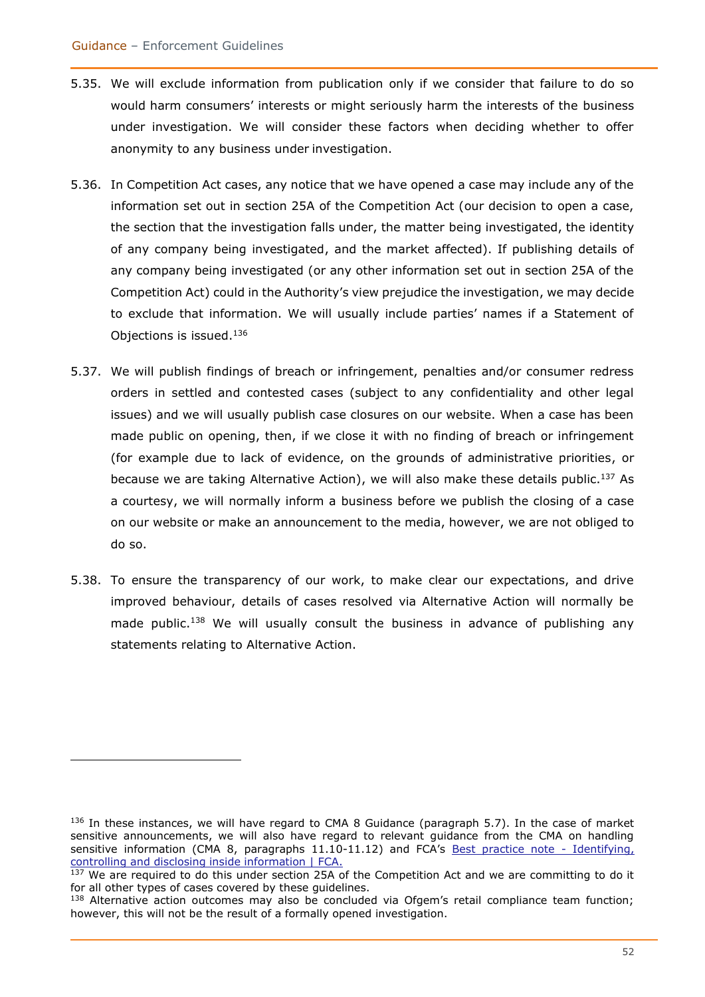- 5.35. We will exclude information from publication only if we consider that failure to do so would harm consumers' interests or might seriously harm the interests of the business under investigation. We will consider these factors when deciding whether to offer anonymity to any business under investigation.
- 5.36. In Competition Act cases, any notice that we have opened a case may include any of the information set out in section 25A of the Competition Act (our decision to open a case, the section that the investigation falls under, the matter being investigated, the identity of any company being investigated, and the market affected). If publishing details of any company being investigated (or any other information set out in section 25A of the Competition Act) could in the Authority's view prejudice the investigation, we may decide to exclude that information. We will usually include parties' names if a Statement of Objections is issued.<sup>136</sup>
- 5.37. We will publish findings of breach or infringement, penalties and/or consumer redress orders in settled and contested cases (subject to any confidentiality and other legal issues) and we will usually publish case closures on our website. When a case has been made public on opening, then, if we close it with no finding of breach or infringement (for example due to lack of evidence, on the grounds of administrative priorities, or because we are taking Alternative Action), we will also make these details public.<sup>137</sup> As a courtesy, we will normally inform a business before we publish the closing of a case on our website or make an announcement to the media, however, we are not obliged to do so.
- 5.38. To ensure the transparency of our work, to make clear our expectations, and drive improved behaviour, details of cases resolved via Alternative Action will normally be made public.<sup>138</sup> We will usually consult the business in advance of publishing any statements relating to Alternative Action.

 $136$  In these instances, we will have regard to CMA 8 Guidance (paragraph 5.7). In the case of market sensitive announcements, we will also have regard to relevant guidance from the CMA on handling sensitive information (CMA 8, paragraphs 11.10-11.12) and FCA's [Best practice note -](https://www.fca.org.uk/markets/best-practice-note-identifying-controlling-and-disclosing-inside-information) Identifying, [controlling and disclosing inside information | FCA.](https://www.fca.org.uk/markets/best-practice-note-identifying-controlling-and-disclosing-inside-information)

<sup>&</sup>lt;sup>137</sup> We are required to do this under section 25A of the Competition Act and we are committing to do it for all other types of cases covered by these guidelines.

<sup>&</sup>lt;sup>138</sup> Alternative action outcomes may also be concluded via Ofgem's retail compliance team function; however, this will not be the result of a formally opened investigation.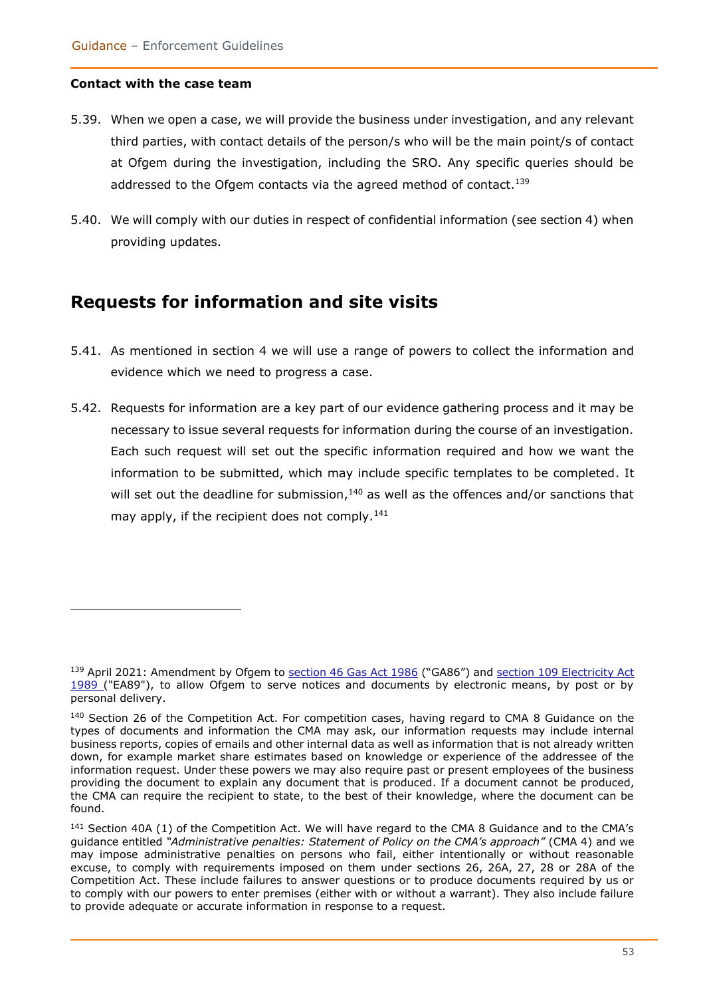#### **Contact with the case team**

- 5.39. When we open a case, we will provide the business under investigation, and any relevant third parties, with contact details of the person/s who will be the main point/s of contact at Ofgem during the investigation, including the SRO. Any specific queries should be addressed to the Ofgem contacts via the agreed method of contact.<sup>139</sup>
- 5.40. We will comply with our duties in respect of confidential information (see section 4) when providing updates.

### **Requests for information and site visits**

- 5.41. As mentioned in section 4 we will use a range of powers to collect the information and evidence which we need to progress a case.
- 5.42. Requests for information are a key part of our evidence gathering process and it may be necessary to issue several requests for information during the course of an investigation. Each such request will set out the specific information required and how we want the information to be submitted, which may include specific templates to be completed. It will set out the deadline for submission, $^{140}$  as well as the offences and/or sanctions that may apply, if the recipient does not comply.<sup>141</sup>

<sup>139</sup> April 2021: Amendment by Ofgem to [section 46 Gas Act 1986](https://eur02.safelinks.protection.outlook.com/?url=https%3A%2F%2Fwww.legislation.gov.uk%2Fukpga%2F1986%2F44%2Fsection%2F46&data=04%7C01%7CHeather.Swan%40ofgem.gov.uk%7C14441d3858584eb12f0808d90008f68d%7C185562ad39bc48408e40be6216340c52%7C0%7C0%7C637540860768591804%7CUnknown%7CTWFpbGZsb3d8eyJWIjoiMC4wLjAwMDAiLCJQIjoiV2luMzIiLCJBTiI6Ik1haWwiLCJXVCI6Mn0%3D%7C1000&sdata=xK6WvaytX3calRX8DKHKgvlegpIf17CLTwNdr8JMIsY%3D&reserved=0) ("GA86") and section 109 Electricity Act [1989 \(](https://eur02.safelinks.protection.outlook.com/?url=https%3A%2F%2Fwww.legislation.gov.uk%2Fukpga%2F1989%2F29%2Fsection%2F109&data=04%7C01%7CHeather.Swan%40ofgem.gov.uk%7C14441d3858584eb12f0808d90008f68d%7C185562ad39bc48408e40be6216340c52%7C0%7C0%7C637540860768601755%7CUnknown%7CTWFpbGZsb3d8eyJWIjoiMC4wLjAwMDAiLCJQIjoiV2luMzIiLCJBTiI6Ik1haWwiLCJXVCI6Mn0%3D%7C1000&sdata=eE53WwdOxO0ttjbKztLSPRx4uXVjd7m%2B2oDvBTzRq%2F0%3D&reserved=0)"EA89"), to allow Ofgem to serve notices and documents by electronic means, by post or by personal delivery.

<sup>&</sup>lt;sup>140</sup> Section 26 of the Competition Act. For competition cases, having regard to CMA 8 Guidance on the types of documents and information the CMA may ask, our information requests may include internal business reports, copies of emails and other internal data as well as information that is not already written down, for example market share estimates based on knowledge or experience of the addressee of the information request. Under these powers we may also require past or present employees of the business providing the document to explain any document that is produced. If a document cannot be produced, the CMA can require the recipient to state, to the best of their knowledge, where the document can be found.

<sup>&</sup>lt;sup>141</sup> Section 40A (1) of the Competition Act. We will have regard to the CMA 8 Guidance and to the CMA's guidance entitled *"Administrative penalties: Statement of Policy on the CMA's approach"* (CMA 4) and we may impose administrative penalties on persons who fail, either intentionally or without reasonable excuse, to comply with requirements imposed on them under sections 26, 26A, 27, 28 or 28A of the Competition Act. These include failures to answer questions or to produce documents required by us or to comply with our powers to enter premises (either with or without a warrant). They also include failure to provide adequate or accurate information in response to a request.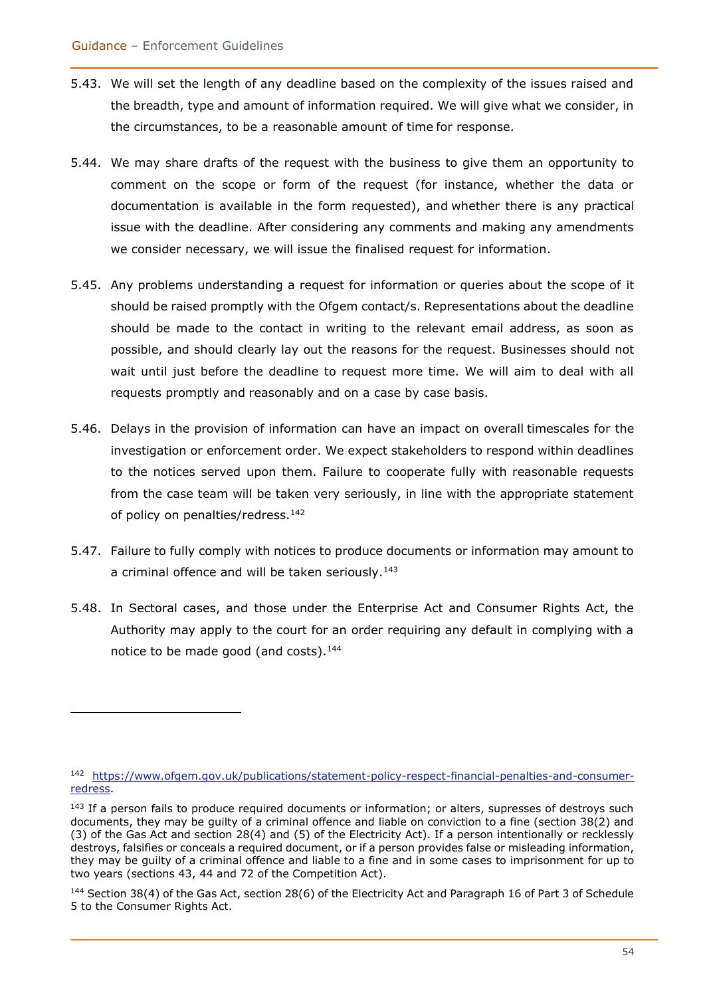- 5.43. We will set the length of any deadline based on the complexity of the issues raised and the breadth, type and amount of information required. We will give what we consider, in the circumstances, to be a reasonable amount of time for response.
- 5.44. We may share drafts of the request with the business to give them an opportunity to comment on the scope or form of the request (for instance, whether the data or documentation is available in the form requested), and whether there is any practical issue with the deadline. After considering any comments and making any amendments we consider necessary, we will issue the finalised request for information.
- 5.45. Any problems understanding a request for information or queries about the scope of it should be raised promptly with the Ofgem contact/s. Representations about the deadline should be made to the contact in writing to the relevant email address, as soon as possible, and should clearly lay out the reasons for the request. Businesses should not wait until just before the deadline to request more time. We will aim to deal with all requests promptly and reasonably and on a case by case basis.
- 5.46. Delays in the provision of information can have an impact on overall timescales for the investigation or enforcement order. We expect stakeholders to respond within deadlines to the notices served upon them. Failure to cooperate fully with reasonable requests from the case team will be taken very seriously, in line with the appropriate statement of policy on penalties/redress.<sup>142</sup>
- 5.47. Failure to fully comply with notices to produce documents or information may amount to a criminal offence and will be taken seriously.<sup>143</sup>
- 5.48. In Sectoral cases, and those under the Enterprise Act and Consumer Rights Act, the Authority may apply to the court for an order requiring any default in complying with a notice to be made good (and costs). $144$

<sup>142</sup> [https://www.ofgem.gov.uk/publications/statement-policy-respect-financial-penalties-and-consumer](https://www.ofgem.gov.uk/publications/statement-policy-respect-financial-penalties-and-consumer-redress)[redress.](https://www.ofgem.gov.uk/publications/statement-policy-respect-financial-penalties-and-consumer-redress)

<sup>&</sup>lt;sup>143</sup> If a person fails to produce required documents or information; or alters, supresses of destroys such documents, they may be guilty of a criminal offence and liable on conviction to a fine (section 38(2) and (3) of the Gas Act and section 28(4) and (5) of the Electricity Act). If a person intentionally or recklessly destroys, falsifies or conceals a required document, or if a person provides false or misleading information, they may be guilty of a criminal offence and liable to a fine and in some cases to imprisonment for up to two years (sections 43, 44 and 72 of the Competition Act).

<sup>144</sup> Section 38(4) of the Gas Act, section 28(6) of the Electricity Act and Paragraph 16 of Part 3 of Schedule 5 to the Consumer Rights Act.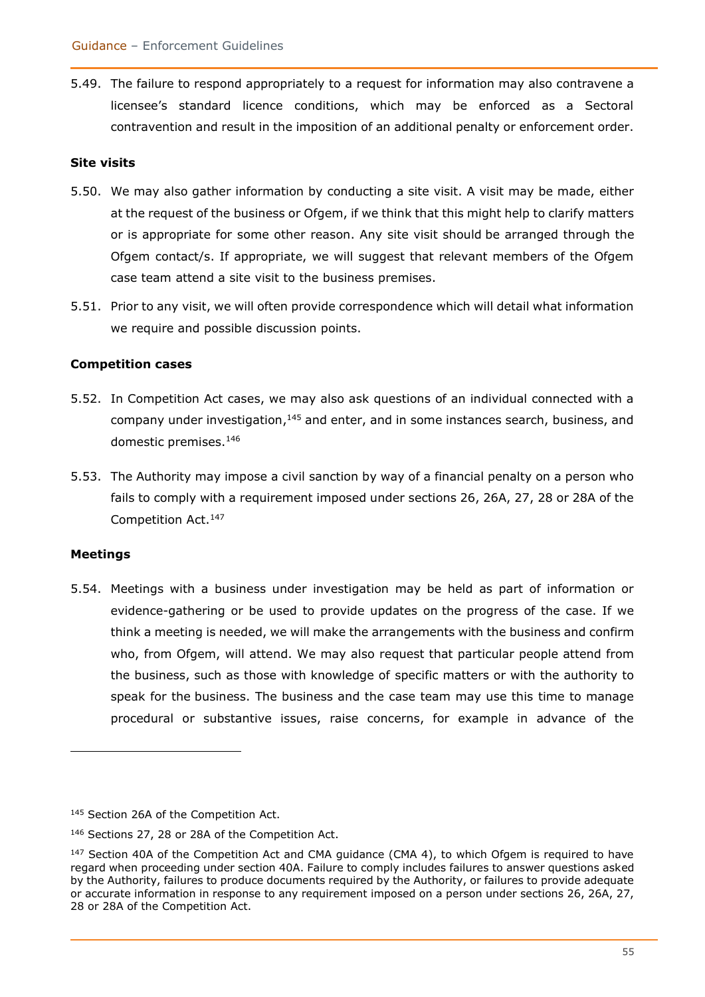5.49. The failure to respond appropriately to a request for information may also contravene a licensee's standard licence conditions, which may be enforced as a Sectoral contravention and result in the imposition of an additional penalty or enforcement order.

#### **Site visits**

- 5.50. We may also gather information by conducting a site visit. A visit may be made, either at the request of the business or Ofgem, if we think that this might help to clarify matters or is appropriate for some other reason. Any site visit should be arranged through the Ofgem contact/s. If appropriate, we will suggest that relevant members of the Ofgem case team attend a site visit to the business premises.
- 5.51. Prior to any visit, we will often provide correspondence which will detail what information we require and possible discussion points.

#### **Competition cases**

- 5.52. In Competition Act cases, we may also ask questions of an individual connected with a company under investigation,<sup>145</sup> and enter, and in some instances search, business, and domestic premises.<sup>146</sup>
- 5.53. The Authority may impose a civil sanction by way of a financial penalty on a person who fails to comply with a requirement imposed under sections 26, 26A, 27, 28 or 28A of the Competition Act.<sup>147</sup>

#### **Meetings**

5.54. Meetings with a business under investigation may be held as part of information or evidence-gathering or be used to provide updates on the progress of the case. If we think a meeting is needed, we will make the arrangements with the business and confirm who, from Ofgem, will attend. We may also request that particular people attend from the business, such as those with knowledge of specific matters or with the authority to speak for the business. The business and the case team may use this time to manage procedural or substantive issues, raise concerns, for example in advance of the

<sup>145</sup> Section 26A of the Competition Act.

<sup>146</sup> Sections 27, 28 or 28A of the Competition Act.

 $147$  Section 40A of the Competition Act and CMA quidance (CMA 4), to which Ofgem is required to have regard when proceeding under section 40A. Failure to comply includes failures to answer questions asked by the Authority, failures to produce documents required by the Authority, or failures to provide adequate or accurate information in response to any requirement imposed on a person under sections 26, 26A, 27, 28 or 28A of the Competition Act.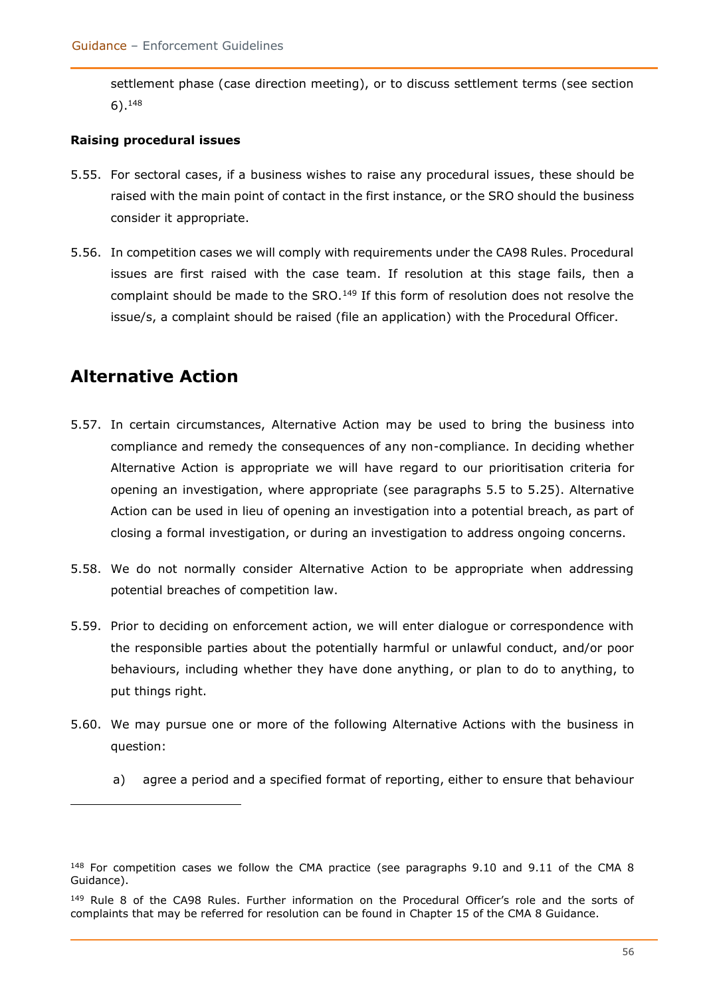settlement phase (case direction meeting), or to discuss settlement terms (see section 6).<sup>148</sup>

#### **Raising procedural issues**

- 5.55. For sectoral cases, if a business wishes to raise any procedural issues, these should be raised with the main point of contact in the first instance, or the SRO should the business consider it appropriate.
- 5.56. In competition cases we will comply with requirements under the CA98 Rules. Procedural issues are first raised with the case team. If resolution at this stage fails, then a complaint should be made to the SRO.<sup>149</sup> If this form of resolution does not resolve the issue/s, a complaint should be raised (file an application) with the Procedural Officer.

# **Alternative Action**

- 5.57. In certain circumstances, Alternative Action may be used to bring the business into compliance and remedy the consequences of any non-compliance. In deciding whether Alternative Action is appropriate we will have regard to our prioritisation criteria for opening an investigation, where appropriate (see paragraphs 5.5 to 5.25). Alternative Action can be used in lieu of opening an investigation into a potential breach, as part of closing a formal investigation, or during an investigation to address ongoing concerns.
- 5.58. We do not normally consider Alternative Action to be appropriate when addressing potential breaches of competition law.
- 5.59. Prior to deciding on enforcement action, we will enter dialogue or correspondence with the responsible parties about the potentially harmful or unlawful conduct, and/or poor behaviours, including whether they have done anything, or plan to do to anything, to put things right.
- 5.60. We may pursue one or more of the following Alternative Actions with the business in question:
	- a) agree a period and a specified format of reporting, either to ensure that behaviour

<sup>&</sup>lt;sup>148</sup> For competition cases we follow the CMA practice (see paragraphs 9.10 and 9.11 of the CMA 8 Guidance).

<sup>&</sup>lt;sup>149</sup> Rule 8 of the CA98 Rules. Further information on the Procedural Officer's role and the sorts of complaints that may be referred for resolution can be found in Chapter 15 of the CMA 8 Guidance.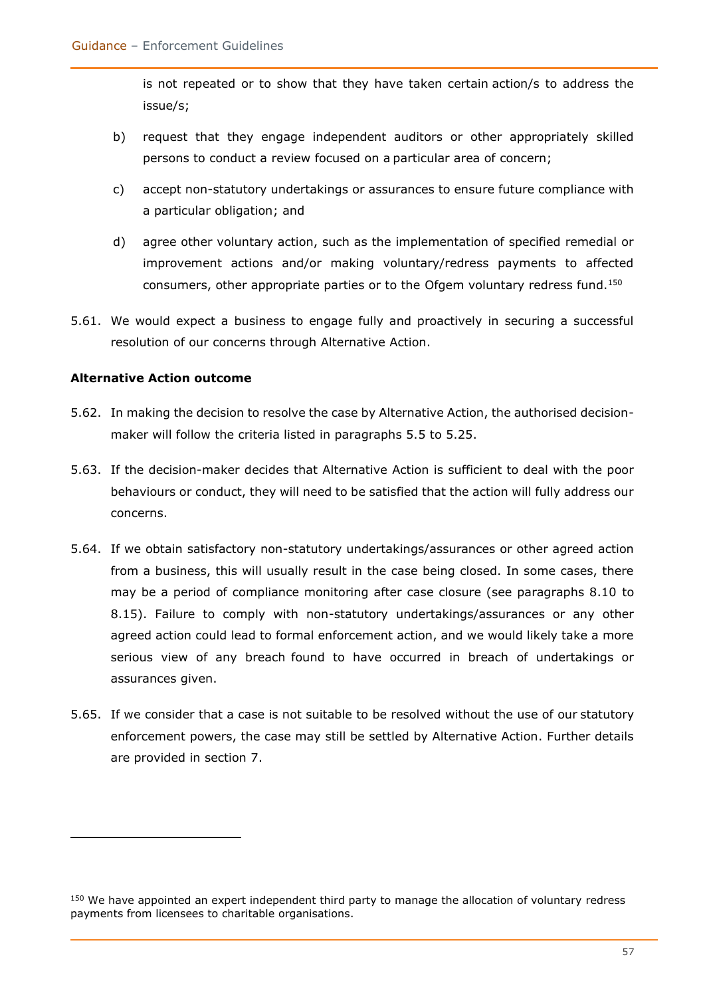is not repeated or to show that they have taken certain action/s to address the issue/s;

- b) request that they engage independent auditors or other appropriately skilled persons to conduct a review focused on a particular area of concern;
- c) accept non-statutory undertakings or assurances to ensure future compliance with a particular obligation; and
- d) agree other voluntary action, such as the implementation of specified remedial or improvement actions and/or making voluntary/redress payments to affected consumers, other appropriate parties or to the Ofgem voluntary redress fund.<sup>150</sup>
- 5.61. We would expect a business to engage fully and proactively in securing a successful resolution of our concerns through Alternative Action.

#### **Alternative Action outcome**

- 5.62. In making the decision to resolve the case by Alternative Action, the authorised decisionmaker will follow the criteria listed in paragraphs 5.5 to 5.25.
- 5.63. If the decision-maker decides that Alternative Action is sufficient to deal with the poor behaviours or conduct, they will need to be satisfied that the action will fully address our concerns.
- 5.64. If we obtain satisfactory non-statutory undertakings/assurances or other agreed action from a business, this will usually result in the case being closed. In some cases, there may be a period of compliance monitoring after case closure (see paragraphs 8.10 to 8.15). Failure to comply with non-statutory undertakings/assurances or any other agreed action could lead to formal enforcement action, and we would likely take a more serious view of any breach found to have occurred in breach of undertakings or assurances given.
- 5.65. If we consider that a case is not suitable to be resolved without the use of our statutory enforcement powers, the case may still be settled by Alternative Action. Further details are provided in section 7.

<sup>&</sup>lt;sup>150</sup> We have appointed an expert independent third party to manage the allocation of voluntary redress payments from licensees to charitable organisations.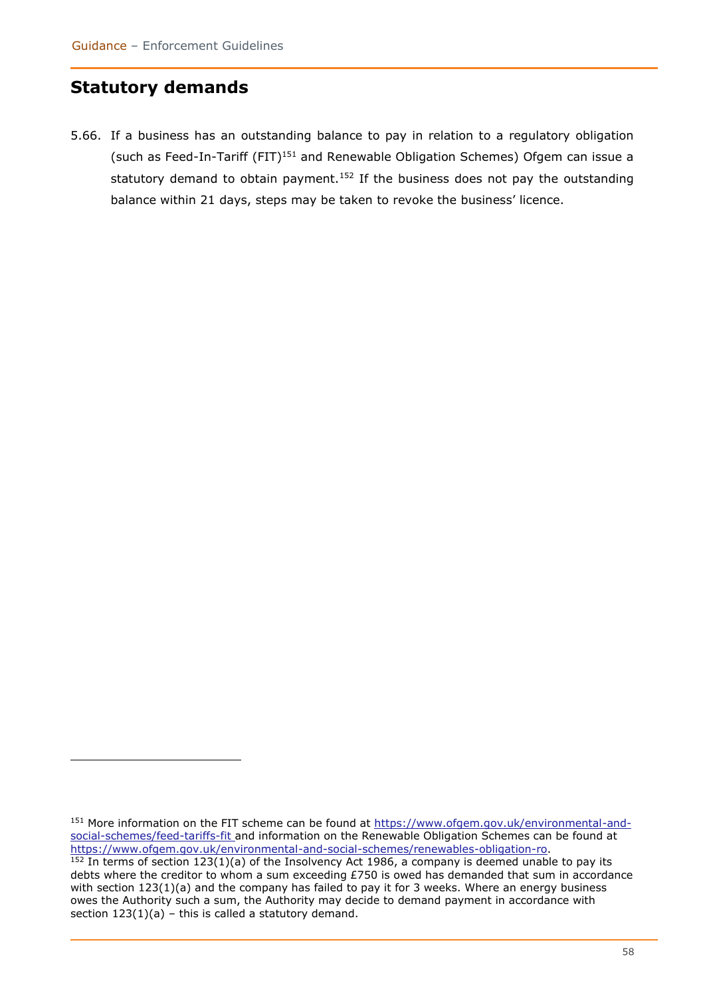# **Statutory demands**

5.66. If a business has an outstanding balance to pay in relation to a regulatory obligation (such as Feed-In-Tariff (FIT)<sup>151</sup> and Renewable Obligation Schemes) Ofgem can issue a statutory demand to obtain payment.<sup>152</sup> If the business does not pay the outstanding balance within 21 days, steps may be taken to revoke the business' licence.

<sup>151</sup> More information on the FIT scheme can be found at [https://www.ofgem.gov.uk/environmental-and](https://www.ofgem.gov.uk/environmental-and-social-schemes/feed-tariffs-fit)[social-schemes/feed-tariffs-fit](https://www.ofgem.gov.uk/environmental-and-social-schemes/feed-tariffs-fit) and information on the Renewable Obligation Schemes can be found at [https://www.ofgem.gov.uk/environmental-and-social-schemes/renewables-obligation-ro.](https://www.ofgem.gov.uk/environmental-and-social-schemes/renewables-obligation-ro)

 $152$  In terms of section 123(1)(a) of the Insolvency Act 1986, a company is deemed unable to pay its debts where the creditor to whom a sum exceeding £750 is owed has demanded that sum in accordance with section 123(1)(a) and the company has failed to pay it for 3 weeks. Where an energy business owes the Authority such a sum, the Authority may decide to demand payment in accordance with section  $123(1)(a)$  – this is called a statutory demand.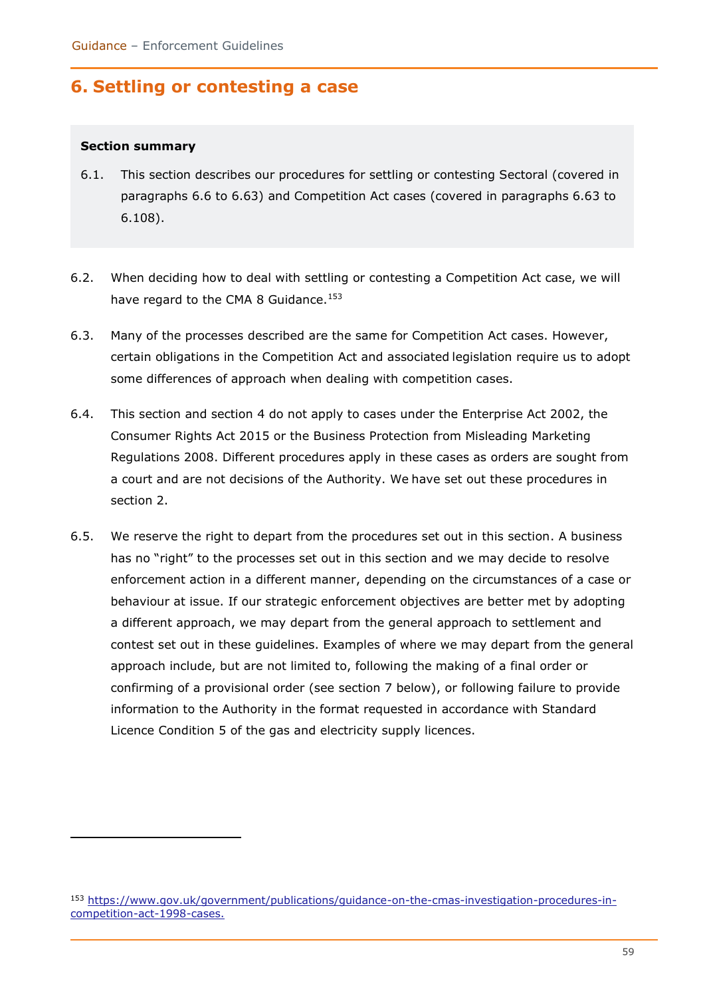# **6. Settling or contesting a case**

#### **Section summary**

- 6.1. This section describes our procedures for settling or contesting Sectoral (covered in paragraphs 6.6 to 6.63) and Competition Act cases (covered in paragraphs 6.63 to 6.108).
- 6.2. When deciding how to deal with settling or contesting a Competition Act case, we will have regard to the CMA 8 Guidance.<sup>153</sup>
- 6.3. Many of the processes described are the same for Competition Act cases. However, certain obligations in the Competition Act and associated legislation require us to adopt some differences of approach when dealing with competition cases.
- 6.4. This section and section 4 do not apply to cases under the Enterprise Act 2002, the Consumer Rights Act 2015 or the Business Protection from Misleading Marketing Regulations 2008. Different procedures apply in these cases as orders are sought from a court and are not decisions of the Authority. We have set out these procedures in section 2.
- 6.5. We reserve the right to depart from the procedures set out in this section. A business has no "right" to the processes set out in this section and we may decide to resolve enforcement action in a different manner, depending on the circumstances of a case or behaviour at issue. If our strategic enforcement objectives are better met by adopting a different approach, we may depart from the general approach to settlement and contest set out in these guidelines. Examples of where we may depart from the general approach include, but are not limited to, following the making of a final order or confirming of a provisional order (see section 7 below), or following failure to provide information to the Authority in the format requested in accordance with Standard Licence Condition 5 of the gas and electricity supply licences.

<sup>153</sup> [https://www.gov.uk/government/publications/guidance-on-the-cmas-investigation-procedures-in](https://www.gov.uk/government/publications/guidance-on-the-cmas-investigation-procedures-in-competition-act-1998-cases)[competition-act-1998-cases.](https://www.gov.uk/government/publications/guidance-on-the-cmas-investigation-procedures-in-competition-act-1998-cases)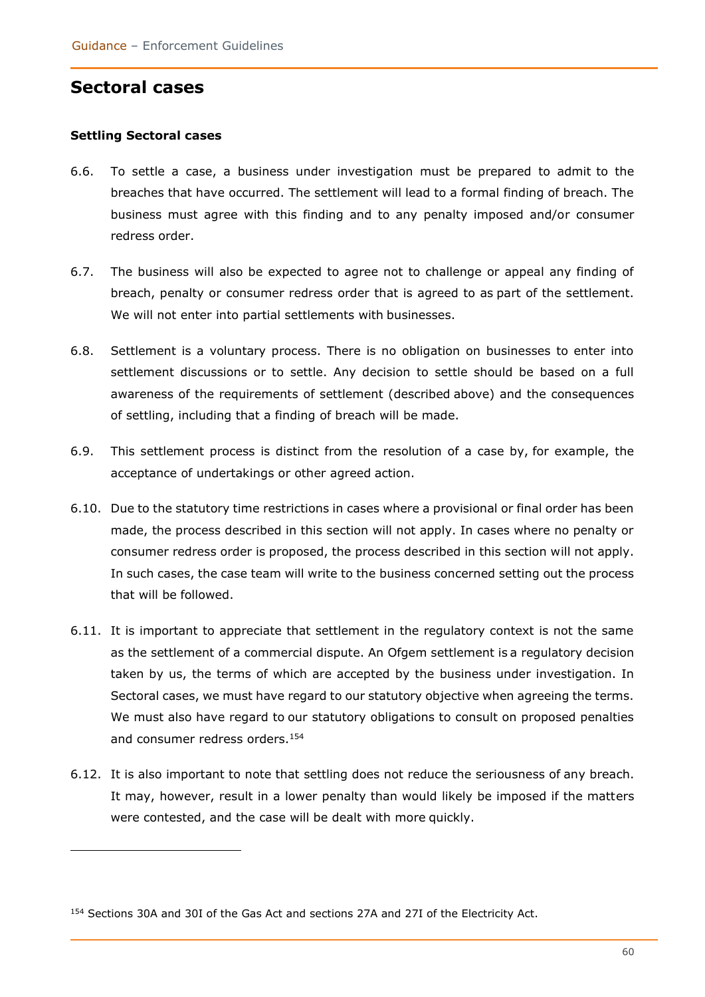### **Sectoral cases**

#### **Settling Sectoral cases**

- 6.6. To settle a case, a business under investigation must be prepared to admit to the breaches that have occurred. The settlement will lead to a formal finding of breach. The business must agree with this finding and to any penalty imposed and/or consumer redress order.
- 6.7. The business will also be expected to agree not to challenge or appeal any finding of breach, penalty or consumer redress order that is agreed to as part of the settlement. We will not enter into partial settlements with businesses.
- 6.8. Settlement is a voluntary process. There is no obligation on businesses to enter into settlement discussions or to settle. Any decision to settle should be based on a full awareness of the requirements of settlement (described above) and the consequences of settling, including that a finding of breach will be made.
- 6.9. This settlement process is distinct from the resolution of a case by, for example, the acceptance of undertakings or other agreed action.
- 6.10. Due to the statutory time restrictions in cases where a provisional or final order has been made, the process described in this section will not apply. In cases where no penalty or consumer redress order is proposed, the process described in this section will not apply. In such cases, the case team will write to the business concerned setting out the process that will be followed.
- 6.11. It is important to appreciate that settlement in the regulatory context is not the same as the settlement of a commercial dispute. An Ofgem settlement is a regulatory decision taken by us, the terms of which are accepted by the business under investigation. In Sectoral cases, we must have regard to our statutory objective when agreeing the terms. We must also have regard to our statutory obligations to consult on proposed penalties and consumer redress orders.<sup>154</sup>
- 6.12. It is also important to note that settling does not reduce the seriousness of any breach. It may, however, result in a lower penalty than would likely be imposed if the matters were contested, and the case will be dealt with more quickly.

<sup>154</sup> Sections 30A and 30I of the Gas Act and sections 27A and 27I of the Electricity Act.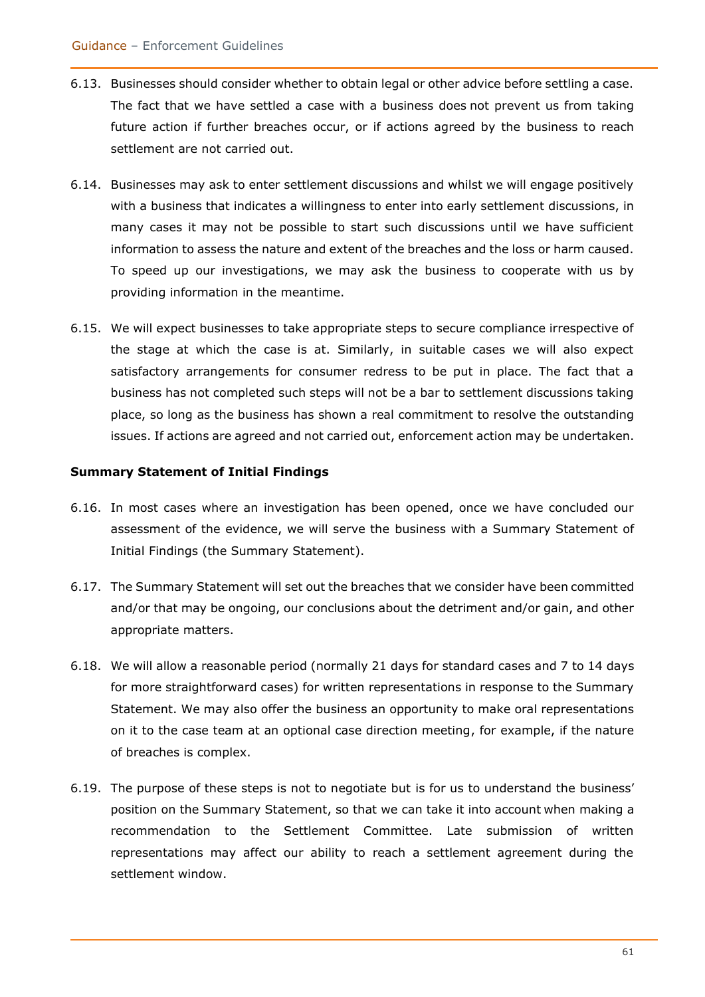- 6.13. Businesses should consider whether to obtain legal or other advice before settling a case. The fact that we have settled a case with a business does not prevent us from taking future action if further breaches occur, or if actions agreed by the business to reach settlement are not carried out.
- 6.14. Businesses may ask to enter settlement discussions and whilst we will engage positively with a business that indicates a willingness to enter into early settlement discussions, in many cases it may not be possible to start such discussions until we have sufficient information to assess the nature and extent of the breaches and the loss or harm caused. To speed up our investigations, we may ask the business to cooperate with us by providing information in the meantime.
- 6.15. We will expect businesses to take appropriate steps to secure compliance irrespective of the stage at which the case is at. Similarly, in suitable cases we will also expect satisfactory arrangements for consumer redress to be put in place. The fact that a business has not completed such steps will not be a bar to settlement discussions taking place, so long as the business has shown a real commitment to resolve the outstanding issues. If actions are agreed and not carried out, enforcement action may be undertaken.

#### **Summary Statement of Initial Findings**

- 6.16. In most cases where an investigation has been opened, once we have concluded our assessment of the evidence, we will serve the business with a Summary Statement of Initial Findings (the Summary Statement).
- 6.17. The Summary Statement will set out the breaches that we consider have been committed and/or that may be ongoing, our conclusions about the detriment and/or gain, and other appropriate matters.
- 6.18. We will allow a reasonable period (normally 21 days for standard cases and 7 to 14 days for more straightforward cases) for written representations in response to the Summary Statement. We may also offer the business an opportunity to make oral representations on it to the case team at an optional case direction meeting, for example, if the nature of breaches is complex.
- 6.19. The purpose of these steps is not to negotiate but is for us to understand the business' position on the Summary Statement, so that we can take it into account when making a recommendation to the Settlement Committee. Late submission of written representations may affect our ability to reach a settlement agreement during the settlement window.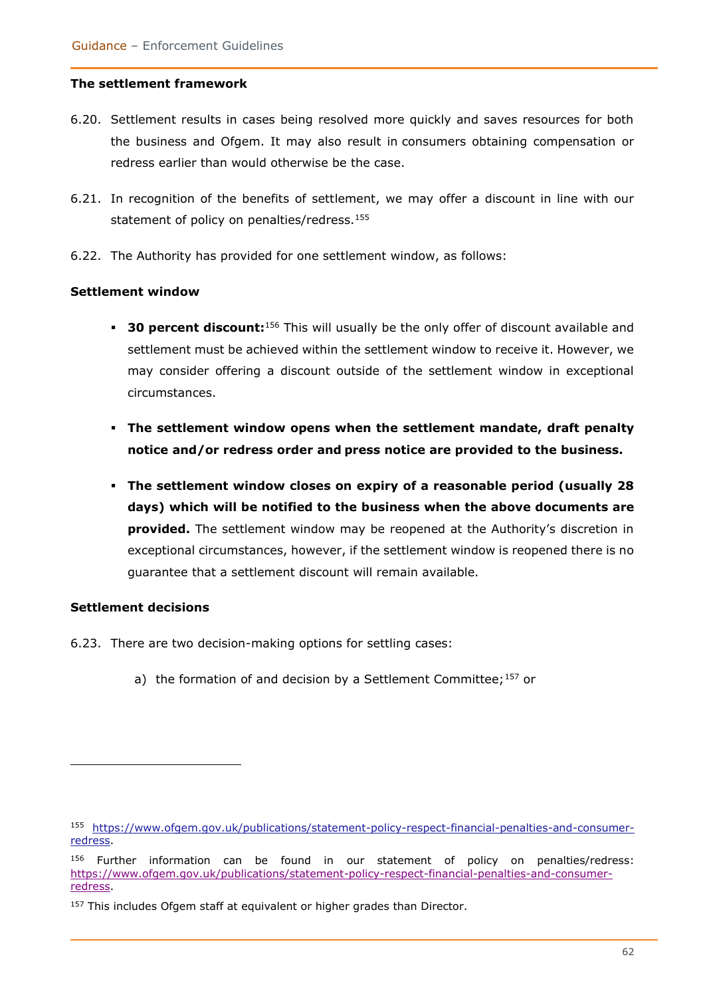#### **The settlement framework**

- 6.20. Settlement results in cases being resolved more quickly and saves resources for both the business and Ofgem. It may also result in consumers obtaining compensation or redress earlier than would otherwise be the case.
- 6.21. In recognition of the benefits of settlement, we may offer a discount in line with our statement of policy on penalties/redress.<sup>155</sup>
- 6.22. The Authority has provided for one settlement window, as follows:

#### **Settlement window**

- **30 percent discount:**<sup>156</sup> This will usually be the only offer of discount available and settlement must be achieved within the settlement window to receive it. However, we may consider offering a discount outside of the settlement window in exceptional circumstances.
- **The settlement window opens when the settlement mandate, draft penalty notice and/or redress order and press notice are provided to the business.**
- **The settlement window closes on expiry of a reasonable period (usually 28 days) which will be notified to the business when the above documents are provided.** The settlement window may be reopened at the Authority's discretion in exceptional circumstances, however, if the settlement window is reopened there is no guarantee that a settlement discount will remain available.

#### **Settlement decisions**

- 6.23. There are two decision-making options for settling cases:
	- a) the formation of and decision by a Settlement Committee;  $157$  or

<sup>155</sup> [https://www.ofgem.gov.uk/publications/statement-policy-respect-financial-penalties-and-consumer](https://www.ofgem.gov.uk/publications/statement-policy-respect-financial-penalties-and-consumer-redress)[redress.](https://www.ofgem.gov.uk/publications/statement-policy-respect-financial-penalties-and-consumer-redress)

<sup>156</sup> Further information can be found in our statement of policy on penalties/redress: [https://www.ofgem.gov.uk/publications/statement-policy-respect-financial-penalties-and-consumer](https://www.ofgem.gov.uk/publications/statement-policy-respect-financial-penalties-and-consumer-redress)[redress.](https://www.ofgem.gov.uk/publications/statement-policy-respect-financial-penalties-and-consumer-redress)

<sup>&</sup>lt;sup>157</sup> This includes Ofgem staff at equivalent or higher grades than Director.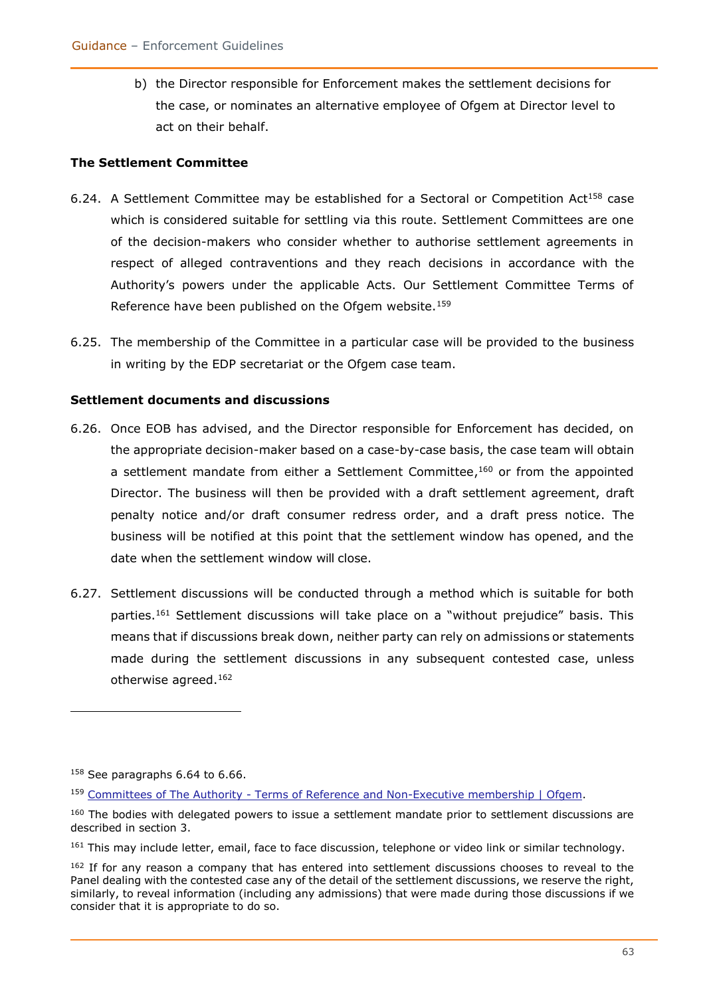b) the Director responsible for Enforcement makes the settlement decisions for the case, or nominates an alternative employee of Ofgem at Director level to act on their behalf.

#### **The Settlement Committee**

- 6.24. A Settlement Committee may be established for a Sectoral or Competition Act<sup>158</sup> case which is considered suitable for settling via this route. Settlement Committees are one of the decision-makers who consider whether to authorise settlement agreements in respect of alleged contraventions and they reach decisions in accordance with the Authority's powers under the applicable Acts. Our Settlement Committee Terms of Reference have been published on the Ofgem website.<sup>159</sup>
- 6.25. The membership of the Committee in a particular case will be provided to the business in writing by the EDP secretariat or the Ofgem case team.

#### **Settlement documents and discussions**

- 6.26. Once EOB has advised, and the Director responsible for Enforcement has decided, on the appropriate decision-maker based on a case-by-case basis, the case team will obtain a settlement mandate from either a Settlement Committee,<sup>160</sup> or from the appointed Director. The business will then be provided with a draft settlement agreement, draft penalty notice and/or draft consumer redress order, and a draft press notice. The business will be notified at this point that the settlement window has opened, and the date when the settlement window will close.
- 6.27. Settlement discussions will be conducted through a method which is suitable for both parties.<sup>161</sup> Settlement discussions will take place on a "without prejudice" basis. This means that if discussions break down, neither party can rely on admissions or statements made during the settlement discussions in any subsequent contested case, unless otherwise agreed. 162

<sup>&</sup>lt;sup>158</sup> See paragraphs 6.64 to 6.66.

<sup>159</sup> Committees of The Authority - [Terms of Reference and Non-Executive membership | Ofgem.](https://www.ofgem.gov.uk/publications-and-updates/committees-authority-terms-reference-and-non-executive-membership)

<sup>&</sup>lt;sup>160</sup> The bodies with delegated powers to issue a settlement mandate prior to settlement discussions are described in section 3.

<sup>&</sup>lt;sup>161</sup> This may include letter, email, face to face discussion, telephone or video link or similar technology.

<sup>&</sup>lt;sup>162</sup> If for any reason a company that has entered into settlement discussions chooses to reveal to the Panel dealing with the contested case any of the detail of the settlement discussions, we reserve the right, similarly, to reveal information (including any admissions) that were made during those discussions if we consider that it is appropriate to do so.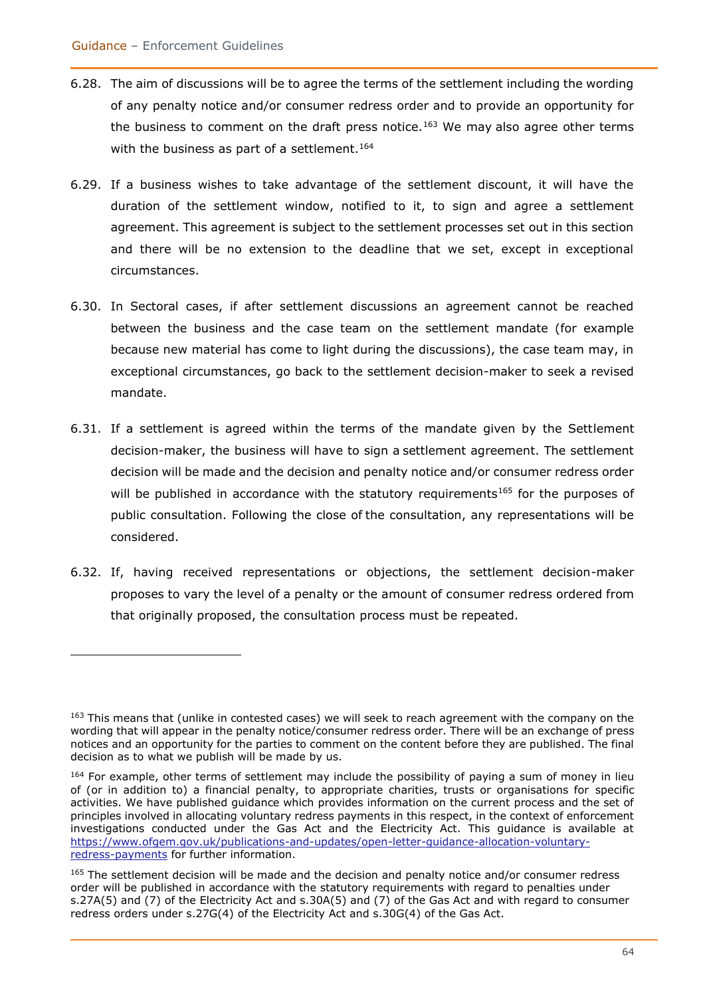- 6.28. The aim of discussions will be to agree the terms of the settlement including the wording of any penalty notice and/or consumer redress order and to provide an opportunity for the business to comment on the draft press notice.<sup>163</sup> We may also agree other terms with the business as part of a settlement.<sup>164</sup>
- 6.29. If a business wishes to take advantage of the settlement discount, it will have the duration of the settlement window, notified to it, to sign and agree a settlement agreement. This agreement is subject to the settlement processes set out in this section and there will be no extension to the deadline that we set, except in exceptional circumstances.
- 6.30. In Sectoral cases, if after settlement discussions an agreement cannot be reached between the business and the case team on the settlement mandate (for example because new material has come to light during the discussions), the case team may, in exceptional circumstances, go back to the settlement decision-maker to seek a revised mandate.
- 6.31. If a settlement is agreed within the terms of the mandate given by the Settlement decision-maker, the business will have to sign a settlement agreement. The settlement decision will be made and the decision and penalty notice and/or consumer redress order will be published in accordance with the statutory requirements<sup>165</sup> for the purposes of public consultation. Following the close of the consultation, any representations will be considered.
- 6.32. If, having received representations or objections, the settlement decision-maker proposes to vary the level of a penalty or the amount of consumer redress ordered from that originally proposed, the consultation process must be repeated.

<sup>&</sup>lt;sup>163</sup> This means that (unlike in contested cases) we will seek to reach agreement with the company on the wording that will appear in the penalty notice/consumer redress order. There will be an exchange of press notices and an opportunity for the parties to comment on the content before they are published. The final decision as to what we publish will be made by us.

<sup>&</sup>lt;sup>164</sup> For example, other terms of settlement may include the possibility of paying a sum of money in lieu of (or in addition to) a financial penalty, to appropriate charities, trusts or organisations for specific activities. We have published guidance which provides information on the current process and the set of principles involved in allocating voluntary redress payments in this respect, in the context of enforcement investigations conducted under the Gas Act and the Electricity Act. This guidance is available at [https://www.ofgem.gov.uk/publications-and-updates/open-letter-guidance-allocation-voluntary](https://www.ofgem.gov.uk/publications-and-updates/open-letter-guidance-allocation-voluntary-redress-payments)[redress-payments](https://www.ofgem.gov.uk/publications-and-updates/open-letter-guidance-allocation-voluntary-redress-payments) for further information.

<sup>&</sup>lt;sup>165</sup> The settlement decision will be made and the decision and penalty notice and/or consumer redress order will be published in accordance with the statutory requirements with regard to penalties under s.27A(5) and (7) of the Electricity Act and s.30A(5) and (7) of the Gas Act and with regard to consumer redress orders under s.27G(4) of the Electricity Act and s.30G(4) of the Gas Act.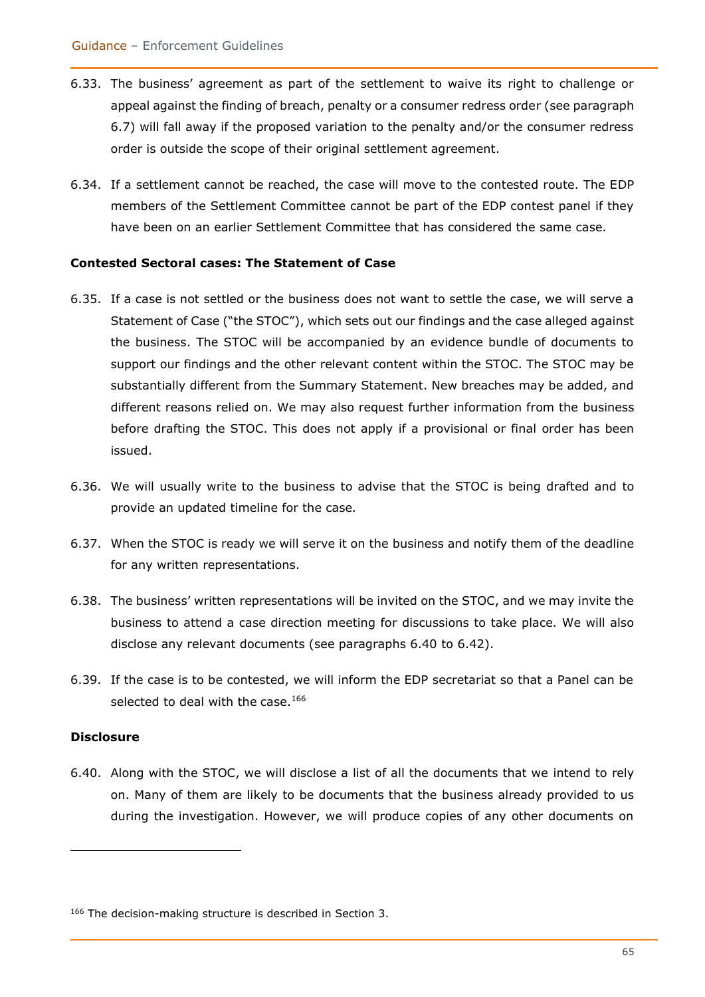- 6.33. The business' agreement as part of the settlement to waive its right to challenge or appeal against the finding of breach, penalty or a consumer redress order (see paragraph 6.7) will fall away if the proposed variation to the penalty and/or the consumer redress order is outside the scope of their original settlement agreement.
- 6.34. If a settlement cannot be reached, the case will move to the contested route. The EDP members of the Settlement Committee cannot be part of the EDP contest panel if they have been on an earlier Settlement Committee that has considered the same case.

#### **Contested Sectoral cases: The Statement of Case**

- 6.35. If a case is not settled or the business does not want to settle the case, we will serve a Statement of Case ("the STOC"), which sets out our findings and the case alleged against the business. The STOC will be accompanied by an evidence bundle of documents to support our findings and the other relevant content within the STOC. The STOC may be substantially different from the Summary Statement. New breaches may be added, and different reasons relied on. We may also request further information from the business before drafting the STOC. This does not apply if a provisional or final order has been issued.
- 6.36. We will usually write to the business to advise that the STOC is being drafted and to provide an updated timeline for the case*.*
- 6.37. When the STOC is ready we will serve it on the business and notify them of the deadline for any written representations.
- 6.38. The business' written representations will be invited on the STOC, and we may invite the business to attend a case direction meeting for discussions to take place. We will also disclose any relevant documents (see paragraphs 6.40 to 6.42).
- 6.39. If the case is to be contested, we will inform the EDP secretariat so that a Panel can be selected to deal with the case. $166$

#### **Disclosure**

6.40. Along with the STOC, we will disclose a list of all the documents that we intend to rely on. Many of them are likely to be documents that the business already provided to us during the investigation. However, we will produce copies of any other documents on

<sup>166</sup> The decision-making structure is described in Section 3.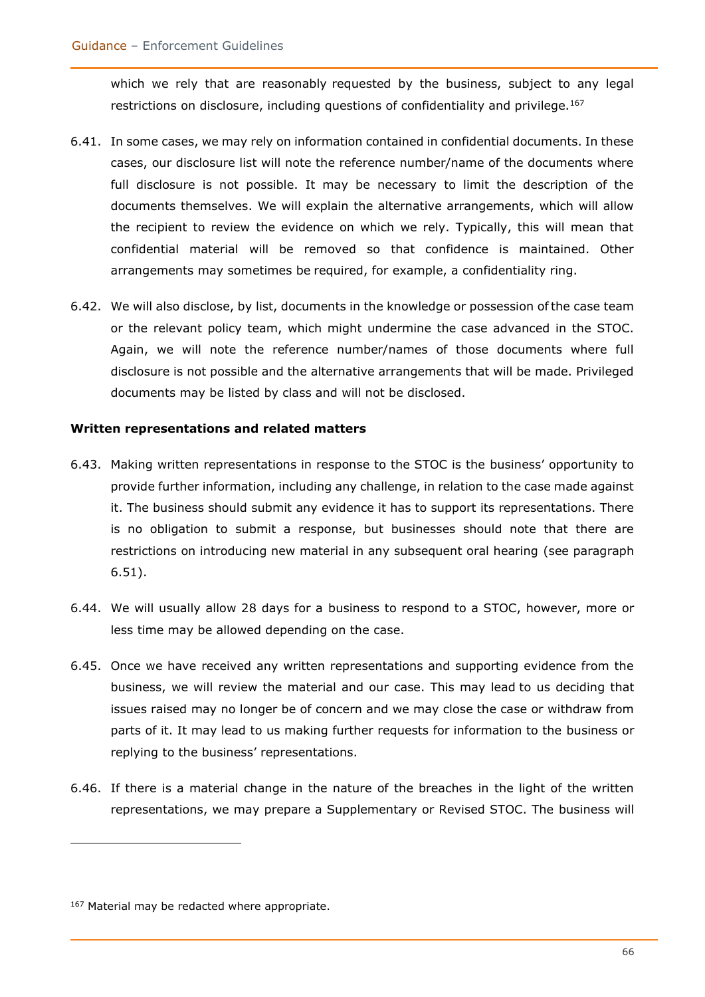which we rely that are reasonably requested by the business, subject to any legal restrictions on disclosure, including questions of confidentiality and privilege.<sup>167</sup>

- 6.41. In some cases, we may rely on information contained in confidential documents. In these cases, our disclosure list will note the reference number/name of the documents where full disclosure is not possible. It may be necessary to limit the description of the documents themselves. We will explain the alternative arrangements, which will allow the recipient to review the evidence on which we rely. Typically, this will mean that confidential material will be removed so that confidence is maintained. Other arrangements may sometimes be required, for example, a confidentiality ring.
- 6.42. We will also disclose, by list, documents in the knowledge or possession ofthe case team or the relevant policy team, which might undermine the case advanced in the STOC. Again, we will note the reference number/names of those documents where full disclosure is not possible and the alternative arrangements that will be made. Privileged documents may be listed by class and will not be disclosed.

#### **Written representations and related matters**

- 6.43. Making written representations in response to the STOC is the business' opportunity to provide further information, including any challenge, in relation to the case made against it. The business should submit any evidence it has to support its representations. There is no obligation to submit a response, but businesses should note that there are restrictions on introducing new material in any subsequent oral hearing (see paragraph 6.51).
- 6.44. We will usually allow 28 days for a business to respond to a STOC, however, more or less time may be allowed depending on the case.
- 6.45. Once we have received any written representations and supporting evidence from the business, we will review the material and our case. This may lead to us deciding that issues raised may no longer be of concern and we may close the case or withdraw from parts of it. It may lead to us making further requests for information to the business or replying to the business' representations.
- 6.46. If there is a material change in the nature of the breaches in the light of the written representations, we may prepare a Supplementary or Revised STOC. The business will

<sup>167</sup> Material may be redacted where appropriate.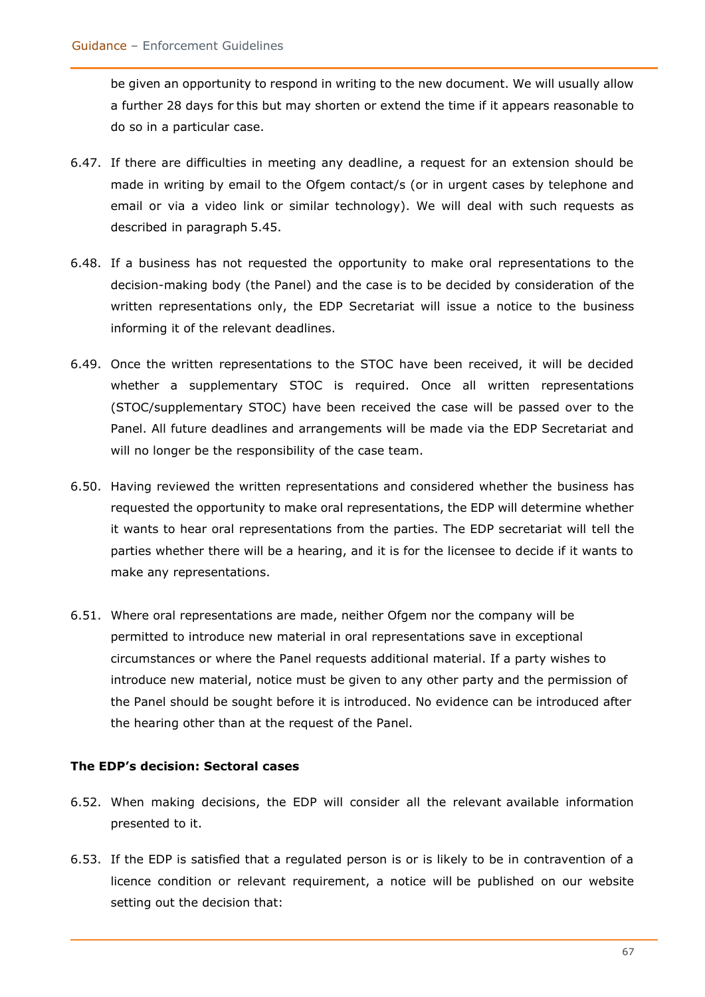be given an opportunity to respond in writing to the new document. We will usually allow a further 28 days for this but may shorten or extend the time if it appears reasonable to do so in a particular case.

- 6.47. If there are difficulties in meeting any deadline, a request for an extension should be made in writing by email to the Ofgem contact/s (or in urgent cases by telephone and email or via a video link or similar technology). We will deal with such requests as described in paragraph 5.45.
- 6.48. If a business has not requested the opportunity to make oral representations to the decision-making body (the Panel) and the case is to be decided by consideration of the written representations only, the EDP Secretariat will issue a notice to the business informing it of the relevant deadlines.
- 6.49. Once the written representations to the STOC have been received, it will be decided whether a supplementary STOC is required. Once all written representations (STOC/supplementary STOC) have been received the case will be passed over to the Panel. All future deadlines and arrangements will be made via the EDP Secretariat and will no longer be the responsibility of the case team.
- 6.50. Having reviewed the written representations and considered whether the business has requested the opportunity to make oral representations, the EDP will determine whether it wants to hear oral representations from the parties. The EDP secretariat will tell the parties whether there will be a hearing, and it is for the licensee to decide if it wants to make any representations.
- 6.51. Where oral representations are made, neither Ofgem nor the company will be permitted to introduce new material in oral representations save in exceptional circumstances or where the Panel requests additional material. If a party wishes to introduce new material, notice must be given to any other party and the permission of the Panel should be sought before it is introduced. No evidence can be introduced after the hearing other than at the request of the Panel.

#### **The EDP's decision: Sectoral cases**

- 6.52. When making decisions, the EDP will consider all the relevant available information presented to it.
- 6.53. If the EDP is satisfied that a regulated person is or is likely to be in contravention of a licence condition or relevant requirement, a notice will be published on our website setting out the decision that: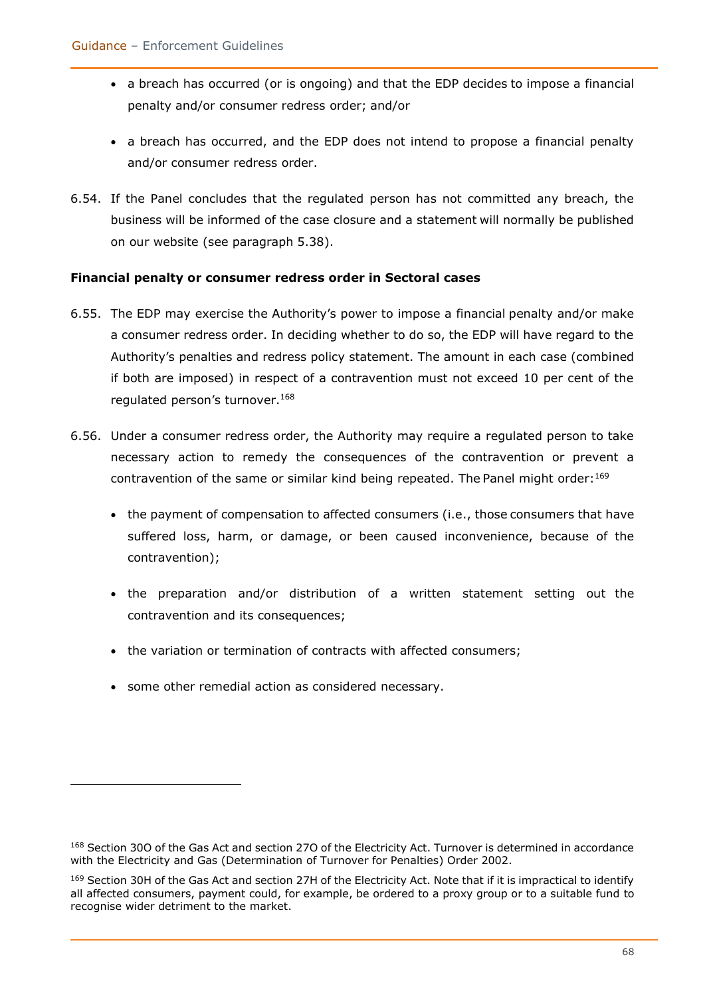- a breach has occurred (or is ongoing) and that the EDP decides to impose a financial penalty and/or consumer redress order; and/or
- a breach has occurred, and the EDP does not intend to propose a financial penalty and/or consumer redress order.
- 6.54. If the Panel concludes that the regulated person has not committed any breach, the business will be informed of the case closure and a statement will normally be published on our website (see paragraph 5.38).

#### **Financial penalty or consumer redress order in Sectoral cases**

- 6.55. The EDP may exercise the Authority's power to impose a financial penalty and/or make a consumer redress order. In deciding whether to do so, the EDP will have regard to the Authority's penalties and redress policy statement. The amount in each case (combined if both are imposed) in respect of a contravention must not exceed 10 per cent of the regulated person's turnover.<sup>168</sup>
- 6.56. Under a consumer redress order, the Authority may require a regulated person to take necessary action to remedy the consequences of the contravention or prevent a contravention of the same or similar kind being repeated. The Panel might order: $^{169}$ 
	- the payment of compensation to affected consumers (i.e., those consumers that have suffered loss, harm, or damage, or been caused inconvenience, because of the contravention);
	- the preparation and/or distribution of a written statement setting out the contravention and its consequences;
	- the variation or termination of contracts with affected consumers;
	- some other remedial action as considered necessary.

<sup>168</sup> Section 30O of the Gas Act and section 27O of the Electricity Act. Turnover is determined in accordance with the Electricity and Gas (Determination of Turnover for Penalties) Order 2002.

<sup>169</sup> Section 30H of the Gas Act and section 27H of the Electricity Act. Note that if it is impractical to identify all affected consumers, payment could, for example, be ordered to a proxy group or to a suitable fund to recognise wider detriment to the market.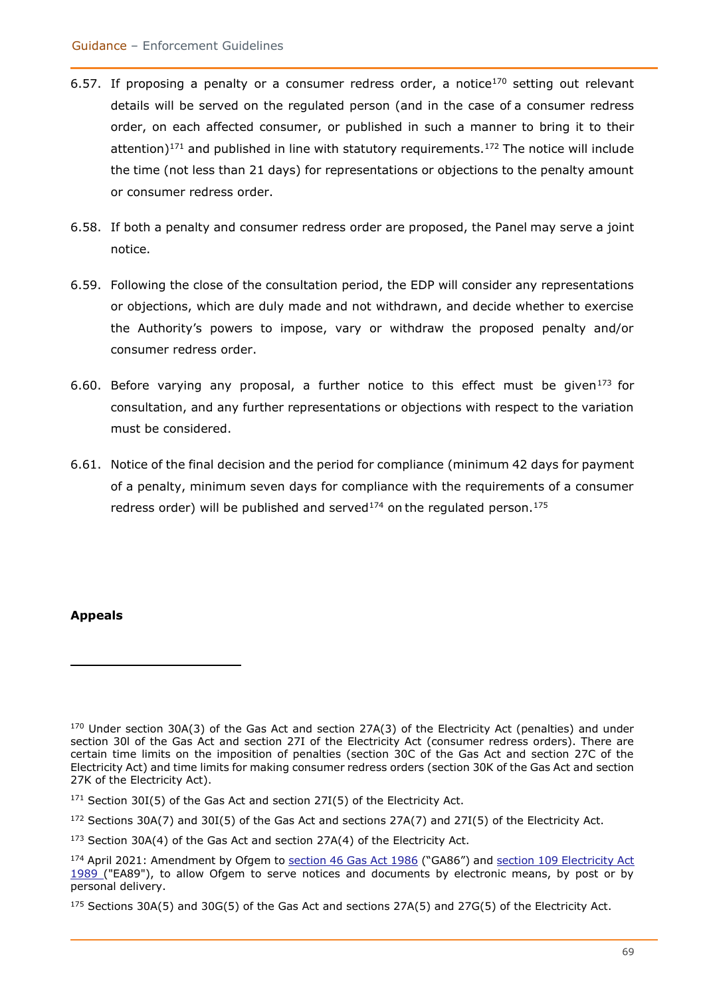- 6.57. If proposing a penalty or a consumer redress order, a notice<sup>170</sup> setting out relevant details will be served on the regulated person (and in the case of a consumer redress order, on each affected consumer, or published in such a manner to bring it to their attention) $171$  and published in line with statutory requirements.<sup>172</sup> The notice will include the time (not less than 21 days) for representations or objections to the penalty amount or consumer redress order.
- 6.58. If both a penalty and consumer redress order are proposed, the Panel may serve a joint notice.
- 6.59. Following the close of the consultation period, the EDP will consider any representations or objections, which are duly made and not withdrawn, and decide whether to exercise the Authority's powers to impose, vary or withdraw the proposed penalty and/or consumer redress order.
- 6.60. Before varying any proposal, a further notice to this effect must be given<sup>173</sup> for consultation, and any further representations or objections with respect to the variation must be considered.
- 6.61. Notice of the final decision and the period for compliance (minimum 42 days for payment of a penalty, minimum seven days for compliance with the requirements of a consumer redress order) will be published and served<sup>174</sup> on the regulated person.<sup>175</sup>

#### **Appeals**

<sup>170</sup> Under section 30A(3) of the Gas Act and section 27A(3) of the Electricity Act (penalties) and under section 30l of the Gas Act and section 27I of the Electricity Act (consumer redress orders). There are certain time limits on the imposition of penalties (section 30C of the Gas Act and section 27C of the Electricity Act) and time limits for making consumer redress orders (section 30K of the Gas Act and section 27K of the Electricity Act).

 $171$  Section 30I(5) of the Gas Act and section 27I(5) of the Electricity Act.

 $172$  Sections 30A(7) and 30I(5) of the Gas Act and sections 27A(7) and 27I(5) of the Electricity Act.

<sup>&</sup>lt;sup>173</sup> Section 30A(4) of the Gas Act and section 27A(4) of the Electricity Act.

<sup>174</sup> April 2021: Amendment by Ofgem to [section 46 Gas Act 1986](https://eur02.safelinks.protection.outlook.com/?url=https%3A%2F%2Fwww.legislation.gov.uk%2Fukpga%2F1986%2F44%2Fsection%2F46&data=04%7C01%7CHeather.Swan%40ofgem.gov.uk%7C14441d3858584eb12f0808d90008f68d%7C185562ad39bc48408e40be6216340c52%7C0%7C0%7C637540860768591804%7CUnknown%7CTWFpbGZsb3d8eyJWIjoiMC4wLjAwMDAiLCJQIjoiV2luMzIiLCJBTiI6Ik1haWwiLCJXVCI6Mn0%3D%7C1000&sdata=xK6WvaytX3calRX8DKHKgvlegpIf17CLTwNdr8JMIsY%3D&reserved=0) ("GA86") and section 109 Electricity Act [1989 \(](https://eur02.safelinks.protection.outlook.com/?url=https%3A%2F%2Fwww.legislation.gov.uk%2Fukpga%2F1989%2F29%2Fsection%2F109&data=04%7C01%7CHeather.Swan%40ofgem.gov.uk%7C14441d3858584eb12f0808d90008f68d%7C185562ad39bc48408e40be6216340c52%7C0%7C0%7C637540860768601755%7CUnknown%7CTWFpbGZsb3d8eyJWIjoiMC4wLjAwMDAiLCJQIjoiV2luMzIiLCJBTiI6Ik1haWwiLCJXVCI6Mn0%3D%7C1000&sdata=eE53WwdOxO0ttjbKztLSPRx4uXVjd7m%2B2oDvBTzRq%2F0%3D&reserved=0)"EA89"), to allow Ofgem to serve notices and documents by electronic means, by post or by personal delivery.

<sup>175</sup> Sections 30A(5) and 30G(5) of the Gas Act and sections 27A(5) and 27G(5) of the Electricity Act.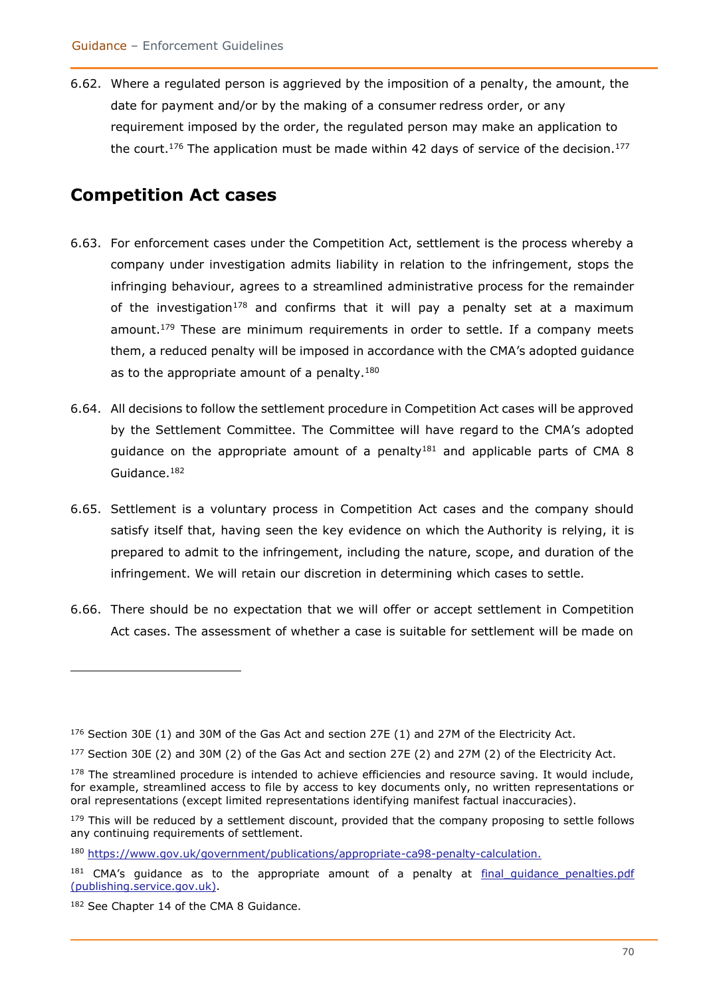6.62. Where a regulated person is aggrieved by the imposition of a penalty, the amount, the date for payment and/or by the making of a consumer redress order, or any requirement imposed by the order, the regulated person may make an application to the court.<sup>176</sup> The application must be made within 42 days of service of the decision.<sup>177</sup>

### **Competition Act cases**

- 6.63. For enforcement cases under the Competition Act, settlement is the process whereby a company under investigation admits liability in relation to the infringement, stops the infringing behaviour, agrees to a streamlined administrative process for the remainder of the investigation<sup>178</sup> and confirms that it will pay a penalty set at a maximum amount.<sup>179</sup> These are minimum requirements in order to settle. If a company meets them, a reduced penalty will be imposed in accordance with the CMA's adopted guidance as to the appropriate amount of a penalty.<sup>180</sup>
- 6.64. All decisions to follow the settlement procedure in Competition Act cases will be approved by the Settlement Committee. The Committee will have regard to the CMA's adopted guidance on the appropriate amount of a penalty<sup>181</sup> and applicable parts of CMA 8 Guidance.<sup>182</sup>
- 6.65. Settlement is a voluntary process in Competition Act cases and the company should satisfy itself that, having seen the key evidence on which the Authority is relying, it is prepared to admit to the infringement, including the nature, scope, and duration of the infringement. We will retain our discretion in determining which cases to settle.
- 6.66. There should be no expectation that we will offer or accept settlement in Competition Act cases. The assessment of whether a case is suitable for settlement will be made on

 $176$  Section 30E (1) and 30M of the Gas Act and section 27E (1) and 27M of the Electricity Act.

<sup>177</sup> Section 30E (2) and 30M (2) of the Gas Act and section 27E (2) and 27M (2) of the Electricity Act.

 $178$  The streamlined procedure is intended to achieve efficiencies and resource saving. It would include, for example, streamlined access to file by access to key documents only, no written representations or oral representations (except limited representations identifying manifest factual inaccuracies).

<sup>&</sup>lt;sup>179</sup> This will be reduced by a settlement discount, provided that the company proposing to settle follows any continuing requirements of settlement.

<sup>180</sup> [https://www.gov.uk/government/publications/appropriate-ca98-penalty-calculation.](https://www.gov.uk/government/publications/appropriate-ca98-penalty-calculation)

 $181$  CMA's quidance as to the appropriate amount of a penalty at final quidance penalties.pdf [\(publishing.service.gov.uk\).](https://assets.publishing.service.gov.uk/government/uploads/system/uploads/attachment_data/file/700576/final_guidance_penalties.pdf)

<sup>182</sup> See Chapter 14 of the CMA 8 Guidance.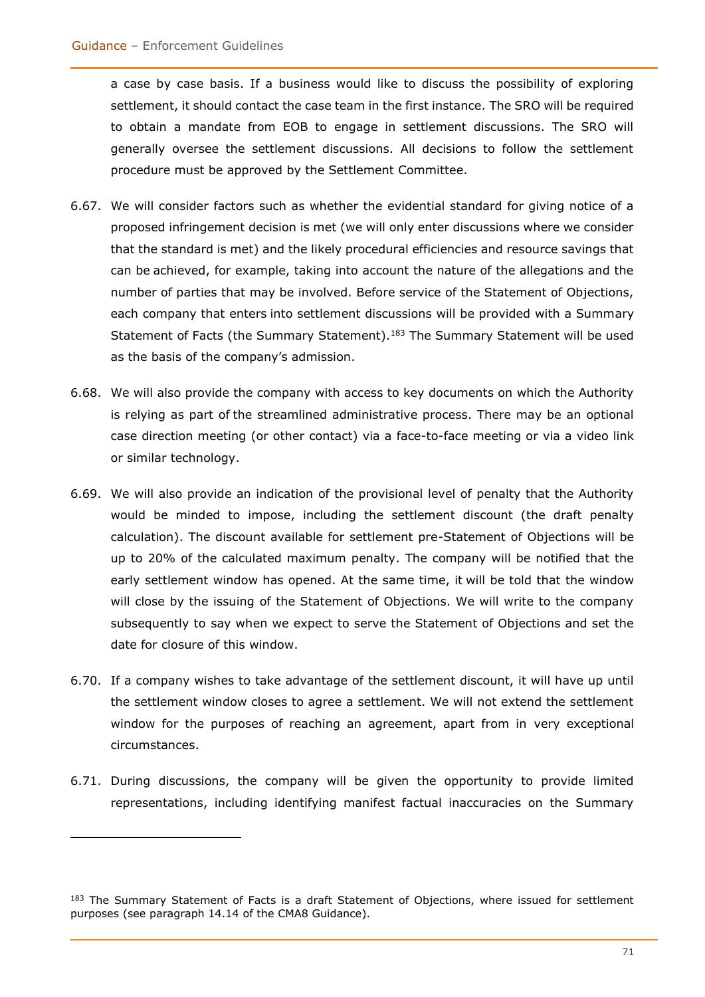a case by case basis. If a business would like to discuss the possibility of exploring settlement, it should contact the case team in the first instance. The SRO will be required to obtain a mandate from EOB to engage in settlement discussions. The SRO will generally oversee the settlement discussions. All decisions to follow the settlement procedure must be approved by the Settlement Committee.

- 6.67. We will consider factors such as whether the evidential standard for giving notice of a proposed infringement decision is met (we will only enter discussions where we consider that the standard is met) and the likely procedural efficiencies and resource savings that can be achieved, for example, taking into account the nature of the allegations and the number of parties that may be involved. Before service of the Statement of Objections, each company that enters into settlement discussions will be provided with a Summary Statement of Facts (the Summary Statement).<sup>183</sup> The Summary Statement will be used as the basis of the company's admission.
- 6.68. We will also provide the company with access to key documents on which the Authority is relying as part of the streamlined administrative process. There may be an optional case direction meeting (or other contact) via a face-to-face meeting or via a video link or similar technology.
- 6.69. We will also provide an indication of the provisional level of penalty that the Authority would be minded to impose, including the settlement discount (the draft penalty calculation). The discount available for settlement pre-Statement of Objections will be up to 20% of the calculated maximum penalty. The company will be notified that the early settlement window has opened. At the same time, it will be told that the window will close by the issuing of the Statement of Objections. We will write to the company subsequently to say when we expect to serve the Statement of Objections and set the date for closure of this window.
- 6.70. If a company wishes to take advantage of the settlement discount, it will have up until the settlement window closes to agree a settlement. We will not extend the settlement window for the purposes of reaching an agreement, apart from in very exceptional circumstances.
- 6.71. During discussions, the company will be given the opportunity to provide limited representations, including identifying manifest factual inaccuracies on the Summary

<sup>&</sup>lt;sup>183</sup> The Summary Statement of Facts is a draft Statement of Objections, where issued for settlement purposes (see paragraph 14.14 of the CMA8 Guidance).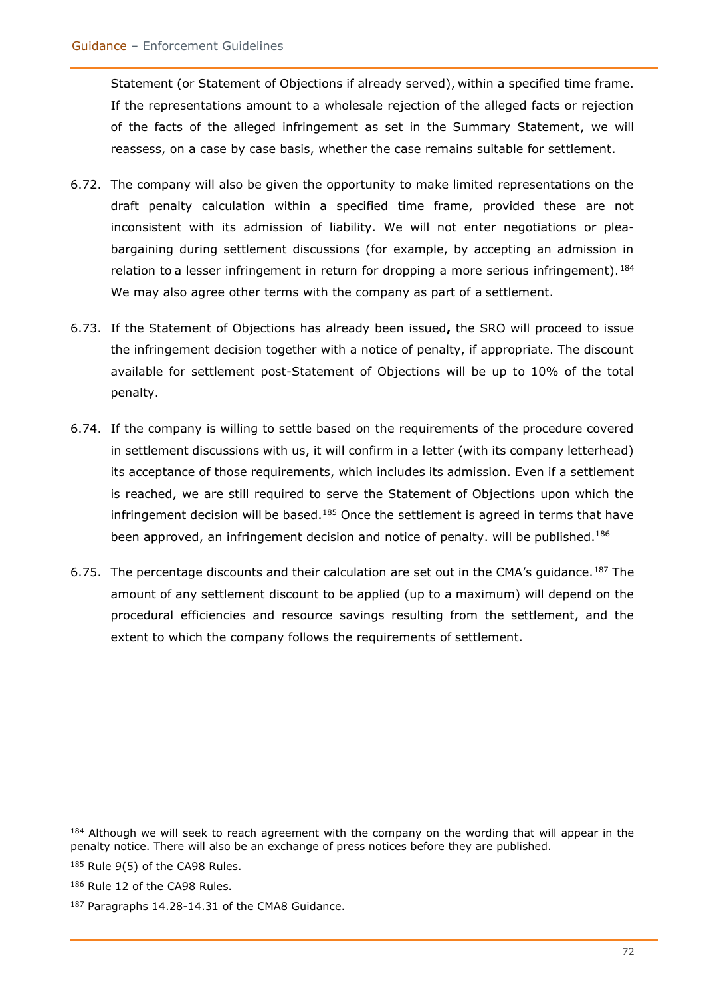Statement (or Statement of Objections if already served), within a specified time frame. If the representations amount to a wholesale rejection of the alleged facts or rejection of the facts of the alleged infringement as set in the Summary Statement, we will reassess, on a case by case basis, whether the case remains suitable for settlement.

- 6.72. The company will also be given the opportunity to make limited representations on the draft penalty calculation within a specified time frame, provided these are not inconsistent with its admission of liability. We will not enter negotiations or pleabargaining during settlement discussions (for example, by accepting an admission in relation to a lesser infringement in return for dropping a more serious infringement).<sup>184</sup> We may also agree other terms with the company as part of a settlement.
- 6.73. If the Statement of Objections has already been issued**,** the SRO will proceed to issue the infringement decision together with a notice of penalty, if appropriate. The discount available for settlement post-Statement of Objections will be up to 10% of the total penalty.
- 6.74. If the company is willing to settle based on the requirements of the procedure covered in settlement discussions with us, it will confirm in a letter (with its company letterhead) its acceptance of those requirements, which includes its admission. Even if a settlement is reached, we are still required to serve the Statement of Objections upon which the infringement decision will be based.<sup>185</sup> Once the settlement is agreed in terms that have been approved, an infringement decision and notice of penalty. will be published.<sup>186</sup>
- 6.75. The percentage discounts and their calculation are set out in the CMA's guidance.<sup>187</sup> The amount of any settlement discount to be applied (up to a maximum) will depend on the procedural efficiencies and resource savings resulting from the settlement, and the extent to which the company follows the requirements of settlement.

<sup>184</sup> Although we will seek to reach agreement with the company on the wording that will appear in the penalty notice. There will also be an exchange of press notices before they are published.

<sup>&</sup>lt;sup>185</sup> Rule 9(5) of the CA98 Rules.

<sup>186</sup> Rule 12 of the CA98 Rules.

<sup>187</sup> Paragraphs 14.28-14.31 of the CMA8 Guidance.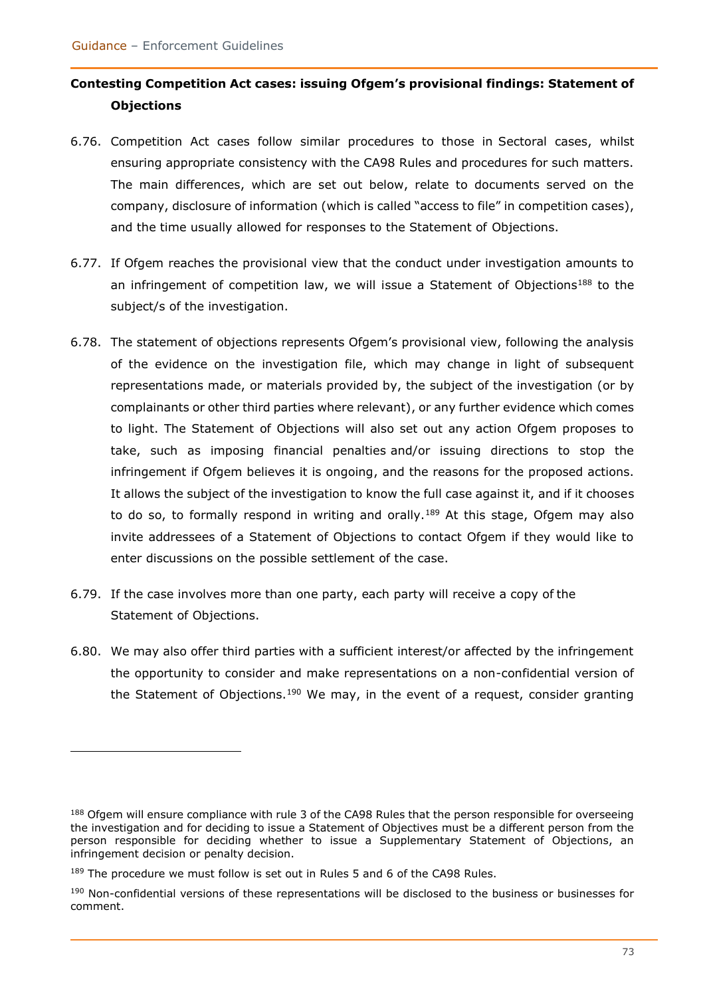## **Contesting Competition Act cases: issuing Ofgem's provisional findings: Statement of Objections**

- 6.76. Competition Act cases follow similar procedures to those in Sectoral cases, whilst ensuring appropriate consistency with the CA98 Rules and procedures for such matters. The main differences, which are set out below, relate to documents served on the company, disclosure of information (which is called "access to file" in competition cases), and the time usually allowed for responses to the Statement of Objections.
- 6.77. If Ofgem reaches the provisional view that the conduct under investigation amounts to an infringement of competition law, we will issue a Statement of Objections<sup>188</sup> to the subject/s of the investigation.
- 6.78. The statement of objections represents Ofgem's provisional view, following the analysis of the evidence on the investigation file, which may change in light of subsequent representations made, or materials provided by, the subject of the investigation (or by complainants or other third parties where relevant), or any further evidence which comes to light. The Statement of Objections will also set out any action Ofgem proposes to take, such as imposing financial penalties and/or issuing directions to stop the infringement if Ofgem believes it is ongoing, and the reasons for the proposed actions. It allows the subject of the investigation to know the full case against it, and if it chooses to do so, to formally respond in writing and orally.<sup>189</sup> At this stage, Ofgem may also invite addressees of a Statement of Objections to contact Ofgem if they would like to enter discussions on the possible settlement of the case.
- 6.79. If the case involves more than one party, each party will receive a copy of the Statement of Objections.
- 6.80. We may also offer third parties with a sufficient interest/or affected by the infringement the opportunity to consider and make representations on a non-confidential version of the Statement of Objections.<sup>190</sup> We may, in the event of a request, consider granting

<sup>188</sup> Ofgem will ensure compliance with rule 3 of the CA98 Rules that the person responsible for overseeing the investigation and for deciding to issue a Statement of Objectives must be a different person from the person responsible for deciding whether to issue a Supplementary Statement of Objections, an infringement decision or penalty decision.

<sup>&</sup>lt;sup>189</sup> The procedure we must follow is set out in Rules 5 and 6 of the CA98 Rules.

<sup>&</sup>lt;sup>190</sup> Non-confidential versions of these representations will be disclosed to the business or businesses for comment.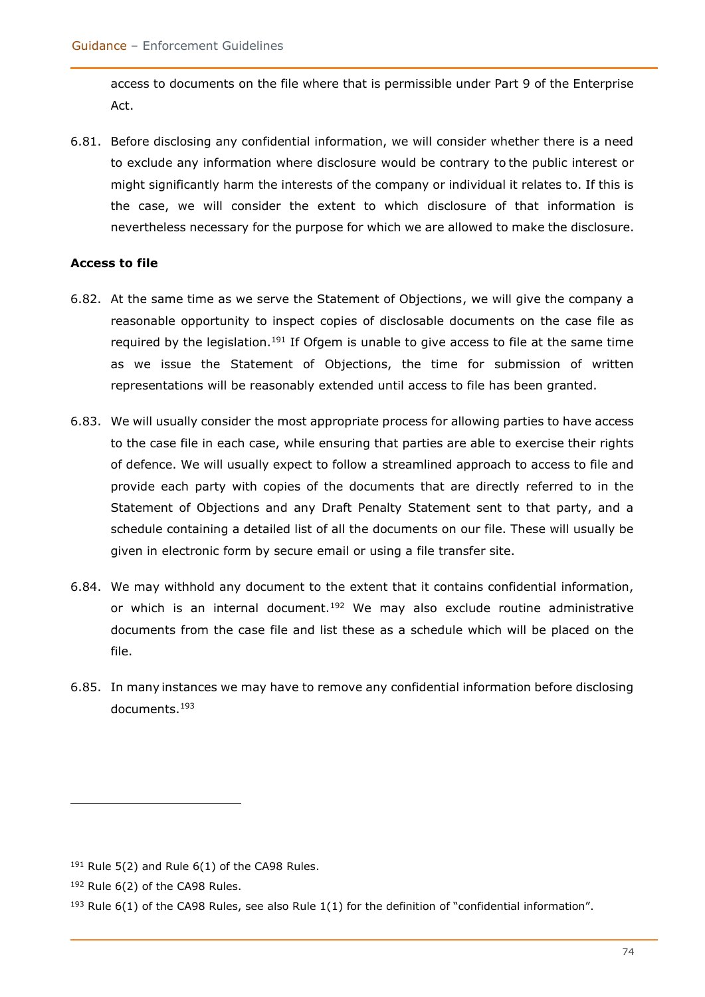access to documents on the file where that is permissible under Part 9 of the Enterprise Act.

6.81. Before disclosing any confidential information, we will consider whether there is a need to exclude any information where disclosure would be contrary to the public interest or might significantly harm the interests of the company or individual it relates to. If this is the case, we will consider the extent to which disclosure of that information is nevertheless necessary for the purpose for which we are allowed to make the disclosure.

#### **Access to file**

- 6.82. At the same time as we serve the Statement of Objections, we will give the company a reasonable opportunity to inspect copies of disclosable documents on the case file as required by the legislation.<sup>191</sup> If Ofgem is unable to give access to file at the same time as we issue the Statement of Objections, the time for submission of written representations will be reasonably extended until access to file has been granted.
- 6.83. We will usually consider the most appropriate process for allowing parties to have access to the case file in each case, while ensuring that parties are able to exercise their rights of defence. We will usually expect to follow a streamlined approach to access to file and provide each party with copies of the documents that are directly referred to in the Statement of Objections and any Draft Penalty Statement sent to that party, and a schedule containing a detailed list of all the documents on our file. These will usually be given in electronic form by secure email or using a file transfer site.
- 6.84. We may withhold any document to the extent that it contains confidential information, or which is an internal document.<sup>192</sup> We may also exclude routine administrative documents from the case file and list these as a schedule which will be placed on the file.
- 6.85. In many instances we may have to remove any confidential information before disclosing documents.<sup>193</sup>

 $191$  Rule 5(2) and Rule 6(1) of the CA98 Rules.

<sup>192</sup> Rule 6(2) of the CA98 Rules.

 $193$  Rule 6(1) of the CA98 Rules, see also Rule 1(1) for the definition of "confidential information".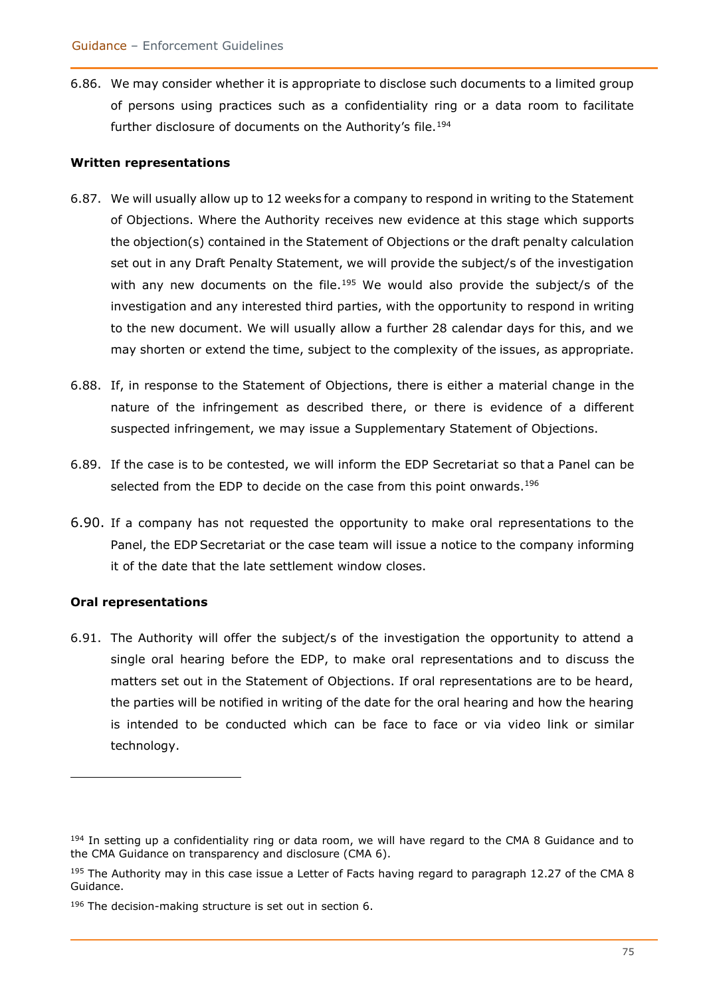6.86. We may consider whether it is appropriate to disclose such documents to a limited group of persons using practices such as a confidentiality ring or a data room to facilitate further disclosure of documents on the Authority's file.<sup>194</sup>

#### **Written representations**

- 6.87. We will usually allow up to 12 weeks for a company to respond in writing to the Statement of Objections. Where the Authority receives new evidence at this stage which supports the objection(s) contained in the Statement of Objections or the draft penalty calculation set out in any Draft Penalty Statement, we will provide the subject/s of the investigation with any new documents on the file.<sup>195</sup> We would also provide the subject/s of the investigation and any interested third parties, with the opportunity to respond in writing to the new document. We will usually allow a further 28 calendar days for this, and we may shorten or extend the time, subject to the complexity of the issues, as appropriate.
- 6.88. If, in response to the Statement of Objections, there is either a material change in the nature of the infringement as described there, or there is evidence of a different suspected infringement, we may issue a Supplementary Statement of Objections.
- 6.89. If the case is to be contested, we will inform the EDP Secretariat so that a Panel can be selected from the EDP to decide on the case from this point onwards.<sup>196</sup>
- 6.90. If a company has not requested the opportunity to make oral representations to the Panel, the EDP Secretariat or the case team will issue a notice to the company informing it of the date that the late settlement window closes.

#### **Oral representations**

6.91. The Authority will offer the subject/s of the investigation the opportunity to attend a single oral hearing before the EDP, to make oral representations and to discuss the matters set out in the Statement of Objections. If oral representations are to be heard, the parties will be notified in writing of the date for the oral hearing and how the hearing is intended to be conducted which can be face to face or via video link or similar technology.

 $194$  In setting up a confidentiality ring or data room, we will have regard to the CMA 8 Guidance and to the CMA Guidance on transparency and disclosure (CMA 6).

<sup>&</sup>lt;sup>195</sup> The Authority may in this case issue a Letter of Facts having regard to paragraph 12.27 of the CMA 8 Guidance.

<sup>196</sup> The decision-making structure is set out in section 6.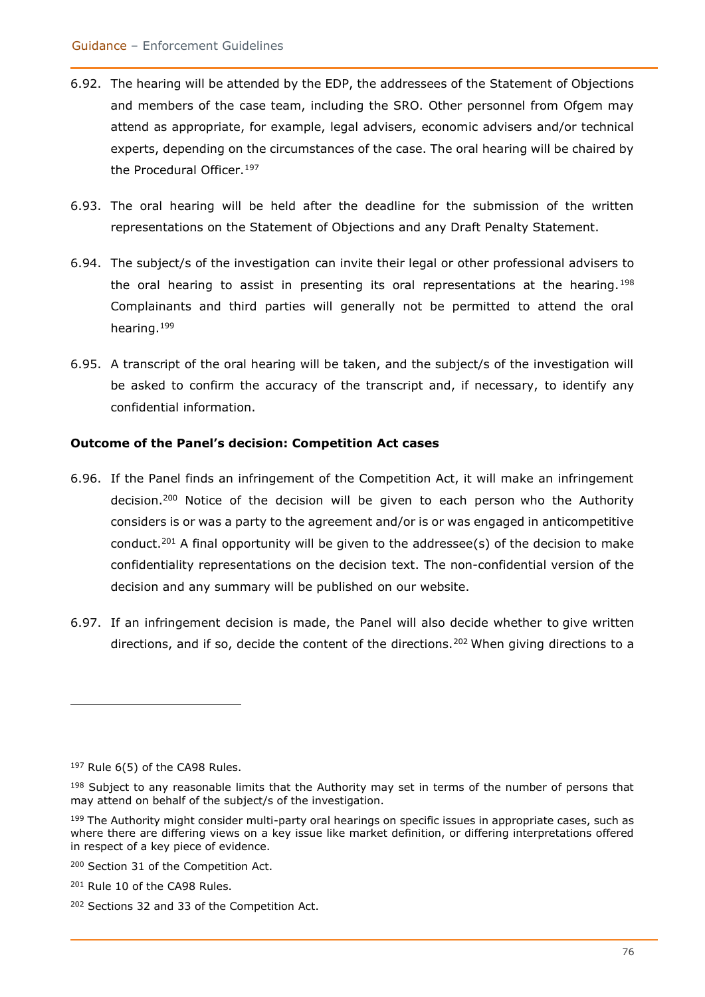- 6.92. The hearing will be attended by the EDP, the addressees of the Statement of Objections and members of the case team, including the SRO. Other personnel from Ofgem may attend as appropriate, for example, legal advisers, economic advisers and/or technical experts, depending on the circumstances of the case. The oral hearing will be chaired by the Procedural Officer.<sup>197</sup>
- 6.93. The oral hearing will be held after the deadline for the submission of the written representations on the Statement of Objections and any Draft Penalty Statement.
- 6.94. The subject/s of the investigation can invite their legal or other professional advisers to the oral hearing to assist in presenting its oral representations at the hearing.<sup>198</sup> Complainants and third parties will generally not be permitted to attend the oral hearing.<sup>199</sup>
- 6.95. A transcript of the oral hearing will be taken, and the subject/s of the investigation will be asked to confirm the accuracy of the transcript and, if necessary, to identify any confidential information.

#### **Outcome of the Panel's decision: Competition Act cases**

- 6.96. If the Panel finds an infringement of the Competition Act, it will make an infringement decision.<sup>200</sup> Notice of the decision will be given to each person who the Authority considers is or was a party to the agreement and/or is or was engaged in anticompetitive conduct.<sup>201</sup> A final opportunity will be given to the addressee(s) of the decision to make confidentiality representations on the decision text. The non-confidential version of the decision and any summary will be published on our website.
- 6.97. If an infringement decision is made, the Panel will also decide whether to give written directions, and if so, decide the content of the directions.<sup>202</sup> When giving directions to a

 $197$  Rule 6(5) of the CA98 Rules.

<sup>&</sup>lt;sup>198</sup> Subject to any reasonable limits that the Authority may set in terms of the number of persons that may attend on behalf of the subject/s of the investigation.

<sup>&</sup>lt;sup>199</sup> The Authority might consider multi-party oral hearings on specific issues in appropriate cases, such as where there are differing views on a key issue like market definition, or differing interpretations offered in respect of a key piece of evidence.

<sup>200</sup> Section 31 of the Competition Act.

<sup>201</sup> Rule 10 of the CA98 Rules.

<sup>202</sup> Sections 32 and 33 of the Competition Act.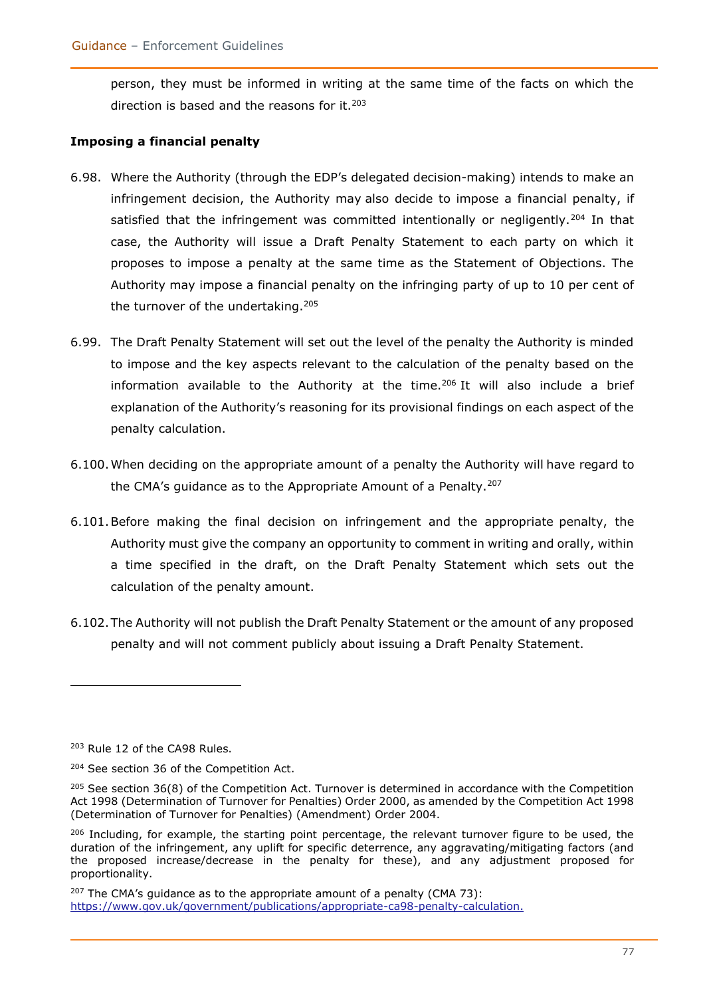person, they must be informed in writing at the same time of the facts on which the direction is based and the reasons for it.<sup>203</sup>

#### **Imposing a financial penalty**

- 6.98. Where the Authority (through the EDP's delegated decision-making) intends to make an infringement decision, the Authority may also decide to impose a financial penalty, if satisfied that the infringement was committed intentionally or negligently.<sup>204</sup> In that case, the Authority will issue a Draft Penalty Statement to each party on which it proposes to impose a penalty at the same time as the Statement of Objections. The Authority may impose a financial penalty on the infringing party of up to 10 per cent of the turnover of the undertaking.<sup>205</sup>
- 6.99. The Draft Penalty Statement will set out the level of the penalty the Authority is minded to impose and the key aspects relevant to the calculation of the penalty based on the information available to the Authority at the time.<sup>206</sup> It will also include a brief explanation of the Authority's reasoning for its provisional findings on each aspect of the penalty calculation.
- 6.100.When deciding on the appropriate amount of a penalty the Authority will have regard to the CMA's quidance as to the Appropriate Amount of a Penalty.<sup>207</sup>
- 6.101.Before making the final decision on infringement and the appropriate penalty, the Authority must give the company an opportunity to comment in writing and orally, within a time specified in the draft, on the Draft Penalty Statement which sets out the calculation of the penalty amount.
- 6.102.The Authority will not publish the Draft Penalty Statement or the amount of any proposed penalty and will not comment publicly about issuing a Draft Penalty Statement.

<sup>203</sup> Rule 12 of the CA98 Rules.

<sup>204</sup> See section 36 of the Competition Act.

 $205$  See section 36(8) of the Competition Act. Turnover is determined in accordance with the Competition Act 1998 (Determination of Turnover for Penalties) Order 2000, as amended by the Competition Act 1998 (Determination of Turnover for Penalties) (Amendment) Order 2004.

<sup>&</sup>lt;sup>206</sup> Including, for example, the starting point percentage, the relevant turnover figure to be used, the duration of the infringement, any uplift for specific deterrence, any aggravating/mitigating factors (and the proposed increase/decrease in the penalty for these), and any adjustment proposed for proportionality.

 $207$  The CMA's quidance as to the appropriate amount of a penalty (CMA 73): [https://www.gov.uk/government/publications/appropriate-ca98-penalty-calculation.](https://www.gov.uk/government/publications/appropriate-ca98-penalty-calculation)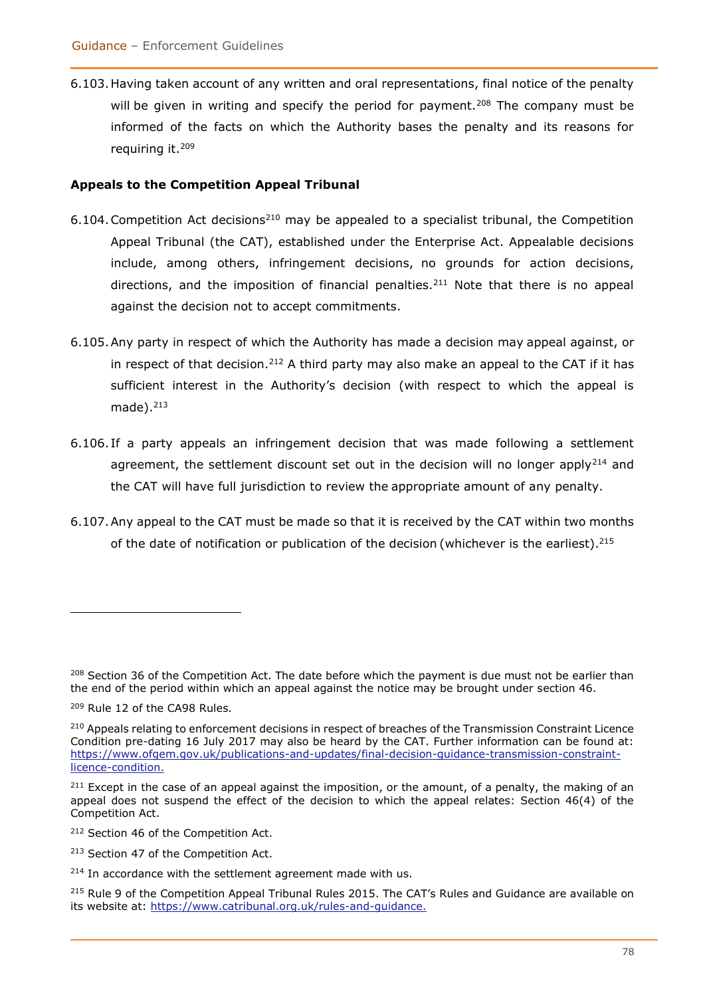6.103.Having taken account of any written and oral representations, final notice of the penalty will be given in writing and specify the period for payment.<sup>208</sup> The company must be informed of the facts on which the Authority bases the penalty and its reasons for requiring it.<sup>209</sup>

#### **Appeals to the Competition Appeal Tribunal**

- 6.104. Competition Act decisions<sup>210</sup> may be appealed to a specialist tribunal, the Competition Appeal Tribunal (the CAT), established under the Enterprise Act. Appealable decisions include, among others, infringement decisions, no grounds for action decisions, directions, and the imposition of financial penalties.<sup>211</sup> Note that there is no appeal against the decision not to accept commitments.
- 6.105.Any party in respect of which the Authority has made a decision may appeal against, or in respect of that decision.<sup>212</sup> A third party may also make an appeal to the CAT if it has sufficient interest in the Authority's decision (with respect to which the appeal is made). $213$
- 6.106. If a party appeals an infringement decision that was made following a settlement agreement, the settlement discount set out in the decision will no longer apply<sup>214</sup> and the CAT will have full jurisdiction to review the appropriate amount of any penalty.
- 6.107.Any appeal to the CAT must be made so that it is received by the CAT within two months of the date of notification or publication of the decision (whichever is the earliest). $^{215}$

<sup>&</sup>lt;sup>208</sup> Section 36 of the Competition Act. The date before which the payment is due must not be earlier than the end of the period within which an appeal against the notice may be brought under section 46.

<sup>209</sup> Rule 12 of the CA98 Rules.

<sup>&</sup>lt;sup>210</sup> Appeals relating to enforcement decisions in respect of breaches of the Transmission Constraint Licence Condition pre-dating 16 July 2017 may also be heard by the CAT. Further information can be found at: [https://www.ofgem.gov.uk/publications-and-updates/final-decision-guidance-transmission-constraint](https://www.ofgem.gov.uk/publications-and-updates/final-decision-guidance-transmission-constraint-licence-condition)[licence-condition.](https://www.ofgem.gov.uk/publications-and-updates/final-decision-guidance-transmission-constraint-licence-condition)

<sup>&</sup>lt;sup>211</sup> Except in the case of an appeal against the imposition, or the amount, of a penalty, the making of an appeal does not suspend the effect of the decision to which the appeal relates: Section 46(4) of the Competition Act.

<sup>212</sup> Section 46 of the Competition Act.

<sup>213</sup> Section 47 of the Competition Act.

 $214$  In accordance with the settlement agreement made with us.

<sup>&</sup>lt;sup>215</sup> Rule 9 of the Competition Appeal Tribunal Rules 2015. The CAT's Rules and Guidance are available on its website at: [https://www.catribunal.org.uk/rules-and-guidance.](https://www.catribunal.org.uk/rules-and-guidance)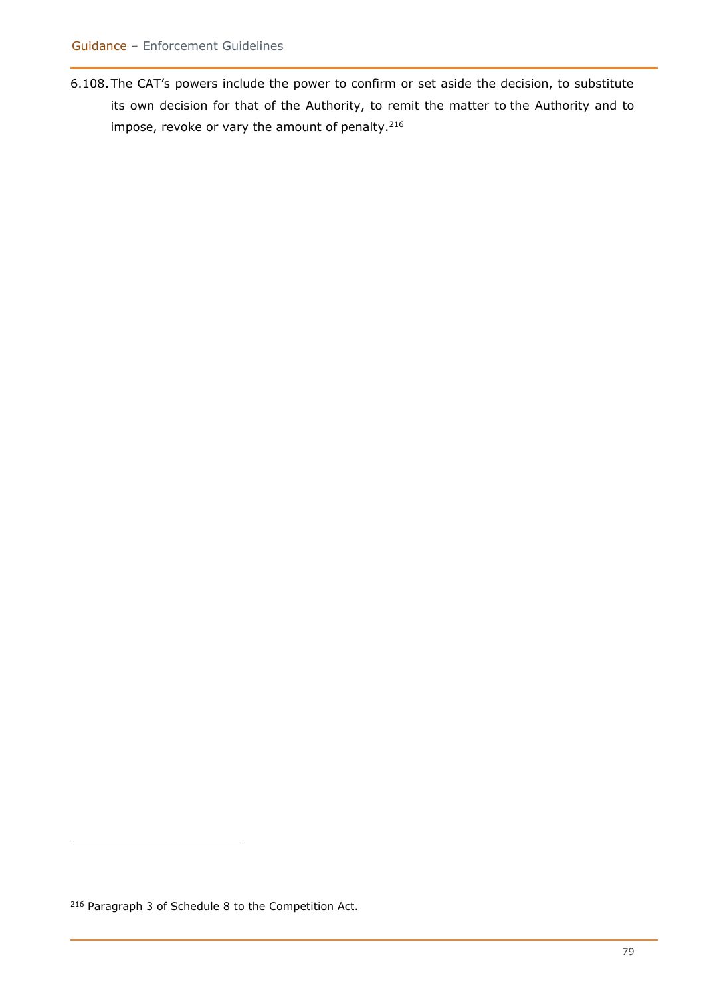6.108.The CAT's powers include the power to confirm or set aside the decision, to substitute its own decision for that of the Authority, to remit the matter to the Authority and to impose, revoke or vary the amount of penalty.<sup>216</sup>

<sup>216</sup> Paragraph 3 of Schedule 8 to the Competition Act.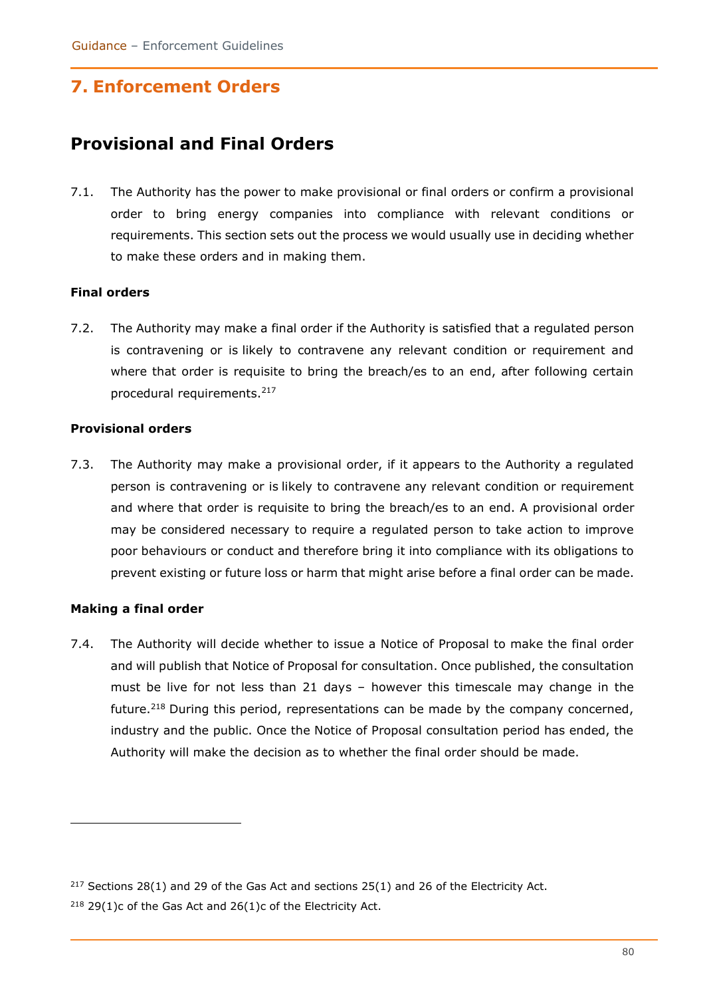# **7. Enforcement Orders**

## **Provisional and Final Orders**

7.1. The Authority has the power to make provisional or final orders or confirm a provisional order to bring energy companies into compliance with relevant conditions or requirements. This section sets out the process we would usually use in deciding whether to make these orders and in making them.

#### **Final orders**

7.2. The Authority may make a final order if the Authority is satisfied that a regulated person is contravening or is likely to contravene any relevant condition or requirement and where that order is requisite to bring the breach/es to an end, after following certain procedural requirements.<sup>217</sup>

#### **Provisional orders**

7.3. The Authority may make a provisional order, if it appears to the Authority a regulated person is contravening or is likely to contravene any relevant condition or requirement and where that order is requisite to bring the breach/es to an end. A provisional order may be considered necessary to require a regulated person to take action to improve poor behaviours or conduct and therefore bring it into compliance with its obligations to prevent existing or future loss or harm that might arise before a final order can be made.

#### **Making a final order**

7.4. The Authority will decide whether to issue a Notice of Proposal to make the final order and will publish that Notice of Proposal for consultation. Once published, the consultation must be live for not less than 21 days – however this timescale may change in the future.<sup>218</sup> During this period, representations can be made by the company concerned, industry and the public. Once the Notice of Proposal consultation period has ended, the Authority will make the decision as to whether the final order should be made.

<sup>&</sup>lt;sup>217</sup> Sections 28(1) and 29 of the Gas Act and sections 25(1) and 26 of the Electricity Act.

 $218$  29(1)c of the Gas Act and 26(1)c of the Electricity Act.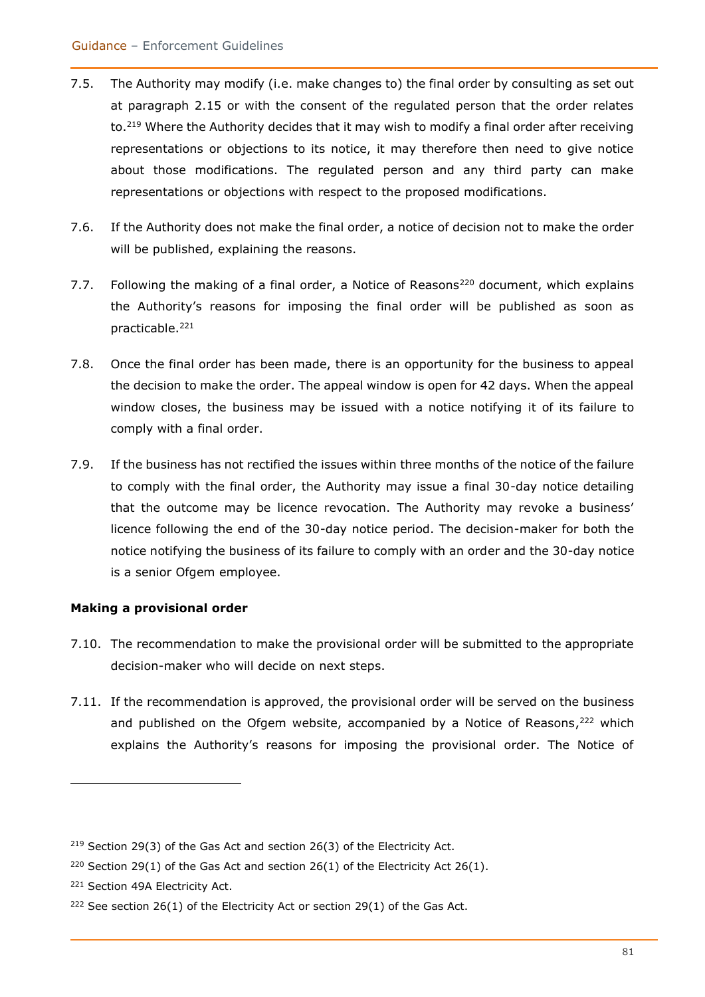- 7.5. The Authority may modify (i.e. make changes to) the final order by consulting as set out at paragraph 2.15 or with the consent of the regulated person that the order relates to.<sup>219</sup> Where the Authority decides that it may wish to modify a final order after receiving representations or objections to its notice, it may therefore then need to give notice about those modifications. The regulated person and any third party can make representations or objections with respect to the proposed modifications.
- 7.6. If the Authority does not make the final order, a notice of decision not to make the order will be published, explaining the reasons.
- 7.7. Following the making of a final order, a Notice of Reasons<sup>220</sup> document, which explains the Authority's reasons for imposing the final order will be published as soon as practicable.<sup>221</sup>
- 7.8. Once the final order has been made, there is an opportunity for the business to appeal the decision to make the order. The appeal window is open for 42 days. When the appeal window closes, the business may be issued with a notice notifying it of its failure to comply with a final order.
- 7.9. If the business has not rectified the issues within three months of the notice of the failure to comply with the final order, the Authority may issue a final 30-day notice detailing that the outcome may be licence revocation. The Authority may revoke a business' licence following the end of the 30-day notice period. The decision-maker for both the notice notifying the business of its failure to comply with an order and the 30-day notice is a senior Ofgem employee.

#### **Making a provisional order**

- 7.10. The recommendation to make the provisional order will be submitted to the appropriate decision-maker who will decide on next steps.
- 7.11. If the recommendation is approved, the provisional order will be served on the business and published on the Ofgem website, accompanied by a Notice of Reasons,<sup>222</sup> which explains the Authority's reasons for imposing the provisional order. The Notice of

<sup>&</sup>lt;sup>219</sup> Section 29(3) of the Gas Act and section 26(3) of the Electricity Act.

<sup>&</sup>lt;sup>220</sup> Section 29(1) of the Gas Act and section 26(1) of the Electricity Act 26(1).

<sup>221</sup> Section 49A Electricity Act.

 $222$  See section 26(1) of the Electricity Act or section 29(1) of the Gas Act.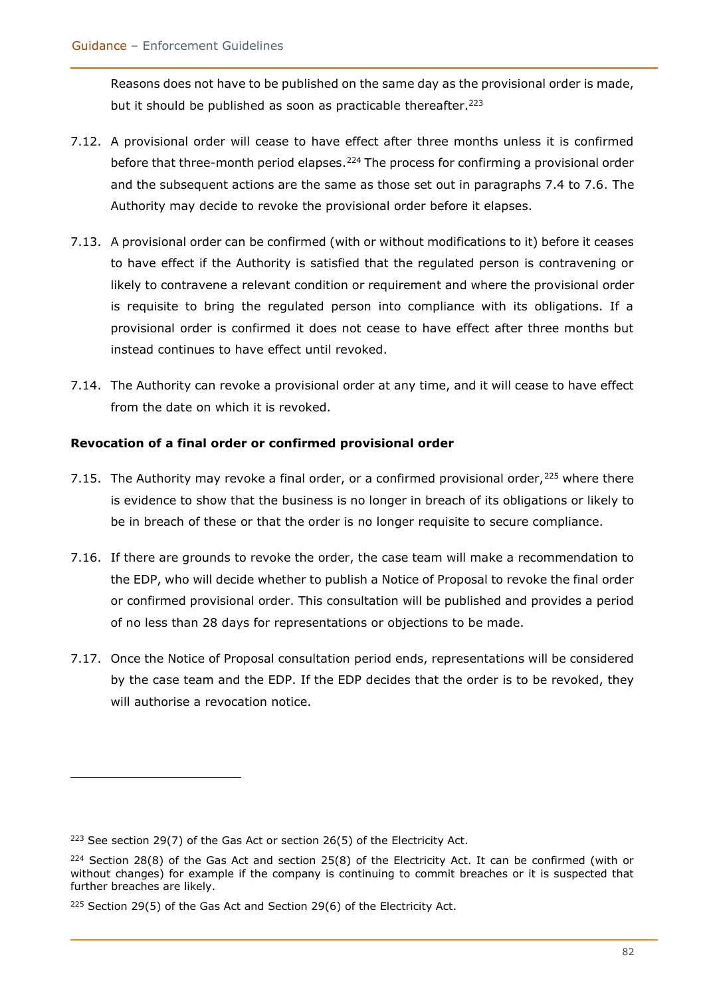Reasons does not have to be published on the same day as the provisional order is made, but it should be published as soon as practicable thereafter.<sup>223</sup>

- 7.12. A provisional order will cease to have effect after three months unless it is confirmed before that three-month period elapses.<sup>224</sup> The process for confirming a provisional order and the subsequent actions are the same as those set out in paragraphs 7.4 to 7.6. The Authority may decide to revoke the provisional order before it elapses.
- 7.13. A provisional order can be confirmed (with or without modifications to it) before it ceases to have effect if the Authority is satisfied that the regulated person is contravening or likely to contravene a relevant condition or requirement and where the provisional order is requisite to bring the regulated person into compliance with its obligations. If a provisional order is confirmed it does not cease to have effect after three months but instead continues to have effect until revoked.
- 7.14. The Authority can revoke a provisional order at any time, and it will cease to have effect from the date on which it is revoked.

#### **Revocation of a final order or confirmed provisional order**

- 7.15. The Authority may revoke a final order, or a confirmed provisional order,  $225$  where there is evidence to show that the business is no longer in breach of its obligations or likely to be in breach of these or that the order is no longer requisite to secure compliance.
- 7.16. If there are grounds to revoke the order, the case team will make a recommendation to the EDP, who will decide whether to publish a Notice of Proposal to revoke the final order or confirmed provisional order. This consultation will be published and provides a period of no less than 28 days for representations or objections to be made.
- 7.17. Once the Notice of Proposal consultation period ends, representations will be considered by the case team and the EDP. If the EDP decides that the order is to be revoked, they will authorise a revocation notice.

 $223$  See section 29(7) of the Gas Act or section 26(5) of the Electricity Act.

 $224$  Section 28(8) of the Gas Act and section 25(8) of the Electricity Act. It can be confirmed (with or without changes) for example if the company is continuing to commit breaches or it is suspected that further breaches are likely.

<sup>&</sup>lt;sup>225</sup> Section 29(5) of the Gas Act and Section 29(6) of the Electricity Act.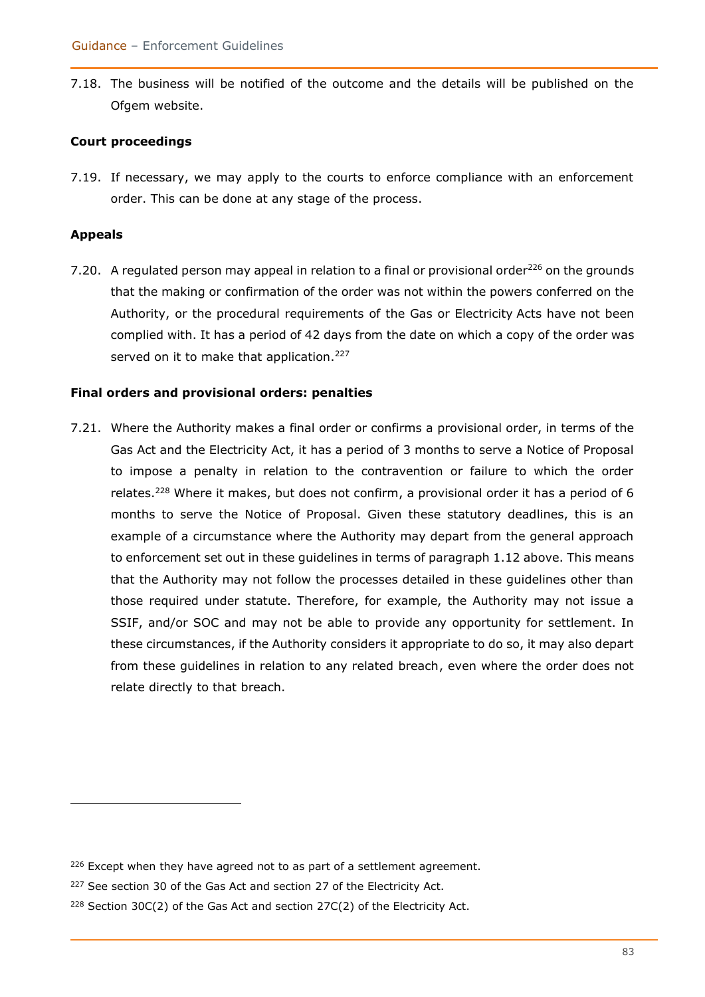7.18. The business will be notified of the outcome and the details will be published on the Ofgem website.

#### **Court proceedings**

7.19. If necessary, we may apply to the courts to enforce compliance with an enforcement order. This can be done at any stage of the process.

#### **Appeals**

7.20. A regulated person may appeal in relation to a final or provisional order<sup>226</sup> on the grounds that the making or confirmation of the order was not within the powers conferred on the Authority, or the procedural requirements of the Gas or Electricity Acts have not been complied with. It has a period of 42 days from the date on which a copy of the order was served on it to make that application.<sup>227</sup>

#### **Final orders and provisional orders: penalties**

7.21. Where the Authority makes a final order or confirms a provisional order, in terms of the Gas Act and the Electricity Act, it has a period of 3 months to serve a Notice of Proposal to impose a penalty in relation to the contravention or failure to which the order relates.<sup>228</sup> Where it makes, but does not confirm, a provisional order it has a period of 6 months to serve the Notice of Proposal. Given these statutory deadlines, this is an example of a circumstance where the Authority may depart from the general approach to enforcement set out in these guidelines in terms of paragraph 1.12 above. This means that the Authority may not follow the processes detailed in these guidelines other than those required under statute. Therefore, for example, the Authority may not issue a SSIF, and/or SOC and may not be able to provide any opportunity for settlement. In these circumstances, if the Authority considers it appropriate to do so, it may also depart from these guidelines in relation to any related breach, even where the order does not relate directly to that breach.

 $226$  Except when they have agreed not to as part of a settlement agreement.

<sup>&</sup>lt;sup>227</sup> See section 30 of the Gas Act and section 27 of the Electricity Act.

 $228$  Section 30C(2) of the Gas Act and section 27C(2) of the Electricity Act.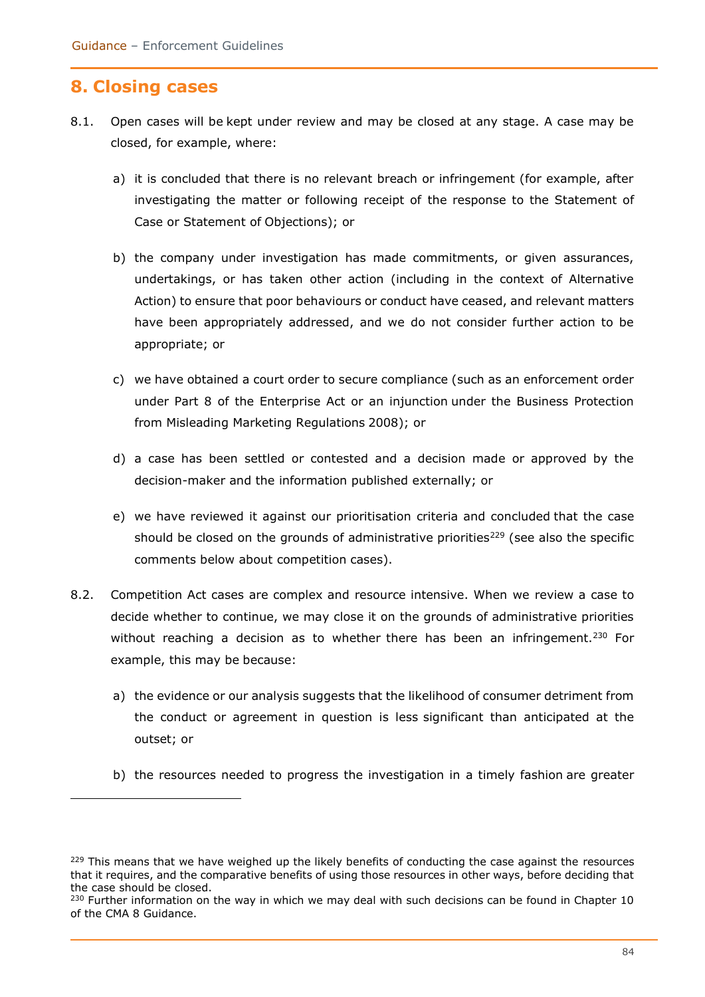## **8. Closing cases**

- 8.1. Open cases will be kept under review and may be closed at any stage. A case may be closed, for example, where:
	- a) it is concluded that there is no relevant breach or infringement (for example, after investigating the matter or following receipt of the response to the Statement of Case or Statement of Objections); or
	- b) the company under investigation has made commitments, or given assurances, undertakings, or has taken other action (including in the context of Alternative Action) to ensure that poor behaviours or conduct have ceased, and relevant matters have been appropriately addressed, and we do not consider further action to be appropriate; or
	- c) we have obtained a court order to secure compliance (such as an enforcement order under Part 8 of the Enterprise Act or an injunction under the Business Protection from Misleading Marketing Regulations 2008); or
	- d) a case has been settled or contested and a decision made or approved by the decision-maker and the information published externally; or
	- e) we have reviewed it against our prioritisation criteria and concluded that the case should be closed on the grounds of administrative priorities<sup>229</sup> (see also the specific comments below about competition cases).
- 8.2. Competition Act cases are complex and resource intensive. When we review a case to decide whether to continue, we may close it on the grounds of administrative priorities without reaching a decision as to whether there has been an infringement.<sup>230</sup> For example, this may be because:
	- a) the evidence or our analysis suggests that the likelihood of consumer detriment from the conduct or agreement in question is less significant than anticipated at the outset; or
	- b) the resources needed to progress the investigation in a timely fashion are greater

 $229$  This means that we have weighed up the likely benefits of conducting the case against the resources that it requires, and the comparative benefits of using those resources in other ways, before deciding that the case should be closed.

 $230$  Further information on the way in which we may deal with such decisions can be found in Chapter 10 of the CMA 8 Guidance.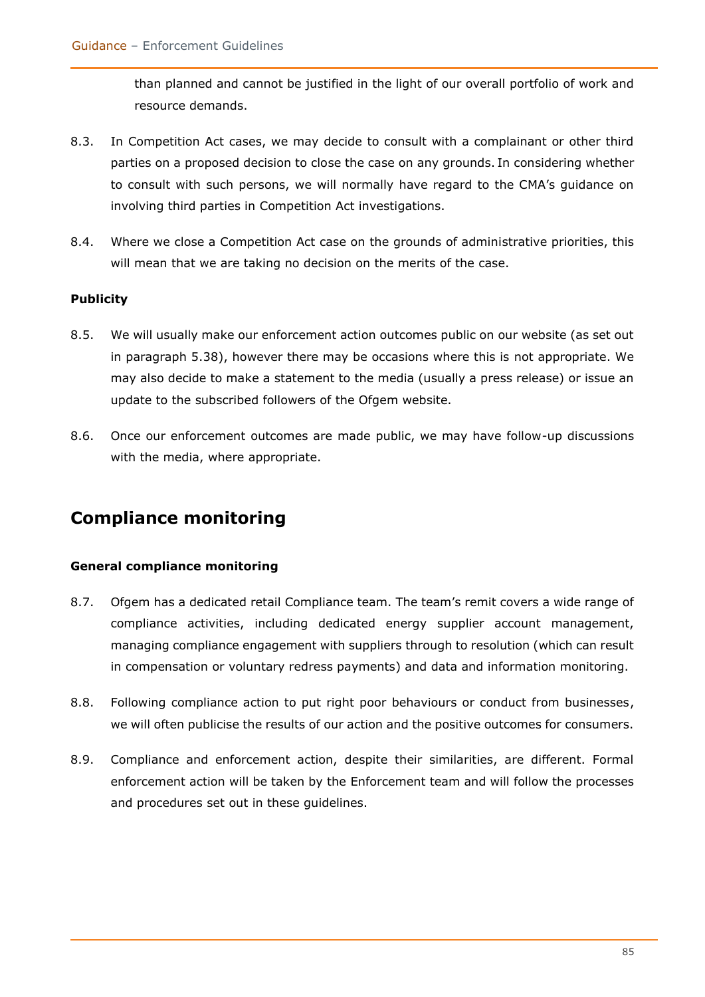than planned and cannot be justified in the light of our overall portfolio of work and resource demands.

- 8.3. In Competition Act cases, we may decide to consult with a complainant or other third parties on a proposed decision to close the case on any grounds. In considering whether to consult with such persons, we will normally have regard to the CMA's guidance on involving third parties in Competition Act investigations.
- 8.4. Where we close a Competition Act case on the grounds of administrative priorities, this will mean that we are taking no decision on the merits of the case.

#### **Publicity**

- 8.5. We will usually make our enforcement action outcomes public on our website (as set out in paragraph 5.38), however there may be occasions where this is not appropriate. We may also decide to make a statement to the media (usually a press release) or issue an update to the subscribed followers of the Ofgem website.
- 8.6. Once our enforcement outcomes are made public, we may have follow-up discussions with the media, where appropriate.

## **Compliance monitoring**

#### **General compliance monitoring**

- 8.7. Ofgem has a dedicated retail Compliance team. The team's remit covers a wide range of compliance activities, including dedicated energy supplier account management, managing compliance engagement with suppliers through to resolution (which can result in compensation or voluntary redress payments) and data and information monitoring.
- 8.8. Following compliance action to put right poor behaviours or conduct from businesses, we will often publicise the results of our action and the positive outcomes for consumers.
- 8.9. Compliance and enforcement action, despite their similarities, are different. Formal enforcement action will be taken by the Enforcement team and will follow the processes and procedures set out in these guidelines.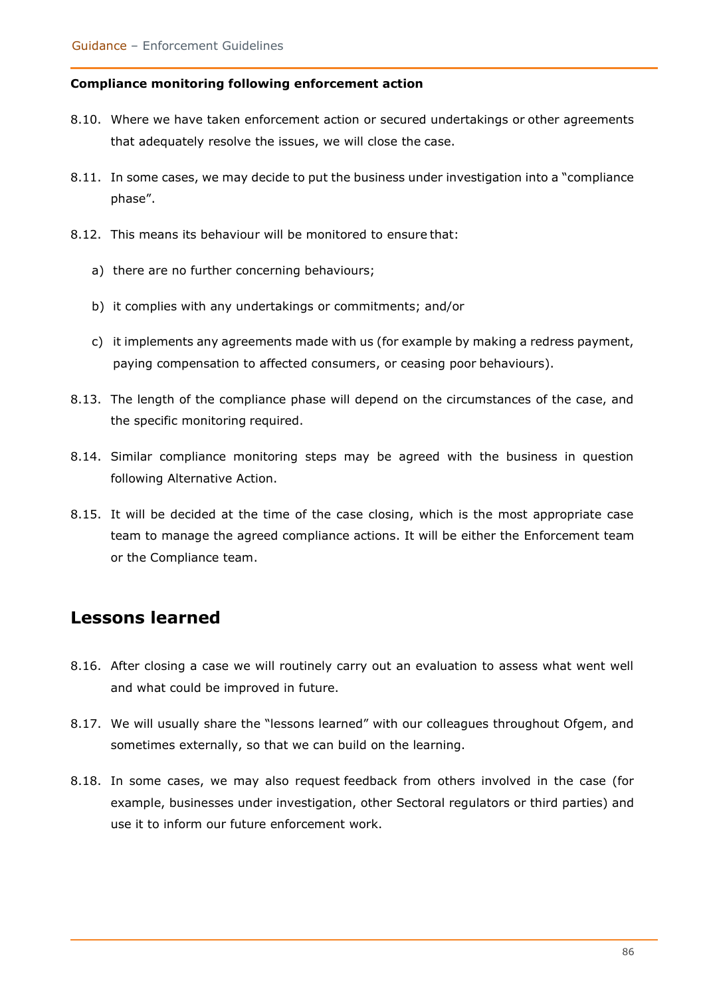#### **Compliance monitoring following enforcement action**

- 8.10. Where we have taken enforcement action or secured undertakings or other agreements that adequately resolve the issues, we will close the case.
- 8.11. In some cases, we may decide to put the business under investigation into a "compliance phase".
- 8.12. This means its behaviour will be monitored to ensure that:
	- a) there are no further concerning behaviours;
	- b) it complies with any undertakings or commitments; and/or
	- c) it implements any agreements made with us (for example by making a redress payment, paying compensation to affected consumers, or ceasing poor behaviours).
- 8.13. The length of the compliance phase will depend on the circumstances of the case, and the specific monitoring required.
- 8.14. Similar compliance monitoring steps may be agreed with the business in question following Alternative Action.
- 8.15. It will be decided at the time of the case closing, which is the most appropriate case team to manage the agreed compliance actions. It will be either the Enforcement team or the Compliance team.

## **Lessons learned**

- 8.16. After closing a case we will routinely carry out an evaluation to assess what went well and what could be improved in future.
- 8.17. We will usually share the "lessons learned" with our colleagues throughout Ofgem, and sometimes externally, so that we can build on the learning.
- 8.18. In some cases, we may also request feedback from others involved in the case (for example, businesses under investigation, other Sectoral regulators or third parties) and use it to inform our future enforcement work.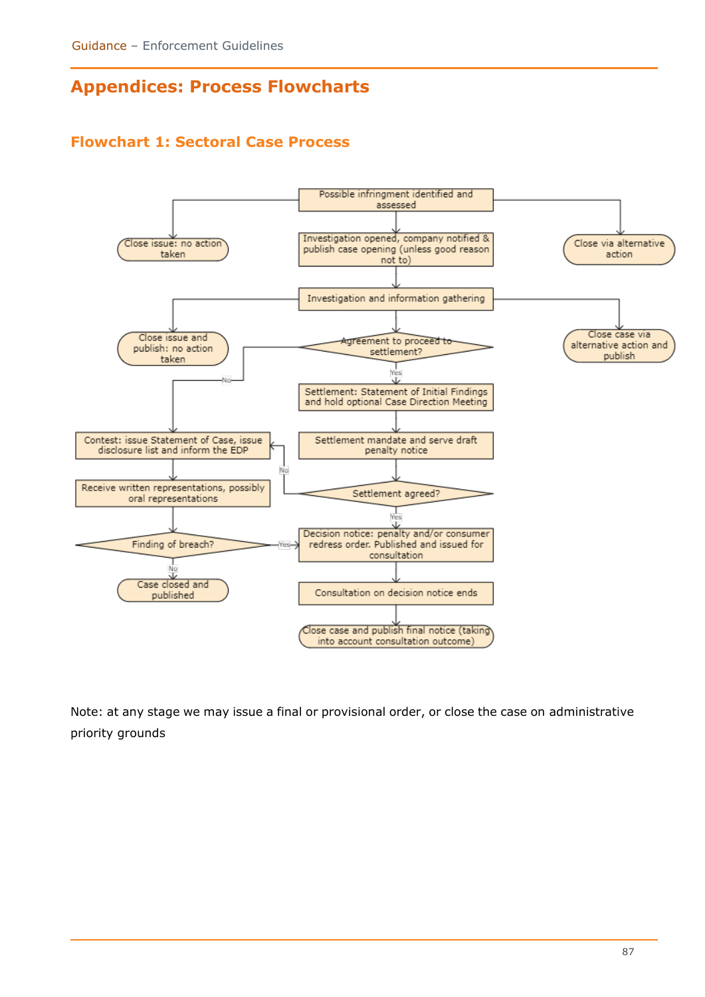# **Appendices: Process Flowcharts**

## **Flowchart 1: Sectoral Case Process**



Note: at any stage we may issue a final or provisional order, or close the case on administrative priority grounds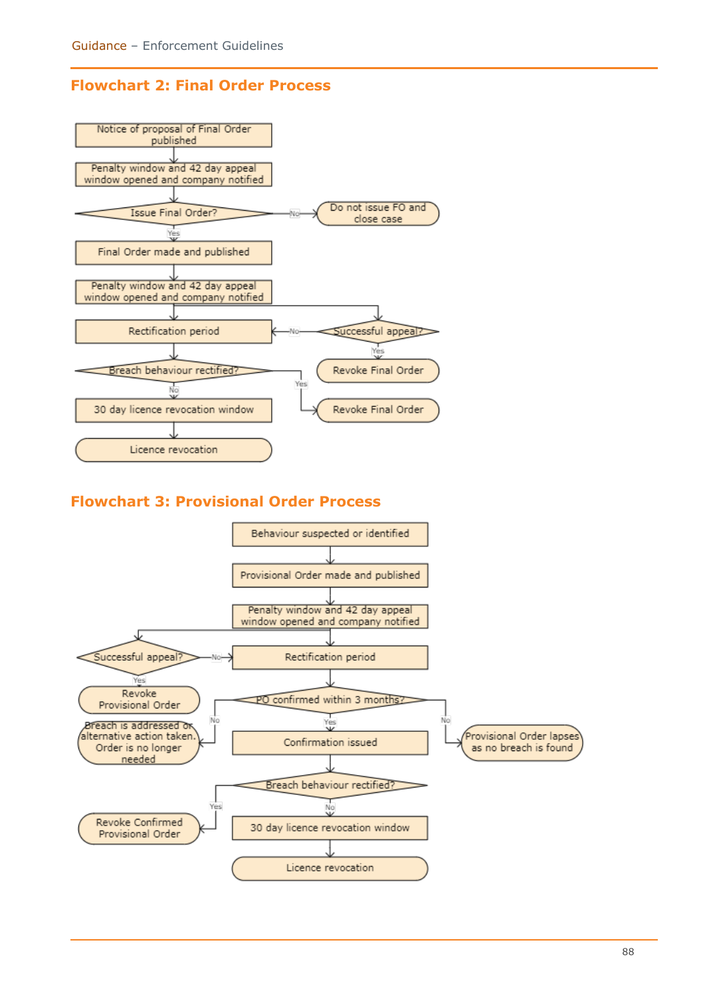### **Flowchart 2: Final Order Process**



### **Flowchart 3: Provisional Order Process**

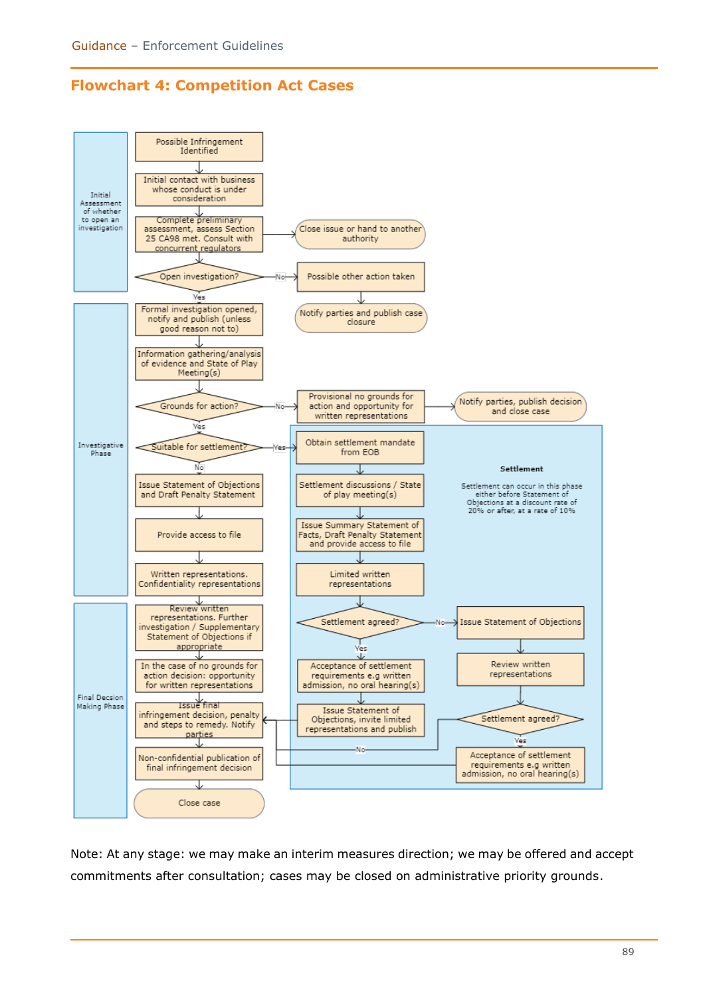### **Flowchart 4: Competition Act Cases**



Note: At any stage: we may make an interim measures direction; we may be offered and accept commitments after consultation; cases may be closed on administrative priority grounds.